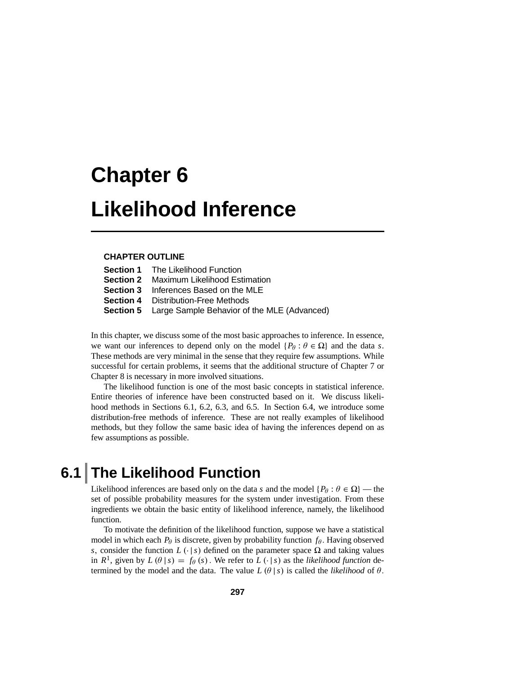#### **CHAPTER OUTLINE**

| <b>Section 1</b> The Likelihood Function                     |
|--------------------------------------------------------------|
| <b>Section 2</b> Maximum Likelihood Estimation               |
| <b>Section 3</b> Inferences Based on the MLE                 |
| <b>Section 4</b> Distribution-Free Methods                   |
| <b>Section 5</b> Large Sample Behavior of the MLE (Advanced) |
|                                                              |

In this chapter, we discuss some of the most basic approaches to inference. In essence, we want our inferences to depend only on the model  $\{P_{\theta} : \theta \in \Omega\}$  and the data *s*. These methods are very minimal in the sense that they require few assumptions. While successful for certain problems, it seems that the additional structure of Chapter 7 or Chapter 8 is necessary in more involved situations.

The likelihood function is one of the most basic concepts in statistical inference. Entire theories of inference have been constructed based on it. We discuss likelihood methods in Sections 6.1, 6.2, 6.3, and 6.5. In Section 6.4, we introduce some distribution-free methods of inference. These are not really examples of likelihood methods, but they follow the same basic idea of having the inferences depend on as few assumptions as possible.

## **6.1 The Likelihood Function**

Likelihood inferences are based only on the data *s* and the model  $\{P_{\theta} : \theta \in \Omega\}$  — the set of possible probability measures for the system under investigation. From these ingredients we obtain the basic entity of likelihood inference, namely, the likelihood function.

To motivate the definition of the likelihood function, suppose we have a statistical model in which each  $P_{\theta}$  is discrete, given by probability function  $f_{\theta}$ . Having observed *s*, consider the function  $L(\cdot | s)$  defined on the parameter space  $\Omega$  and taking values in  $R^1$ , given by  $L(\theta | s) = f_\theta(s)$ . We refer to  $L(\cdot | s)$  as the *likelihood function* determined by the model and the data. The value  $L(\theta | s)$  is called the *likelihood* of  $\theta$ .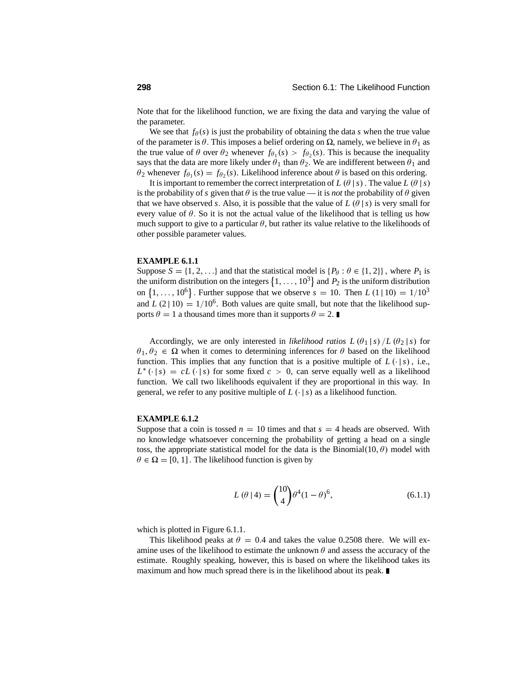Note that for the likelihood function, we are fixing the data and varying the value of the parameter.

We see that  $f_{\theta}(s)$  is just the probability of obtaining the data *s* when the true value of the parameter is  $\theta$ . This imposes a belief ordering on  $\Omega$ , namely, we believe in  $\theta_1$  as the true value of  $\theta$  over  $\theta_2$  whenever  $f_{\theta_1}(s) > f_{\theta_2}(s)$ . This is because the inequality says that the data are more likely under  $\theta_1$  than  $\theta_2$ . We are indifferent between  $\theta_1$  and  $\theta_2$  whenever  $f_{\theta_1}(s) = f_{\theta_2}(s)$ . Likelihood inference about  $\theta$  is based on this ordering.

It is important to remember the correct interpretation of  $L(\theta | s)$ . The value  $L(\theta | s)$ is the probability of *s* given that  $\theta$  is the true value — it is *not* the probability of  $\theta$  given that we have observed *s*. Also, it is possible that the value of  $L(\theta | s)$  is very small for every value of  $\theta$ . So it is not the actual value of the likelihood that is telling us how much support to give to a particular  $\theta$ , but rather its value relative to the likelihoods of other possible parameter values.

#### **EXAMPLE 6.1.1**

Suppose  $S = \{1, 2, ...\}$  and that the statistical model is  $\{P_{\theta} : \theta \in \{1, 2\}\}\,$ , where  $P_1$  is the uniform distribution on the integers  $\{1, \ldots, 10^3\}$  and  $P_2$  is the uniform distribution on  $\{1, ..., 10^6\}$ . Further suppose that we observe  $s = 10$ . Then  $L(1 | 10) = 1/10^3$ and  $L(2|10) = 1/10^6$ . Both values are quite small, but note that the likelihood supports  $\theta = 1$  a thousand times more than it supports  $\theta = 2$ .

Accordingly, we are only interested in *likelihood ratios L*  $(\theta_1 | s) / L (\theta_2 | s)$  for  $\theta_1, \theta_2 \in \Omega$  when it comes to determining inferences for  $\theta$  based on the likelihood function. This implies that any function that is a positive multiple of  $L(\cdot | s)$ , i.e.,  $L^*$  (· |*s*) =  $cL$  (· |*s*) for some fixed  $c > 0$ , can serve equally well as a likelihood function. We call two likelihoods equivalent if they are proportional in this way. In general, we refer to any positive multiple of  $L(\cdot | s)$  as a likelihood function.

#### **EXAMPLE 6.1.2**

Suppose that a coin is tossed  $n = 10$  times and that  $s = 4$  heads are observed. With no knowledge whatsoever concerning the probability of getting a head on a single toss, the appropriate statistical model for the data is the Binomial(10,  $\theta$ ) model with  $\theta \in \Omega = [0, 1]$ . The likelihood function is given by

$$
L(\theta | 4) = \binom{10}{4} \theta^4 (1 - \theta)^6,
$$
\n(6.1.1)

which is plotted in Figure 6.1.1.

This likelihood peaks at  $\theta = 0.4$  and takes the value 0.2508 there. We will examine uses of the likelihood to estimate the unknown  $\theta$  and assess the accuracy of the estimate. Roughly speaking, however, this is based on where the likelihood takes its maximum and how much spread there is in the likelihood about its peak.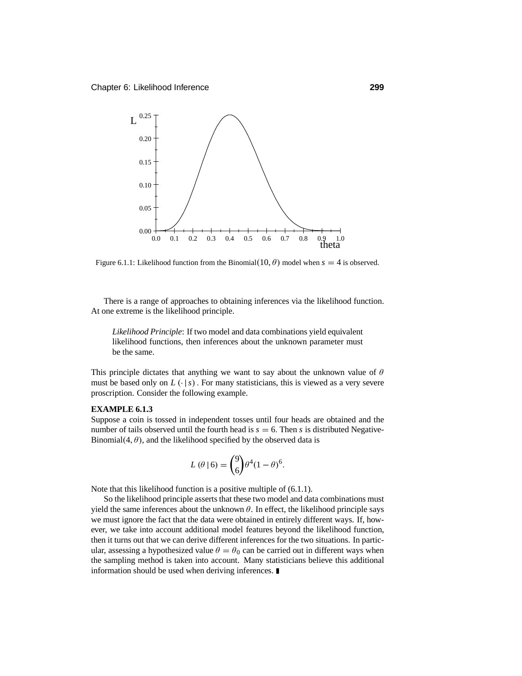

Figure 6.1.1: Likelihood function from the Binomial(10,  $\theta$ ) model when  $s = 4$  is observed.

There is a range of approaches to obtaining inferences via the likelihood function. At one extreme is the likelihood principle.

*Likelihood Principle*: If two model and data combinations yield equivalent likelihood functions, then inferences about the unknown parameter must be the same.

This principle dictates that anything we want to say about the unknown value of  $\theta$ must be based only on  $L(\cdot | s)$ . For many statisticians, this is viewed as a very severe proscription. Consider the following example.

#### **EXAMPLE 6.1.3**

Suppose a coin is tossed in independent tosses until four heads are obtained and the number of tails observed until the fourth head is  $s = 6$ . Then *s* is distributed Negative-Binomial $(4, \theta)$ , and the likelihood specified by the observed data is

$$
L(\theta | 6) = {9 \choose 6} \theta^4 (1 - \theta)^6.
$$

Note that this likelihood function is a positive multiple of (6.1.1).

So the likelihood principle asserts that these two model and data combinations must yield the same inferences about the unknown  $\theta$ . In effect, the likelihood principle says we must ignore the fact that the data were obtained in entirely different ways. If, however, we take into account additional model features beyond the likelihood function, then it turns out that we can derive different inferences for the two situations. In particular, assessing a hypothesized value  $\theta = \theta_0$  can be carried out in different ways when the sampling method is taken into account. Many statisticians believe this additional information should be used when deriving inferences.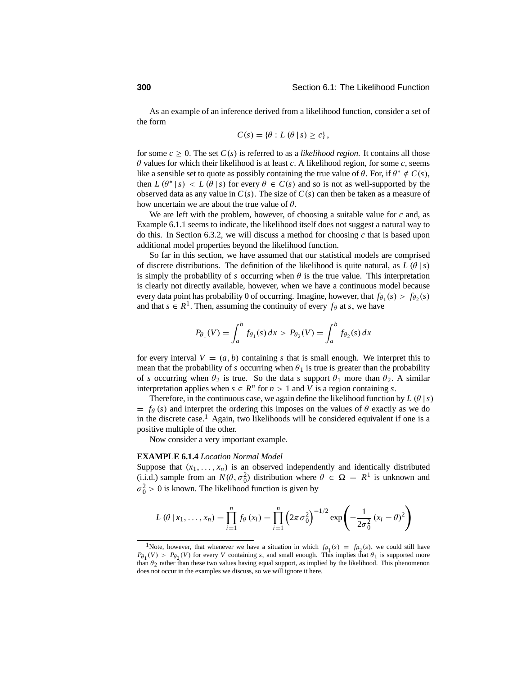As an example of an inference derived from a likelihood function, consider a set of the form

$$
C(s) = \{\theta : L(\theta \mid s) \geq c\},\
$$

for some  $c \geq 0$ . The set  $C(s)$  is referred to as a *likelihood region*. It contains all those  $\theta$  values for which their likelihood is at least *c*. A likelihood region, for some *c*, seems like a sensible set to quote as possibly containing the true value of  $\theta$ . For, if  $\theta^* \notin C(s)$ , then  $L(\theta^* | s) < L(\theta | s)$  for every  $\theta \in C(s)$  and so is not as well-supported by the observed data as any value in  $C(s)$ . The size of  $C(s)$  can then be taken as a measure of how uncertain we are about the true value of  $\theta$ .

We are left with the problem, however, of choosing a suitable value for *c* and, as Example 6.1.1 seems to indicate, the likelihood itself does not suggest a natural way to do this. In Section 6.3.2, we will discuss a method for choosing *c* that is based upon additional model properties beyond the likelihood function.

So far in this section, we have assumed that our statistical models are comprised of discrete distributions. The definition of the likelihood is quite natural, as  $L(\theta | s)$ is simply the probability of *s* occurring when  $\theta$  is the true value. This interpretation is clearly not directly available, however, when we have a continuous model because every data point has probability 0 of occurring. Imagine, however, that  $f_{\theta_1}(s) > f_{\theta_2}(s)$ and that  $s \in R^1$ . Then, assuming the continuity of every  $f_\theta$  at *s*, we have

$$
P_{\theta_1}(V) = \int_a^b f_{\theta_1}(s) \, dx > P_{\theta_2}(V) = \int_a^b f_{\theta_2}(s) \, dx
$$

for every interval  $V = (a, b)$  containing *s* that is small enough. We interpret this to mean that the probability of *s* occurring when  $\theta_1$  is true is greater than the probability of *s* occurring when  $\theta_2$  is true. So the data *s* support  $\theta_1$  more than  $\theta_2$ . A similar interpretation applies when  $s \in \mathbb{R}^n$  for  $n > 1$  and V is a region containing *s*.

Therefore, in the continuous case, we again define the likelihood function by  $L(\theta | s)$  $= f_{\theta}(s)$  and interpret the ordering this imposes on the values of  $\theta$  exactly as we do in the discrete case.<sup>1</sup> Again, two likelihoods will be considered equivalent if one is a positive multiple of the other.

Now consider a very important example.

#### **EXAMPLE 6.1.4** *Location Normal Model*

Suppose that  $(x_1, \ldots, x_n)$  is an observed independently and identically distributed (i.i.d.) sample from an  $N(\theta, \sigma_0^2)$  distribution where  $\theta \in \Omega = R^1$  is unknown and  $\sigma_0^2 > 0$  is known. The likelihood function is given by

$$
L(\theta | x_1, ..., x_n) = \prod_{i=1}^n f_\theta(x_i) = \prod_{i=1}^n (2\pi \sigma_0^2)^{-1/2} \exp \left(-\frac{1}{2\sigma_0^2} (x_i - \theta)^2\right)
$$

<sup>&</sup>lt;sup>1</sup>Note, however, that whenever we have a situation in which  $f_{\theta_1}(s) = f_{\theta_2}(s)$ , we could still have  $P_{\theta_1}(V) > P_{\theta_2}(V)$  for every *V* containing *s*, and small enough. This implies that  $\theta_1$  is supported more than  $\theta_2$  rather than these two values having equal support, as implied by the likelihood. This phenomenon does not occur in the examples we discuss, so we will ignore it here.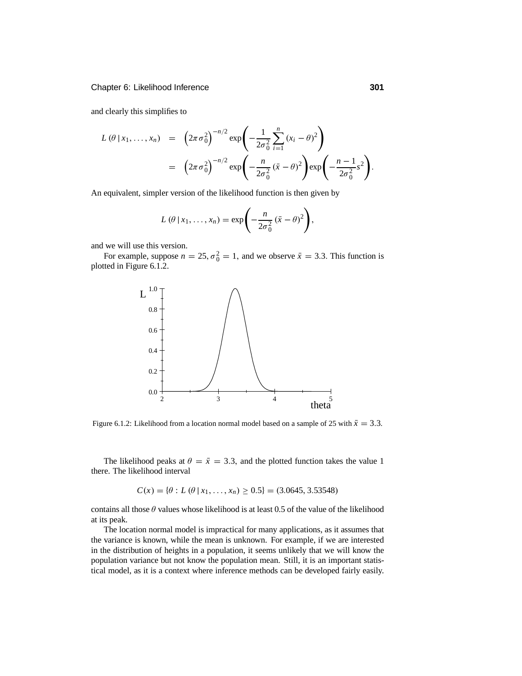and clearly this simplifies to

$$
L(\theta | x_1, ..., x_n) = (2\pi \sigma_0^2)^{-n/2} \exp\left(-\frac{1}{2\sigma_0^2} \sum_{i=1}^n (x_i - \theta)^2\right)
$$
  
=  $(2\pi \sigma_0^2)^{-n/2} \exp\left(-\frac{n}{2\sigma_0^2} (\bar{x} - \theta)^2\right) \exp\left(-\frac{n-1}{2\sigma_0^2} s^2\right)$ 

An equivalent, simpler version of the likelihood function is then given by

$$
L(\theta \mid x_1,\ldots,x_n) = \exp\left(-\frac{n}{2\sigma_0^2}(\bar{x}-\theta)^2\right),\,
$$

and we will use this version.

For example, suppose  $n = 25$ ,  $\sigma_0^2 = 1$ , and we observe  $\bar{x} = 3.3$ . This function is plotted in Figure 6.1.2.



Figure 6.1.2: Likelihood from a location normal model based on a sample of 25 with  $\bar{x} = 3.3$ .

The likelihood peaks at  $\theta = \bar{x} = 3.3$ , and the plotted function takes the value 1 there. The likelihood interval

$$
C(x) = \{\theta : L(\theta \mid x_1, \dots, x_n) \ge 0.5\} = (3.0645, 3.53548)
$$

contains all those  $\theta$  values whose likelihood is at least 0.5 of the value of the likelihood at its peak.

The location normal model is impractical for many applications, as it assumes that the variance is known, while the mean is unknown. For example, if we are interested in the distribution of heights in a population, it seems unlikely that we will know the population variance but not know the population mean. Still, it is an important statistical model, as it is a context where inference methods can be developed fairly easily.

.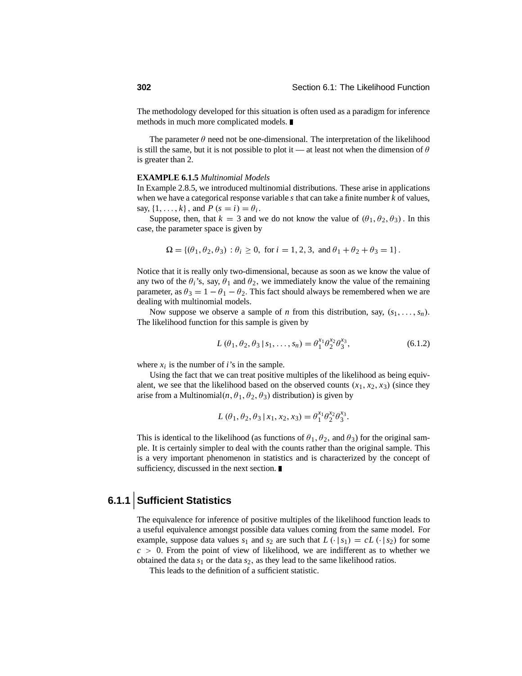The methodology developed for this situation is often used as a paradigm for inference methods in much more complicated models.

The parameter  $\theta$  need not be one-dimensional. The interpretation of the likelihood is still the same, but it is not possible to plot it — at least not when the dimension of  $\theta$ is greater than 2.

#### **EXAMPLE 6.1.5** *Multinomial Models*

In Example 2.8.5, we introduced multinomial distributions. These arise in applications when we have a categorical response variable *s* that can take a finite number *k* of values, say,  $\{1, ..., k\}$ , and  $P(s = i) = \theta_i$ .

Suppose, then, that  $k = 3$  and we do not know the value of  $(\theta_1, \theta_2, \theta_3)$ . In this case, the parameter space is given by

$$
\Omega = \{(\theta_1, \theta_2, \theta_3) : \theta_i \ge 0, \text{ for } i = 1, 2, 3, \text{ and } \theta_1 + \theta_2 + \theta_3 = 1\}.
$$

Notice that it is really only two-dimensional, because as soon as we know the value of any two of the  $\theta_i$ 's, say,  $\theta_1$  and  $\theta_2$ , we immediately know the value of the remaining parameter, as  $\theta_3 = 1 - \theta_1 - \theta_2$ . This fact should always be remembered when we are dealing with multinomial models.

Now suppose we observe a sample of *n* from this distribution, say,  $(s_1, \ldots, s_n)$ . The likelihood function for this sample is given by

$$
L(\theta_1, \theta_2, \theta_3 \, | \, s_1, \dots, s_n) = \theta_1^{x_1} \theta_2^{x_2} \theta_3^{x_3}, \tag{6.1.2}
$$

where  $x_i$  is the number of *i*'s in the sample.

Using the fact that we can treat positive multiples of the likelihood as being equivalent, we see that the likelihood based on the observed counts  $(x_1, x_2, x_3)$  (since they arise from a Multinomial $(n, \theta_1, \theta_2, \theta_3)$  distribution) is given by

$$
L(\theta_1, \theta_2, \theta_3 | x_1, x_2, x_3) = \theta_1^{x_1} \theta_2^{x_2} \theta_3^{x_3}.
$$

This is identical to the likelihood (as functions of  $\theta_1$ ,  $\theta_2$ , and  $\theta_3$ ) for the original sample. It is certainly simpler to deal with the counts rather than the original sample. This is a very important phenomenon in statistics and is characterized by the concept of sufficiency, discussed in the next section.

### **6.1.1 Sufficient Statistics**

The equivalence for inference of positive multiples of the likelihood function leads to a useful equivalence amongst possible data values coming from the same model. For example, suppose data values  $s_1$  and  $s_2$  are such that  $L(\cdot | s_1) = cL(\cdot | s_2)$  for some  $c > 0$ . From the point of view of likelihood, we are indifferent as to whether we obtained the data  $s_1$  or the data  $s_2$ , as they lead to the same likelihood ratios.

This leads to the definition of a sufficient statistic.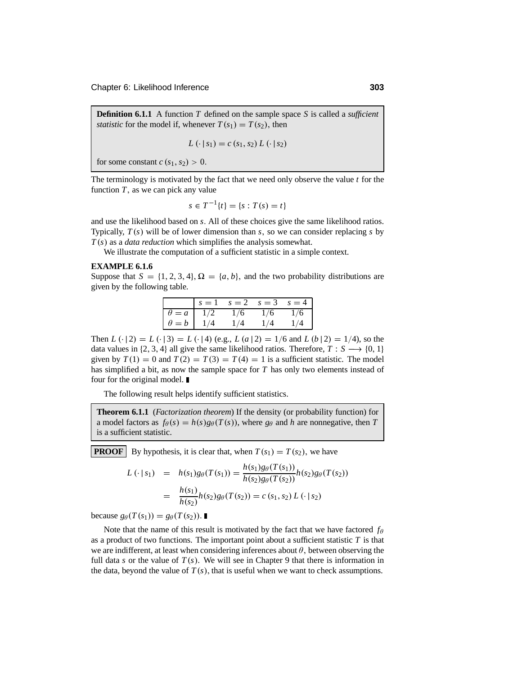**Definition 6.1.1** A function *T* defined on the sample space *S* is called a *sufficient statistic* for the model if, whenever  $T(s_1) = T(s_2)$ , then

$$
L(\cdot | s_1) = c(s_1, s_2) L(\cdot | s_2)
$$

for some constant  $c(s_1, s_2) > 0$ .

The terminology is motivated by the fact that we need only observe the value *t* for the function  $T$ , as we can pick any value

$$
s \in T^{-1}\{t\} = \{s : T(s) = t\}
$$

and use the likelihood based on *s*. All of these choices give the same likelihood ratios. Typically, *T*(*s*) will be of lower dimension than *s*, so we can consider replacing *s* by *T* (*s*) as a *data reduction* which simplifies the analysis somewhat.

We illustrate the computation of a sufficient statistic in a simple context.

#### **EXAMPLE 6.1.6**

Suppose that  $S = \{1, 2, 3, 4\}, \Omega = \{a, b\}$ , and the two probability distributions are given by the following table.

|              | $s=1$ | $s=2$ | $s=3$ | $s = 4$ |
|--------------|-------|-------|-------|---------|
| $\theta = a$ | 1/2   | 1/6   | 1/6   | 1/6     |
| $\theta = b$ | 1/4   | 1/4   | 1/4   | 1/4     |

Then  $L(\cdot | 2) = L(\cdot | 3) = L(\cdot | 4)$  (e.g.,  $L(a | 2) = 1/6$  and  $L(b | 2) = 1/4$ ), so the data values in  $\{2, 3, 4\}$  all give the same likelihood ratios. Therefore,  $T : S \longrightarrow \{0, 1\}$ given by  $T(1) = 0$  and  $T(2) = T(3) = T(4) = 1$  is a sufficient statistic. The model has simplified a bit, as now the sample space for *T* has only two elements instead of four for the original model.  $\blacksquare$ 

The following result helps identify sufficient statistics.

**Theorem 6.1.1** (*Factorization theorem*) If the density (or probability function) for a model factors as  $f_{\theta}(s) = h(s)g_{\theta}(T(s))$ , where  $g_{\theta}$  and *h* are nonnegative, then *T* is a sufficient statistic.

**PROOF** By hypothesis, it is clear that, when  $T(s_1) = T(s_2)$ , we have

$$
L(\cdot | s_1) = h(s_1)g_{\theta}(T(s_1)) = \frac{h(s_1)g_{\theta}(T(s_1))}{h(s_2)g_{\theta}(T(s_2))}h(s_2)g_{\theta}(T(s_2))
$$
  
= 
$$
\frac{h(s_1)}{h(s_2)}h(s_2)g_{\theta}(T(s_2)) = c(s_1, s_2) L(\cdot | s_2)
$$

because  $g_{\theta}(T(s_1)) = g_{\theta}(T(s_2))$ .

Note that the name of this result is motivated by the fact that we have factored  $f_{\theta}$ as a product of two functions. The important point about a sufficient statistic *T* is that we are indifferent, at least when considering inferences about  $\theta$ , between observing the full data *s* or the value of  $T(s)$ . We will see in Chapter 9 that there is information in the data, beyond the value of  $T(s)$ , that is useful when we want to check assumptions.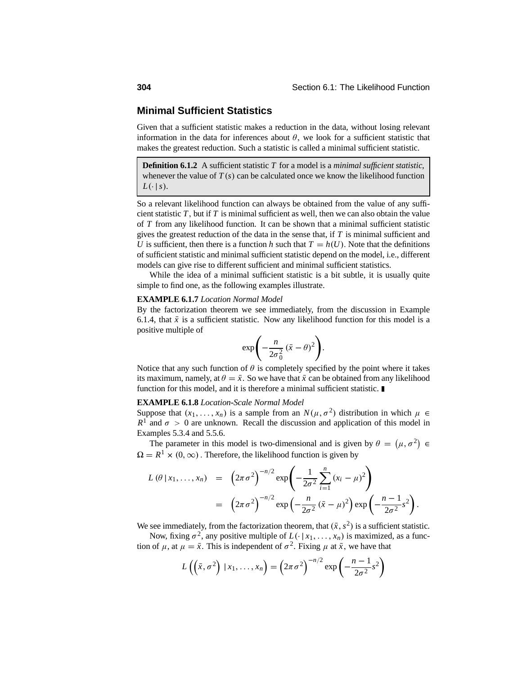#### **Minimal Sufficient Statistics**

Given that a sufficient statistic makes a reduction in the data, without losing relevant information in the data for inferences about  $\theta$ , we look for a sufficient statistic that makes the greatest reduction. Such a statistic is called a minimal sufficient statistic.

**Definition 6.1.2** A sufficient statistic *T* for a model is a *minimal sufficient statistic*, whenever the value of  $T(s)$  can be calculated once we know the likelihood function  $L(\cdot | s)$ .

So a relevant likelihood function can always be obtained from the value of any sufficient statistic  $T$ , but if  $T$  is minimal sufficient as well, then we can also obtain the value of *T* from any likelihood function. It can be shown that a minimal sufficient statistic gives the greatest reduction of the data in the sense that, if *T* is minimal sufficient and *U* is sufficient, then there is a function *h* such that  $T = h(U)$ . Note that the definitions of sufficient statistic and minimal sufficient statistic depend on the model, i.e., different models can give rise to different sufficient and minimal sufficient statistics.

While the idea of a minimal sufficient statistic is a bit subtle, it is usually quite simple to find one, as the following examples illustrate.

#### **EXAMPLE 6.1.7** *Location Normal Model*

By the factorization theorem we see immediately, from the discussion in Example 6.1.4, that  $\bar{x}$  is a sufficient statistic. Now any likelihood function for this model is a positive multiple of

$$
\exp\left(-\frac{n}{2\sigma_0^2}(\bar{x}-\theta)^2\right).
$$

Notice that any such function of  $\theta$  is completely specified by the point where it takes its maximum, namely, at  $\theta = \bar{x}$ . So we have that  $\bar{x}$  can be obtained from any likelihood function for this model, and it is therefore a minimal sufficient statistic.

#### **EXAMPLE 6.1.8** *Location***-***Scale Normal Model*

Suppose that  $(x_1, \ldots, x_n)$  is a sample from an  $N(\mu, \sigma^2)$  distribution in which  $\mu \in$  $R<sup>1</sup>$  and  $\sigma > 0$  are unknown. Recall the discussion and application of this model in Examples 5.3.4 and 5.5.6.

The parameter in this model is two-dimensional and is given by  $\theta = (\mu, \sigma^2) \in$  $\Omega = R^1 \times (0, \infty)$ . Therefore, the likelihood function is given by

$$
L(\theta | x_1,...,x_n) = (2\pi \sigma^2)^{-n/2} \exp\left(-\frac{1}{2\sigma^2} \sum_{i=1}^n (x_i - \mu)^2\right)
$$
  
=  $(2\pi \sigma^2)^{-n/2} \exp\left(-\frac{n}{2\sigma^2} (\bar{x} - \mu)^2\right) \exp\left(-\frac{n-1}{2\sigma^2} s^2\right).$ 

We see immediately, from the factorization theorem, that  $(\bar{x}, s^2)$  is a sufficient statistic.

Now, fixing  $\sigma^2$ , any positive multiple of  $L(\cdot | x_1, \ldots, x_n)$  is maximized, as a function of  $\mu$ , at  $\mu = \bar{x}$ . This is independent of  $\sigma^2$ . Fixing  $\mu$  at  $\bar{x}$ , we have that

$$
L\left(\left(\bar{x},\sigma^2\right)|x_1,\ldots,x_n\right)=\left(2\pi\sigma^2\right)^{-n/2}\exp\left(-\frac{n-1}{2\sigma^2}s^2\right)
$$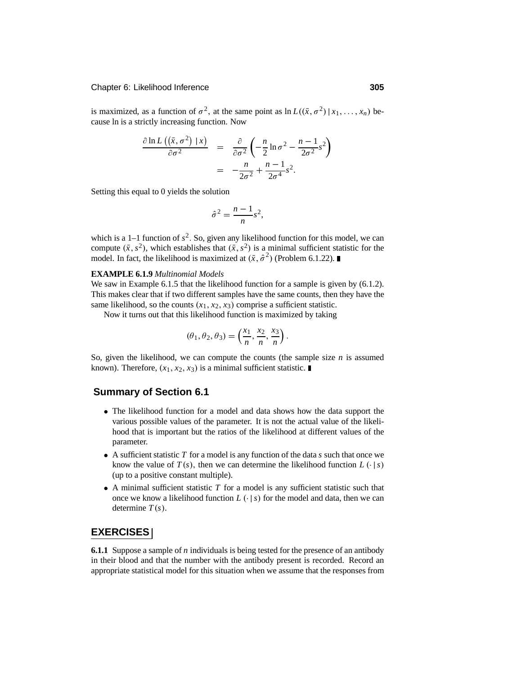is maximized, as a function of  $\sigma^2$ , at the same point as  $\ln L((\bar{x}, \sigma^2) | x_1, \ldots, x_n)$  because ln is a strictly increasing function. Now

$$
\frac{\partial \ln L\left(\left(\bar{x}, \sigma^2\right) \mid x\right)}{\partial \sigma^2} = \frac{\partial}{\partial \sigma^2} \left(-\frac{n}{2} \ln \sigma^2 - \frac{n-1}{2\sigma^2} s^2\right)
$$

$$
= -\frac{n}{2\sigma^2} + \frac{n-1}{2\sigma^4} s^2.
$$

Setting this equal to 0 yields the solution

$$
\hat{\sigma}^2 = \frac{n-1}{n} s^2,
$$

which is a  $1-1$  function of  $s^2$ . So, given any likelihood function for this model, we can compute  $(\bar{x}, s^2)$ , which establishes that  $(\bar{x}, s^2)$  is a minimal sufficient statistic for the model. In fact, the likelihood is maximized at  $(\bar{x}, \hat{\sigma}^2)$  (Problem 6.1.22).

#### **EXAMPLE 6.1.9** *Multinomial Models*

We saw in Example 6.1.5 that the likelihood function for a sample is given by  $(6.1.2)$ . This makes clear that if two different samples have the same counts, then they have the same likelihood, so the counts  $(x_1, x_2, x_3)$  comprise a sufficient statistic.

Now it turns out that this likelihood function is maximized by taking

$$
(\theta_1, \theta_2, \theta_3) = \left(\frac{x_1}{n}, \frac{x_2}{n}, \frac{x_3}{n}\right).
$$

So, given the likelihood, we can compute the counts (the sample size *n* is assumed known). Therefore,  $(x_1, x_2, x_3)$  is a minimal sufficient statistic.

#### **Summary of Section 6.1**

- The likelihood function for a model and data shows how the data support the various possible values of the parameter. It is not the actual value of the likelihood that is important but the ratios of the likelihood at different values of the parameter.
- A sufficient statistic *<sup>T</sup>* for a model is any function of the data *<sup>s</sup>* such that once we know the value of  $T(s)$ , then we can determine the likelihood function  $L(\cdot | s)$ (up to a positive constant multiple).
- A minimal sufficient statistic *<sup>T</sup>* for a model is any sufficient statistic such that once we know a likelihood function  $L(\cdot | s)$  for the model and data, then we can determine *T*(*s*).

#### **EXERCISES**

**6.1.1** Suppose a sample of *n* individuals is being tested for the presence of an antibody in their blood and that the number with the antibody present is recorded. Record an appropriate statistical model for this situation when we assume that the responses from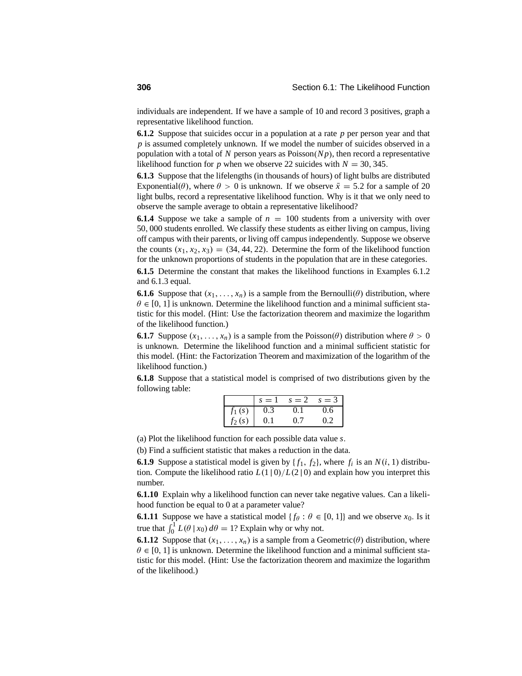individuals are independent. If we have a sample of 10 and record 3 positives, graph a representative likelihood function.

**6.1.2** Suppose that suicides occur in a population at a rate *p* per person year and that *p* is assumed completely unknown. If we model the number of suicides observed in a population with a total of  $N$  person years as  $Poisson(Np)$ , then record a representative likelihood function for *p* when we observe 22 suicides with  $N = 30, 345$ .

**6.1.3** Suppose that the lifelengths (in thousands of hours) of light bulbs are distributed Exponential( $\theta$ ), where  $\theta > 0$  is unknown. If we observe  $\bar{x} = 5.2$  for a sample of 20 light bulbs, record a representative likelihood function. Why is it that we only need to observe the sample average to obtain a representative likelihood?

**6.1.4** Suppose we take a sample of  $n = 100$  students from a university with over 50, 000 students enrolled. We classify these students as either living on campus, living off campus with their parents, or living off campus independently. Suppose we observe the counts  $(x_1, x_2, x_3) = (34, 44, 22)$ . Determine the form of the likelihood function for the unknown proportions of students in the population that are in these categories.

**6.1.5** Determine the constant that makes the likelihood functions in Examples 6.1.2 and 6.1.3 equal.

**6.1.6** Suppose that  $(x_1, \ldots, x_n)$  is a sample from the Bernoulli( $\theta$ ) distribution, where  $\theta \in [0, 1]$  is unknown. Determine the likelihood function and a minimal sufficient statistic for this model. (Hint: Use the factorization theorem and maximize the logarithm of the likelihood function.)

**6.1.7** Suppose  $(x_1, \ldots, x_n)$  is a sample from the Poisson( $\theta$ ) distribution where  $\theta > 0$ is unknown. Determine the likelihood function and a minimal sufficient statistic for this model. (Hint: the Factorization Theorem and maximization of the logarithm of the likelihood function.)

**6.1.8** Suppose that a statistical model is comprised of two distributions given by the following table:

|                   | $=$ | $s=2$ | $=$ 3 |
|-------------------|-----|-------|-------|
| $f_1(s)$          | 0.3 |       | 0.6   |
| $\mathfrak{h}(s)$ | 0.1 | 97 T  | 04    |

(a) Plot the likelihood function for each possible data value *s*.

(b) Find a sufficient statistic that makes a reduction in the data.

**6.1.9** Suppose a statistical model is given by  $\{f_1, f_2\}$ , where  $f_i$  is an  $N(i, 1)$  distribution. Compute the likelihood ratio  $L(1 | 0) / L(2 | 0)$  and explain how you interpret this number.

**6.1.10** Explain why a likelihood function can never take negative values. Can a likelihood function be equal to 0 at a parameter value?

**6.1.11** Suppose we have a statistical model  $\{f_{\theta} : \theta \in [0, 1]\}$  and we observe  $x_0$ . Is it true that  $\int_0^1 L(\theta | x_0) d\theta = 1$ ? Explain why or why not.

**6.1.12** Suppose that  $(x_1, \ldots, x_n)$  is a sample from a Geometric( $\theta$ ) distribution, where  $\theta \in [0, 1]$  is unknown. Determine the likelihood function and a minimal sufficient statistic for this model. (Hint: Use the factorization theorem and maximize the logarithm of the likelihood.)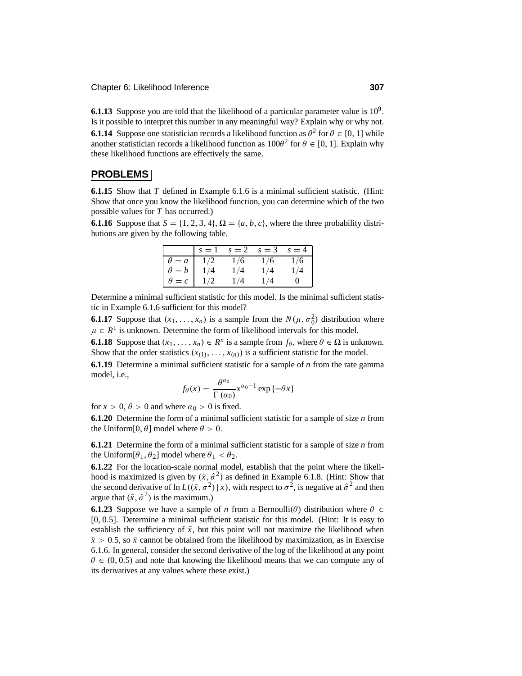**6.1.13** Suppose you are told that the likelihood of a particular parameter value is  $10^9$ . Is it possible to interpret this number in any meaningful way? Explain why or why not.

**6.1.14** Suppose one statistician records a likelihood function as  $\theta^2$  for  $\theta \in [0, 1]$  while another statistician records a likelihood function as  $100\theta^2$  for  $\theta \in [0, 1]$ . Explain why these likelihood functions are effectively the same.

#### **PROBLEMS**

**6.1.15** Show that *T* defined in Example 6.1.6 is a minimal sufficient statistic. (Hint: Show that once you know the likelihood function, you can determine which of the two possible values for *T* has occurred.)

**6.1.16** Suppose that  $S = \{1, 2, 3, 4\}, \Omega = \{a, b, c\}$ , where the three probability distributions are given by the following table.

|              | $s = 1$ | $s=2$ | $s=3$ | $s = 4$ |
|--------------|---------|-------|-------|---------|
| $\theta = a$ | 1/2     | 1/6   | 1/6   | 1/6     |
| $\theta = b$ | 1/4     | 1/4   | 1/4   | 1/4     |
| $= c$        | 1/2     | 1/4   | 174   |         |

Determine a minimal sufficient statistic for this model. Is the minimal sufficient statistic in Example 6.1.6 sufficient for this model?

**6.1.17** Suppose that  $(x_1, \ldots, x_n)$  is a sample from the  $N(\mu, \sigma_0^2)$  distribution where  $\mu \in R^1$  is unknown. Determine the form of likelihood intervals for this model.

**6.1.18** Suppose that  $(x_1, \ldots, x_n) \in R^n$  is a sample from  $f_\theta$ , where  $\theta \in \Omega$  is unknown. Show that the order statistics  $(x_{(1)},...,x_{(n)})$  is a sufficient statistic for the model.

**6.1.19** Determine a minimal sufficient statistic for a sample of *n* from the rate gamma model, i.e.,

$$
f_{\theta}(x) = \frac{\theta^{\alpha_0}}{\Gamma(\alpha_0)} x^{\alpha_0 - 1} \exp \{-\theta x\}
$$

for  $x > 0$ ,  $\theta > 0$  and where  $\alpha_0 > 0$  is fixed.

**6.1.20** Determine the form of a minimal sufficient statistic for a sample of size *n* from the Uniform[0,  $\theta$ ] model where  $\theta > 0$ .

**6.1.21** Determine the form of a minimal sufficient statistic for a sample of size *n* from the Uniform $[\theta_1, \theta_2]$  model where  $\theta_1 < \theta_2$ .

**6.1.22** For the location-scale normal model, establish that the point where the likelihood is maximized is given by  $(\bar{x}, \hat{\sigma}^2)$  as defined in Example 6.1.8. (Hint: Show that the second derivative of ln  $L((\bar{x}, \sigma^2) | x)$ , with respect to  $\sigma^2$ , is negative at  $\hat{\sigma}^2$  and then argue that  $(\bar{x}, \hat{\sigma}^2)$  is the maximum.)

**6.1.23** Suppose we have a sample of *n* from a Bernoulli( $\theta$ ) distribution where  $\theta \in$ [0, 0.5]. Determine a minimal sufficient statistic for this model. (Hint: It is easy to establish the sufficiency of  $\bar{x}$ , but this point will not maximize the likelihood when  $\bar{x} > 0.5$ , so  $\bar{x}$  cannot be obtained from the likelihood by maximization, as in Exercise 6.1.6. In general, consider the second derivative of the log of the likelihood at any point  $\theta \in (0, 0.5)$  and note that knowing the likelihood means that we can compute any of its derivatives at any values where these exist.)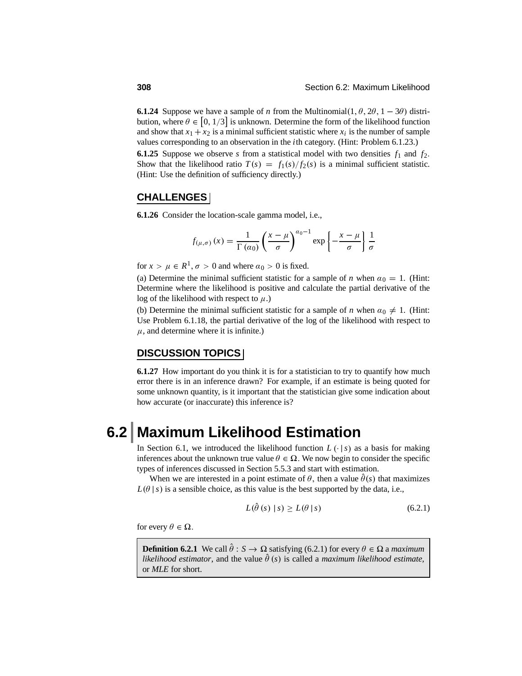**6.1.24** Suppose we have a sample of *n* from the Multinomial(1,  $\theta$ ,  $2\theta$ , 1 – 3 $\theta$ ) distribution, where  $\theta \in [0, 1/3]$  is unknown. Determine the form of the likelihood function and show that  $x_1 + x_2$  is a minimal sufficient statistic where  $x_i$  is the number of sample values corresponding to an observation in the *i*th category. (Hint: Problem 6.1.23.)

**6.1.25** Suppose we observe *s* from a statistical model with two densities  $f_1$  and  $f_2$ . Show that the likelihood ratio  $T(s) = f_1(s)/f_2(s)$  is a minimal sufficient statistic. (Hint: Use the definition of sufficiency directly.)

#### **CHALLENGES**

**6.1.26** Consider the location-scale gamma model, i.e.,

$$
f_{(\mu,\sigma)}(x) = \frac{1}{\Gamma(\alpha_0)} \left(\frac{x-\mu}{\sigma}\right)^{\alpha_0-1} \exp\left\{-\frac{x-\mu}{\sigma}\right\} \frac{1}{\sigma}
$$

for  $x > \mu \in R^1$ ,  $\sigma > 0$  and where  $\alpha_0 > 0$  is fixed.

(a) Determine the minimal sufficient statistic for a sample of *n* when  $a_0 = 1$ . (Hint: Determine where the likelihood is positive and calculate the partial derivative of the log of the likelihood with respect to  $\mu$ .)

(b) Determine the minimal sufficient statistic for a sample of *n* when  $a_0 \neq 1$ . (Hint: Use Problem 6.1.18, the partial derivative of the log of the likelihood with respect to  $\mu$ , and determine where it is infinite.)

#### **DISCUSSION TOPICS**

**6.1.27** How important do you think it is for a statistician to try to quantify how much error there is in an inference drawn? For example, if an estimate is being quoted for some unknown quantity, is it important that the statistician give some indication about how accurate (or inaccurate) this inference is?

### **6.2 Maximum Likelihood Estimation**

In Section 6.1, we introduced the likelihood function  $L(\cdot | s)$  as a basis for making inferences about the unknown true value  $\theta \in \Omega$ . We now begin to consider the specific types of inferences discussed in Section 5.5.3 and start with estimation.

When we are interested in a point estimate of  $\theta$ , then a value  $\hat{\theta}(s)$  that maximizes  $L(\theta | s)$  is a sensible choice, as this value is the best supported by the data, i.e.,

$$
L(\hat{\theta}(s) \mid s) \ge L(\theta \mid s) \tag{6.2.1}
$$

for every  $\theta \in \Omega$ .

**Definition 6.2.1** We call  $\hat{\theta}$  :  $S \to \Omega$  satisfying (6.2.1) for every  $\theta \in \Omega$  a *maximum likelihood estimator*, and the value  $\hat{\theta}(s)$  is called a *maximum likelihood estimate*, or *MLE* for short.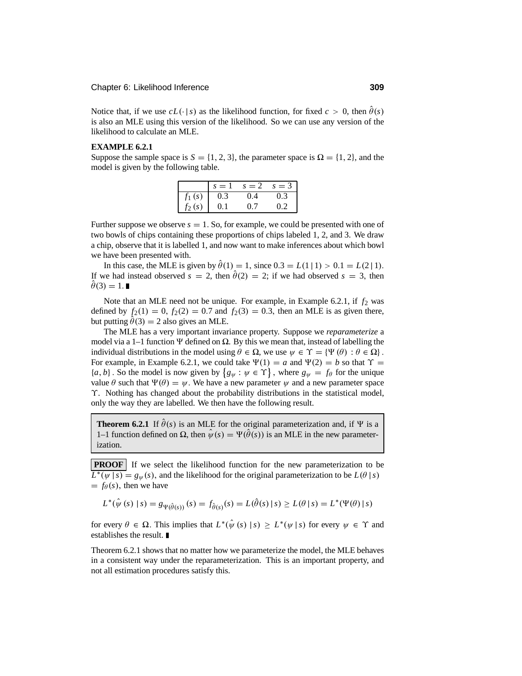Notice that, if we use  $cL(\cdot | s)$  as the likelihood function, for fixed  $c > 0$ , then  $\hat{\theta}(s)$ is also an MLE using this version of the likelihood. So we can use any version of the likelihood to calculate an MLE.

#### **EXAMPLE 6.2.1**

Suppose the sample space is  $S = \{1, 2, 3\}$ , the parameter space is  $\Omega = \{1, 2\}$ , and the model is given by the following table.

|                           | $= 1$ | $s=2$ | $=3$ |
|---------------------------|-------|-------|------|
| $f_1(s)$                  | 0.3   | 0.4   |      |
| (s)<br>$\mathfrak{f}_{2}$ |       | 07    | 02   |

Further suppose we observe  $s = 1$ . So, for example, we could be presented with one of two bowls of chips containing these proportions of chips labeled 1, 2, and 3. We draw a chip, observe that it is labelled 1, and now want to make inferences about which bowl we have been presented with.

In this case, the MLE is given by  $\hat{\theta}(1) = 1$ , since  $0.3 = L(1 | 1) > 0.1 = L(2 | 1)$ . If we had instead observed  $s = 2$ , then  $\hat{\theta}(2) = 2$ ; if we had observed  $s = 3$ , then  $\hat{\theta}(3) = 1$ .

Note that an MLE need not be unique. For example, in Example 6.2.1, if  $f_2$  was defined by  $f_2(1) = 0$ ,  $f_2(2) = 0.7$  and  $f_2(3) = 0.3$ , then an MLE is as given there, but putting  $\theta(3) = 2$  also gives an MLE.

The MLE has a very important invariance property. Suppose we *reparameterize* a model via a 1–1 function  $\Psi$  defined on  $\Omega$ . By this we mean that, instead of labelling the individual distributions in the model using  $\theta \in \Omega$ , we use  $\psi \in \Upsilon = {\Psi(\theta) : \theta \in \Omega}.$ For example, in Example 6.2.1, we could take  $\Psi(1) = a$  and  $\Psi(2) = b$  so that  $\Upsilon =$  ${a, b}$ . So the model is now given by  ${g_\psi : \psi \in \Upsilon}$ , where  $g_\psi = f_\theta$  for the unique value  $\theta$  such that  $\Psi(\theta) = \psi$ . We have a new parameter  $\psi$  and a new parameter space ϒ. Nothing has changed about the probability distributions in the statistical model, only the way they are labelled. We then have the following result.

**Theorem 6.2.1** If  $\hat{\theta}(s)$  is an MLE for the original parameterization and, if  $\Psi$  is a 1–1 function defined on  $\Omega$ , then  $\hat{\psi}(s) = \Psi(\hat{\theta}(s))$  is an MLE in the new parameterization.

**PROOF** If we select the likelihood function for the new parameterization to be  $L^*(\psi | s) = g_{\psi}(s)$ , and the likelihood for the original parameterization to be  $L(\theta | s)$  $= f_{\theta}(s)$ , then we have

$$
L^*(\hat{\psi}(s) \mid s) = g_{\Psi(\hat{\theta}(s))}(s) = f_{\hat{\theta}(s)}(s) = L(\hat{\theta}(s) \mid s) \ge L(\theta \mid s) = L^*(\Psi(\theta) \mid s)
$$

for every  $\theta \in \Omega$ . This implies that  $L^*(\hat{\psi}(s) | s) \geq L^*(\psi | s)$  for every  $\psi \in \Upsilon$  and establishes the result.

Theorem 6.2.1 shows that no matter how we parameterize the model, the MLE behaves in a consistent way under the reparameterization. This is an important property, and not all estimation procedures satisfy this.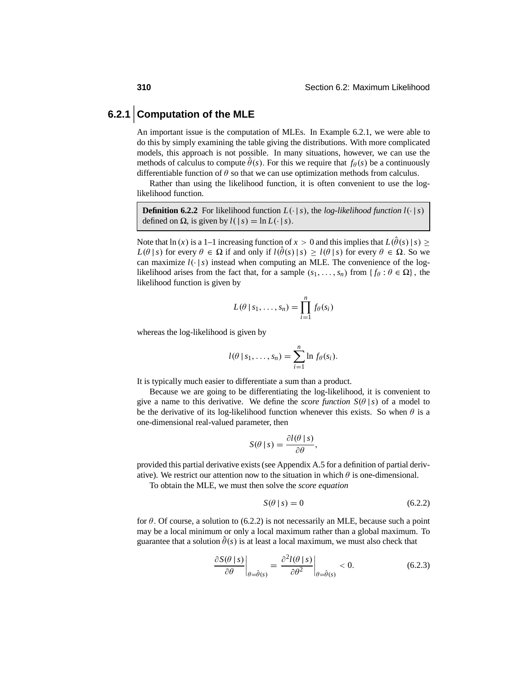### **6.2.1 Computation of the MLE**

An important issue is the computation of MLEs. In Example 6.2.1, we were able to do this by simply examining the table giving the distributions. With more complicated models, this approach is not possible. In many situations, however, we can use the methods of calculus to compute  $\hat{\theta}(s)$ . For this we require that  $f_{\theta}(s)$  be a continuously differentiable function of  $\theta$  so that we can use optimization methods from calculus.

Rather than using the likelihood function, it is often convenient to use the loglikelihood function.

**Definition 6.2.2** For likelihood function  $L(\cdot | s)$ , the *log-likelihood function*  $l(\cdot | s)$ defined on  $\Omega$ , is given by  $l(|s) = \ln L(\cdot | s)$ .

Note that  $\ln(x)$  is a 1–1 increasing function of  $x > 0$  and this implies that  $L(\hat{\theta}(s) | s) \ge$  $L(\theta | s)$  for every  $\theta \in \Omega$  if and only if  $l(\hat{\theta}(s) | s) > l(\theta | s)$  for every  $\theta \in \Omega$ . So we can maximize  $l(\cdot | s)$  instead when computing an MLE. The convenience of the loglikelihood arises from the fact that, for a sample  $(s_1, \ldots, s_n)$  from  $\{f_\theta : \theta \in \Omega\}$ , the likelihood function is given by

$$
L(\theta \mid s_1, \ldots, s_n) = \prod_{i=1}^n f_{\theta}(s_i)
$$

whereas the log-likelihood is given by

$$
l(\theta \mid s_1,\ldots,s_n) = \sum_{i=1}^n \ln f_\theta(s_i).
$$

It is typically much easier to differentiate a sum than a product.

Because we are going to be differentiating the log-likelihood, it is convenient to give a name to this derivative. We define the *score function*  $S(\theta | s)$  of a model to be the derivative of its log-likelihood function whenever this exists. So when  $\theta$  is a one-dimensional real-valued parameter, then

$$
S(\theta \mid s) = \frac{\partial l(\theta \mid s)}{\partial \theta},
$$

provided this partial derivative exists (see Appendix A.5 for a definition of partial derivative). We restrict our attention now to the situation in which  $\theta$  is one-dimensional.

To obtain the MLE, we must then solve the *score equation*

$$
S(\theta \mid s) = 0 \tag{6.2.2}
$$

for  $\theta$ . Of course, a solution to (6.2.2) is not necessarily an MLE, because such a point may be a local minimum or only a local maximum rather than a global maximum. To guarantee that a solution  $\hat{\theta}(s)$  is at least a local maximum, we must also check that

$$
\left. \frac{\partial S(\theta \mid s)}{\partial \theta} \right|_{\theta = \hat{\theta}(s)} = \left. \frac{\partial^2 l(\theta \mid s)}{\partial \theta^2} \right|_{\theta = \hat{\theta}(s)} < 0. \tag{6.2.3}
$$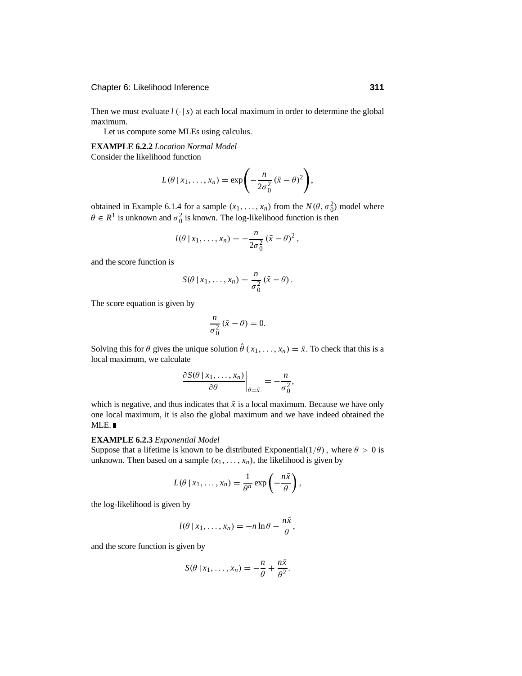Then we must evaluate  $l(\cdot | s)$  at each local maximum in order to determine the global maximum.

Let us compute some MLEs using calculus.

**EXAMPLE 6.2.2** *Location Normal Model* Consider the likelihood function

$$
L(\theta \mid x_1, \ldots, x_n) = \exp\left(-\frac{n}{2\sigma_0^2}(\bar{x} - \theta)^2\right),
$$

 $\ddot{\phantom{0}}$ 

obtained in Example 6.1.4 for a sample  $(x_1, \ldots, x_n)$  from the  $N(\theta, \sigma_0^2)$  model where  $\theta \in R^1$  is unknown and  $\sigma_0^2$  is known. The log-likelihood function is then

$$
l(\theta \mid x_1,\ldots,x_n)=-\frac{n}{2\sigma_0^2}(\bar{x}-\theta)^2,
$$

and the score function is

$$
S(\theta \mid x_1, \ldots, x_n) = \frac{n}{\sigma_0^2} (\bar{x} - \theta).
$$

The score equation is given by

$$
\frac{n}{\sigma_0^2}(\bar{x}-\theta)=0.
$$

Solving this for  $\theta$  gives the unique solution  $\hat{\theta}(x_1,...,x_n) = \bar{x}$ . To check that this is a local maximum, we calculate

$$
\left.\frac{\partial S(\theta\mid x_1,\ldots,x_n)}{\partial \theta}\right|_{\theta=\bar{x}_\cdot}=-\frac{n}{\sigma_0^2},
$$

which is negative, and thus indicates that  $\bar{x}$  is a local maximum. Because we have only one local maximum, it is also the global maximum and we have indeed obtained the MLE.

#### **EXAMPLE 6.2.3** *Exponential Model*

Suppose that a lifetime is known to be distributed Exponential( $1/\theta$ ), where  $\theta > 0$  is unknown. Then based on a sample  $(x_1, \ldots, x_n)$ , the likelihood is given by

$$
L(\theta \mid x_1, \ldots, x_n) = \frac{1}{\theta^n} \exp \left(-\frac{n\bar{x}}{\theta}\right),
$$

the log-likelihood is given by

$$
l(\theta \mid x_1,\ldots,x_n)=-n\ln\theta-\frac{n\bar{x}}{\theta},
$$

and the score function is given by

$$
S(\theta \mid x_1, \ldots, x_n) = -\frac{n}{\theta} + \frac{n\bar{x}}{\theta^2}.
$$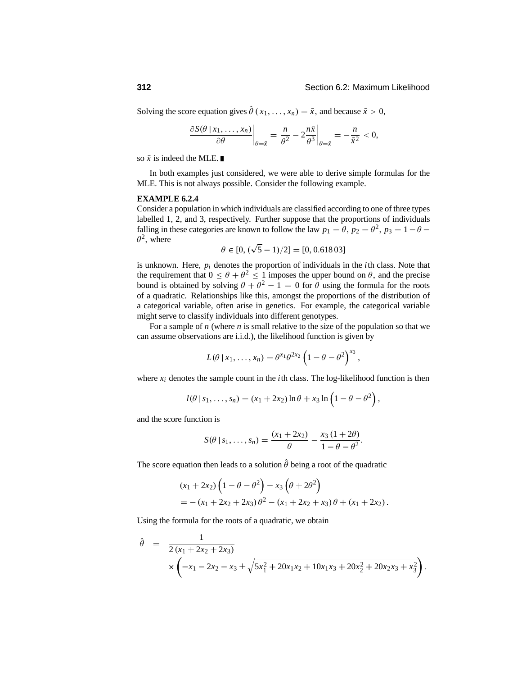Solving the score equation gives  $\hat{\theta}(x_1, \ldots, x_n) = \bar{x}$ , and because  $\bar{x} > 0$ ,

$$
\left.\frac{\partial S(\theta\mid x_1,\ldots,x_n)}{\partial \theta}\right|_{\theta=\bar{x}}=\left.\frac{n}{\theta^2}-2\frac{n\bar{x}}{\theta^3}\right|_{\theta=\bar{x}}=-\frac{n}{\bar{x}^2}<0,
$$

so  $\bar{x}$  is indeed the MLE.

In both examples just considered, we were able to derive simple formulas for the MLE. This is not always possible. Consider the following example.

#### **EXAMPLE 6.2.4**

Consider a population in which individuals are classified according to one of three types labelled 1, 2, and 3, respectively. Further suppose that the proportions of individuals falling in these categories are known to follow the law  $p_1 = \theta$ ,  $p_2 = \theta^2$ ,  $p_3 = 1 - \theta$  $\theta^2$ , where

$$
\theta \in [0, (\sqrt{5} - 1)/2] = [0, 0.61803]
$$

is unknown. Here, *pi* denotes the proportion of individuals in the *i*th class. Note that the requirement that  $0 \le \theta + \theta^2 \le 1$  imposes the upper bound on  $\theta$ , and the precise bound is obtained by solving  $\theta + \theta^2 - 1 = 0$  for  $\theta$  using the formula for the roots of a quadratic. Relationships like this, amongst the proportions of the distribution of a categorical variable, often arise in genetics. For example, the categorical variable might serve to classify individuals into different genotypes.

For a sample of *n* (where *n* is small relative to the size of the population so that we can assume observations are i.i.d.), the likelihood function is given by

$$
L(\theta \mid x_1,\ldots,x_n) = \theta^{x_1} \theta^{2x_2} \left(1 - \theta - \theta^2\right)^{x_3},
$$

where  $x_i$  denotes the sample count in the *i*th class. The log-likelihood function is then

$$
l(\theta \mid s_1,\ldots,s_n) = (x_1+2x_2) \ln \theta + x_3 \ln \left(1-\theta-\theta^2\right),
$$

and the score function is

$$
S(\theta \,|\, s_1,\ldots,s_n) = \frac{(x_1+2x_2)}{\theta} - \frac{x_3(1+2\theta)}{1-\theta-\theta^2}.
$$

The score equation then leads to a solution  $\hat{\theta}$  being a root of the quadratic

$$
(x_1 + 2x_2) (1 - \theta - \theta^2) - x_3 (\theta + 2\theta^2)
$$
  
=  $-(x_1 + 2x_2 + 2x_3)\theta^2 - (x_1 + 2x_2 + x_3)\theta + (x_1 + 2x_2).$ 

Using the formula for the roots of a quadratic, we obtain

$$
\hat{\theta} = \frac{1}{2(x_1 + 2x_2 + 2x_3)} \times \left( -x_1 - 2x_2 - x_3 \pm \sqrt{5x_1^2 + 20x_1x_2 + 10x_1x_3 + 20x_2^2 + 20x_2x_3 + x_3^2} \right).
$$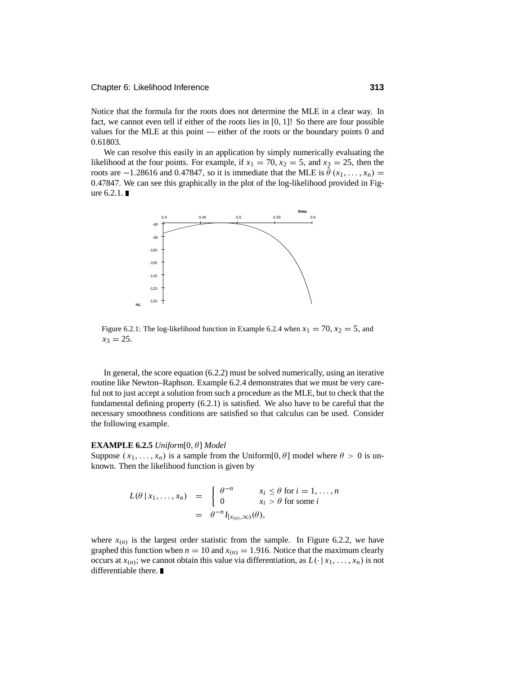Notice that the formula for the roots does not determine the MLE in a clear way. In fact, we cannot even tell if either of the roots lies in [0, 1]! So there are four possible values for the MLE at this point — either of the roots or the boundary points 0 and 0.61803.

We can resolve this easily in an application by simply numerically evaluating the likelihood at the four points. For example, if  $x_1 = 70$ ,  $x_2 = 5$ , and  $x_3 = 25$ , then the roots are  $-1.28616$  and 0.47847, so it is immediate that the MLE is  $\hat{\theta}(x_1,...,x_n)$  = 0.47847. We can see this graphically in the plot of the log-likelihood provided in Figure  $6.2.1$ .



Figure 6.2.1: The log-likelihood function in Example 6.2.4 when  $x_1 = 70$ ,  $x_2 = 5$ , and  $x_3 = 25.$ 

In general, the score equation (6.2.2) must be solved numerically, using an iterative routine like Newton–Raphson. Example 6.2.4 demonstrates that we must be very careful not to just accept a solution from such a procedure as the MLE, but to check that the fundamental defining property (6.2.1) is satisfied. We also have to be careful that the necessary smoothness conditions are satisfied so that calculus can be used. Consider the following example.

#### **EXAMPLE 6.2.5** *Uniform*[0, θ] *Model*

Suppose  $(x_1,...,x_n)$  is a sample from the Uniform[0,  $\theta$ ] model where  $\theta > 0$  is unknown. Then the likelihood function is given by

$$
L(\theta \mid x_1, \dots, x_n) = \begin{cases} \theta^{-n} & x_i \le \theta \text{ for } i = 1, \dots, n \\ 0 & x_i > \theta \text{ for some } i \end{cases}
$$
  
=  $\theta^{-n} I_{[x_{(n)}, \infty)}(\theta)$ ,

where  $x_{(n)}$  is the largest order statistic from the sample. In Figure 6.2.2, we have graphed this function when  $n = 10$  and  $x_{(n)} = 1.916$ . Notice that the maximum clearly occurs at  $x_{(n)}$ ; we cannot obtain this value via differentiation, as  $L(\cdot | x_1, \ldots, x_n)$  is not differentiable there.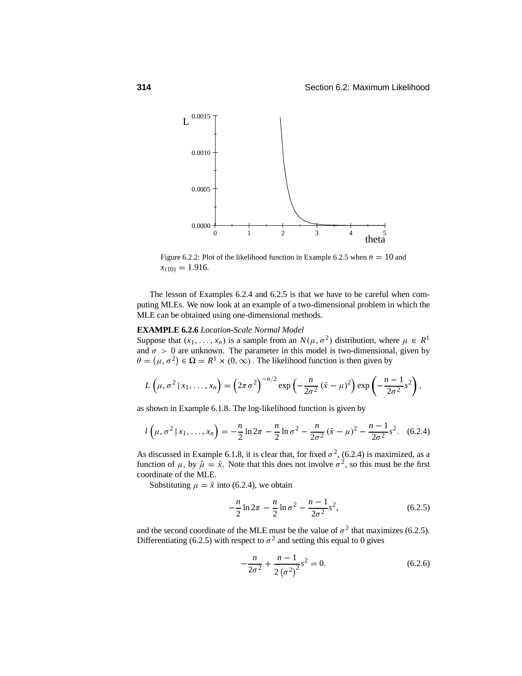

Figure 6.2.2: Plot of the likelihood function in Example 6.2.5 when  $n = 10$  and  $x_{(10)} = 1.916.$ 

The lesson of Examples 6.2.4 and 6.2.5 is that we have to be careful when computing MLEs. We now look at an example of a two-dimensional problem in which the MLE can be obtained using one-dimensional methods.

#### **EXAMPLE 6.2.6** *Location***-***Scale Normal Model*

Suppose that  $(x_1, \ldots, x_n)$  is a sample from an  $N(\mu, \sigma^2)$  distribution, where  $\mu \in R^1$ and  $\sigma > 0$  are unknown. The parameter in this model is two-dimensional, given by  $\theta = (\mu, \sigma^2) \in \Omega = R^1 \times (0, \infty)$ . The likelihood function is then given by

$$
L\left(\mu, \sigma^2 \mid x_1,\ldots,x_n\right) = \left(2\pi\sigma^2\right)^{-n/2} \exp\left(-\frac{n}{2\sigma^2}\left(\bar{x} - \mu\right)^2\right) \exp\left(-\frac{n-1}{2\sigma^2}s^2\right),
$$

as shown in Example 6.1.8. The log-likelihood function is given by

$$
l\left(\mu, \sigma^2 \,|\, x_1, \ldots, x_n\right) = -\frac{n}{2} \ln 2\pi - \frac{n}{2} \ln \sigma^2 - \frac{n}{2\sigma^2} \left(\bar{x} - \mu\right)^2 - \frac{n-1}{2\sigma^2} s^2. \tag{6.2.4}
$$

As discussed in Example 6.1.8, it is clear that, for fixed  $\sigma^2$ , (6.2.4) is maximized, as a function of  $\mu$ , by  $\hat{\mu} = \bar{x}$ . Note that this does not involve  $\sigma^2$ , so this must be the first coordinate of the MLE.

Substituting  $\mu = \bar{x}$  into (6.2.4), we obtain

$$
-\frac{n}{2}\ln 2\pi - \frac{n}{2}\ln \sigma^2 - \frac{n-1}{2\sigma^2}s^2,
$$
\t(6.2.5)

and the second coordinate of the MLE must be the value of  $\sigma^2$  that maximizes (6.2.5). Differentiating (6.2.5) with respect to  $\sigma^2$  and setting this equal to 0 gives

$$
-\frac{n}{2\sigma^2} + \frac{n-1}{2(\sigma^2)^2} s^2 = 0.
$$
 (6.2.6)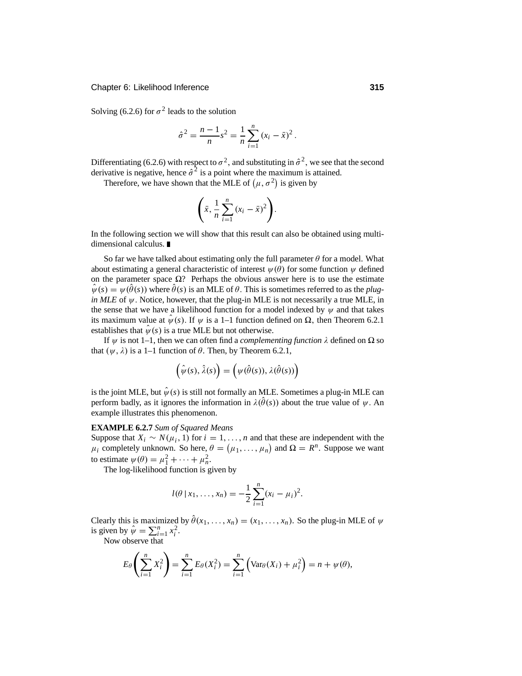Solving (6.2.6) for  $\sigma^2$  leads to the solution

$$
\hat{\sigma}^2 = \frac{n-1}{n} s^2 = \frac{1}{n} \sum_{i=1}^n (x_i - \bar{x})^2.
$$

Differentiating (6.2.6) with respect to  $\sigma^2$ , and substituting in  $\hat{\sigma}^2$ , we see that the second derivative is negative, hence  $\hat{\sigma}^2$  is a point where the maximum is attained.

Therefore, we have shown that the MLE of  $(\mu, \sigma^2)$  is given by

$$
\left(\bar{x},\frac{1}{n}\sum_{i=1}^n(x_i-\bar{x})^2\right).
$$

In the following section we will show that this result can also be obtained using multidimensional calculus.

So far we have talked about estimating only the full parameter  $\theta$  for a model. What about estimating a general characteristic of interest  $\psi(\theta)$  for some function  $\psi$  defined on the parameter space  $\Omega$ ? Perhaps the obvious answer here is to use the estimate  $\psi(s) = \psi(\hat{\theta}(s))$  where  $\hat{\theta}(s)$  is an MLE of  $\theta$ . This is sometimes referred to as the *plugin MLE* of  $\psi$ . Notice, however, that the plug-in MLE is not necessarily a true MLE, in the sense that we have a likelihood function for a model indexed by  $\psi$  and that takes its maximum value at  $\hat{\psi}(s)$ . If  $\psi$  is a 1–1 function defined on  $\Omega$ , then Theorem 6.2.1 establishes that  $\hat{\psi}(s)$  is a true MLE but not otherwise.

If  $\psi$  is not 1–1, then we can often find a *complementing function*  $\lambda$  defined on  $\Omega$  so that  $(\psi, \lambda)$  is a 1–1 function of  $\theta$ . Then, by Theorem 6.2.1,

$$
\left(\hat{\psi}(s),\hat{\lambda}(s)\right) = \left(\psi(\hat{\theta}(s)),\lambda(\hat{\theta}(s))\right)
$$

is the joint MLE, but  $\hat{\psi}(s)$  is still not formally an MLE. Sometimes a plug-in MLE can perform badly, as it ignores the information in  $\lambda(\hat{\theta}(s))$  about the true value of  $\psi$ . An example illustrates this phenomenon.

#### **EXAMPLE 6.2.7** *Sum of Squared Means*

Suppose that  $X_i \sim N(\mu_i, 1)$  for  $i = 1, \ldots, n$  and that these are independent with the  $\mu_i$  completely unknown. So here,  $\theta = (\mu_1, \dots, \mu_n)$  and  $\Omega = R^n$ . Suppose we want to estimate  $\psi(\theta) = \mu_1^2 + \cdots + \mu_n^2$ .

The log-likelihood function is given by

$$
l(\theta \,|\, x_1,\ldots,x_n)=-\frac{1}{2}\sum_{i=1}^n(x_i-\mu_i)^2.
$$

Clearly this is maximized by  $\hat{\theta}(x_1, \ldots, x_n) = (x_1, \ldots, x_n)$ . So the plug-in MLE of  $\psi$ is given by  $\hat{\psi} = \sum_{i=1}^{n} x_i^2$ .

Now observe that

$$
E_{\theta}\left(\sum_{i=1}^{n} X_{i}^{2}\right) = \sum_{i=1}^{n} E_{\theta}(X_{i}^{2}) = \sum_{i=1}^{n} \left(\text{Var}_{\theta}(X_{i}) + \mu_{i}^{2}\right) = n + \psi(\theta),
$$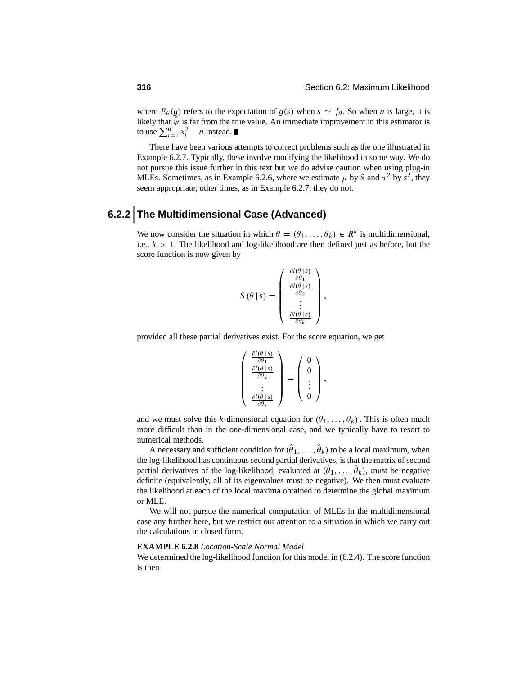where  $E_{\theta}(g)$  refers to the expectation of  $g(s)$  when  $s \sim f_{\theta}$ . So when *n* is large, it is likely that  $\psi$  is far from the true value. An immediate improvement in this estimator is to use  $\sum_{i=1}^{n} x_i^2 - n$  instead.

There have been various attempts to correct problems such as the one illustrated in Example 6.2.7. Typically, these involve modifying the likelihood in some way. We do not pursue this issue further in this text but we do advise caution when using plug-in MLEs. Sometimes, as in Example 6.2.6, where we estimate  $\mu$  by  $\bar{x}$  and  $\sigma^2$  by  $s^2$ , they seem appropriate; other times, as in Example 6.2.7, they do not.

### **6.2.2 The Multidimensional Case (Advanced)**

We now consider the situation in which  $\theta = (\theta_1, \dots, \theta_k) \in R^k$  is multidimensional, i.e.,  $k > 1$ . The likelihood and log-likelihood are then defined just as before, but the score function is now given by

$$
S(\theta \mid s) = \begin{pmatrix} \frac{\partial l(\theta \mid s)}{\partial \theta_1} \\ \frac{\partial l(\theta \mid s)}{\partial \theta_2} \\ \vdots \\ \frac{\partial l(\theta \mid s)}{\partial \theta_k} \end{pmatrix}
$$

,

provided all these partial derivatives exist. For the score equation, we get

$$
\begin{pmatrix}\n\frac{\partial l(\theta \mid s)}{\partial \theta_1} \\
\frac{\partial l(\theta \mid s)}{\partial \theta_2} \\
\vdots \\
\frac{\partial l(\theta \mid s)}{\partial \theta_k}\n\end{pmatrix} = \begin{pmatrix}\n0 \\
0 \\
\vdots \\
0\n\end{pmatrix},
$$

and we must solve this *k*-dimensional equation for  $(\theta_1, \ldots, \theta_k)$ . This is often much more difficult than in the one-dimensional case, and we typically have to resort to numerical methods.

A necessary and sufficient condition for  $(\hat{\theta}_1, \ldots, \hat{\theta}_k)$  to be a local maximum, when the log-likelihood has continuous second partial derivatives, is that the matrix of second partial derivatives of the log-likelihood, evaluated at  $(\hat{\theta}_1, \dots, \hat{\theta}_k)$ , must be negative definite (equivalently, all of its eigenvalues must be negative). We then must evaluate the likelihood at each of the local maxima obtained to determine the global maximum or MLE.

We will not pursue the numerical computation of MLEs in the multidimensional case any further here, but we restrict our attention to a situation in which we carry out the calculations in closed form.

#### **EXAMPLE 6.2.8** *Location***-***Scale Normal Model*

We determined the log-likelihood function for this model in (6.2.4). The score function is then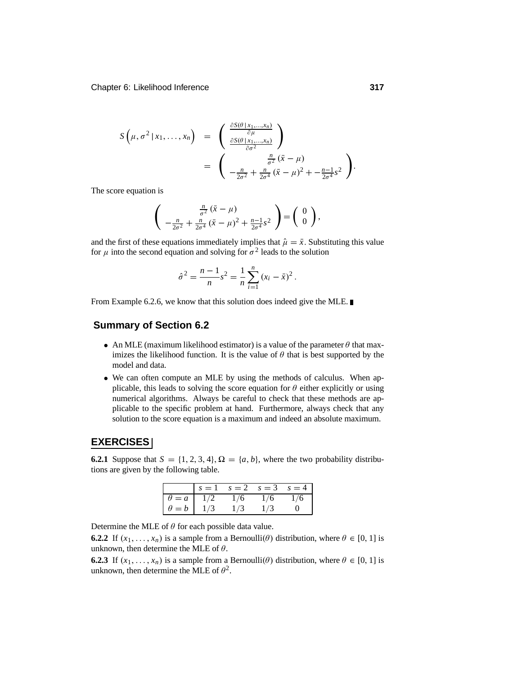$$
S\left(\mu, \sigma^2 | x_1, \ldots, x_n\right) = \left(\begin{array}{c} \frac{\partial S(\theta | x_1, \ldots, x_n)}{\partial \mu} \\ \frac{\partial S(\theta | x_1, \ldots, x_n)}{\partial \sigma^2} \end{array}\right)
$$
  
= 
$$
\left(\begin{array}{c} \frac{n}{\sigma^2} (\bar{x} - \mu) \\ -\frac{n}{2\sigma^2} + \frac{n}{2\sigma^4} (\bar{x} - \mu)^2 + -\frac{n-1}{2\sigma^4} s^2 \end{array}\right).
$$

The score equation is

$$
\left(\begin{array}{c} \frac{n}{\sigma^2}(\bar{x} - \mu) \\ -\frac{n}{2\sigma^2} + \frac{n}{2\sigma^4}(\bar{x} - \mu)^2 + \frac{n-1}{2\sigma^4}s^2 \end{array}\right) = \left(\begin{array}{c} 0 \\ 0 \end{array}\right),
$$

and the first of these equations immediately implies that  $\hat{\mu} = \bar{x}$ . Substituting this value for  $\mu$  into the second equation and solving for  $\sigma^2$  leads to the solution

$$
\hat{\sigma}^2 = \frac{n-1}{n} s^2 = \frac{1}{n} \sum_{i=1}^n (x_i - \bar{x})^2.
$$

From Example 6.2.6, we know that this solution does indeed give the MLE.

#### **Summary of Section 6.2**

- An MLE (maximum likelihood estimator) is a value of the parameter  $\theta$  that maximizes the likelihood function. It is the value of  $\theta$  that is best supported by the model and data.
- We can often compute an MLE by using the methods of calculus. When applicable, this leads to solving the score equation for  $\theta$  either explicitly or using numerical algorithms. Always be careful to check that these methods are applicable to the specific problem at hand. Furthermore, always check that any solution to the score equation is a maximum and indeed an absolute maximum.

### **EXERCISES**

**6.2.1** Suppose that  $S = \{1, 2, 3, 4\}, \Omega = \{a, b\}$ , where the two probability distributions are given by the following table.

|              | $s=1$ | $s=2$ | $s=3$ | $s = 4$ |
|--------------|-------|-------|-------|---------|
| $\theta = a$ | 1/2   | 1/6   | 1/6   | /6      |
| $\theta = b$ |       |       |       |         |

Determine the MLE of  $\theta$  for each possible data value.

**6.2.2** If  $(x_1, \ldots, x_n)$  is a sample from a Bernoulli( $\theta$ ) distribution, where  $\theta \in [0, 1]$  is unknown, then determine the MLE of  $\theta$ .

**6.2.3** If  $(x_1, \ldots, x_n)$  is a sample from a Bernoulli( $\theta$ ) distribution, where  $\theta \in [0, 1]$  is unknown, then determine the MLE of  $\theta^2$ .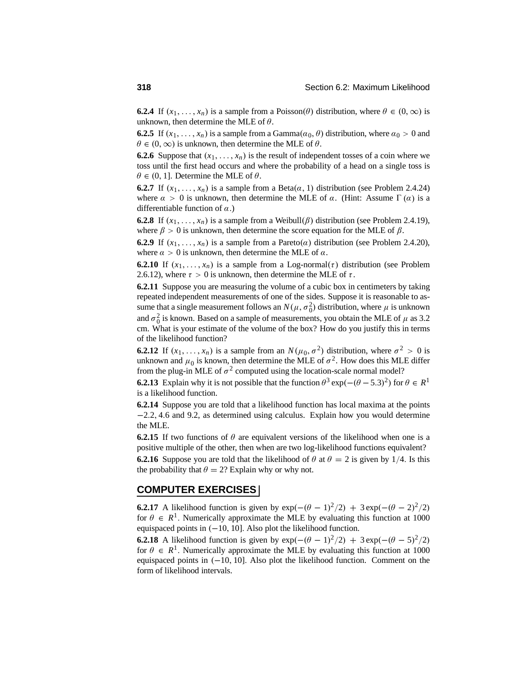**6.2.4** If  $(x_1, \ldots, x_n)$  is a sample from a Poisson $(\theta)$  distribution, where  $\theta \in (0, \infty)$  is unknown, then determine the MLE of  $\theta$ .

**6.2.5** If  $(x_1, \ldots, x_n)$  is a sample from a Gamma $(\alpha_0, \theta)$  distribution, where  $\alpha_0 > 0$  and  $\theta \in (0, \infty)$  is unknown, then determine the MLE of  $\theta$ .

**6.2.6** Suppose that  $(x_1, \ldots, x_n)$  is the result of independent tosses of a coin where we toss until the first head occurs and where the probability of a head on a single toss is  $\theta \in (0, 1]$ . Determine the MLE of  $\theta$ .

**6.2.7** If  $(x_1, \ldots, x_n)$  is a sample from a Beta $(\alpha, 1)$  distribution (see Problem 2.4.24) where  $\alpha > 0$  is unknown, then determine the MLE of  $\alpha$ . (Hint: Assume  $\Gamma(\alpha)$  is a differentiable function of  $\alpha$ .)

**6.2.8** If  $(x_1, \ldots, x_n)$  is a sample from a Weibull( $\beta$ ) distribution (see Problem 2.4.19), where  $\beta > 0$  is unknown, then determine the score equation for the MLE of  $\beta$ .

**6.2.9** If  $(x_1, \ldots, x_n)$  is a sample from a Pareto( $\alpha$ ) distribution (see Problem 2.4.20), where  $\alpha > 0$  is unknown, then determine the MLE of  $\alpha$ .

**6.2.10** If  $(x_1, \ldots, x_n)$  is a sample from a Log-normal( $\tau$ ) distribution (see Problem 2.6.12), where  $\tau > 0$  is unknown, then determine the MLE of  $\tau$ .

**6.2.11** Suppose you are measuring the volume of a cubic box in centimeters by taking repeated independent measurements of one of the sides. Suppose it is reasonable to assume that a single measurement follows an  $N(\mu, \sigma_0^2)$  distribution, where  $\mu$  is unknown and  $\sigma_0^2$  is known. Based on a sample of measurements, you obtain the MLE of  $\mu$  as 3.2 cm. What is your estimate of the volume of the box? How do you justify this in terms of the likelihood function?

**6.2.12** If  $(x_1, \ldots, x_n)$  is a sample from an  $N(\mu_0, \sigma^2)$  distribution, where  $\sigma^2 > 0$  is unknown and  $\mu_0$  is known, then determine the MLE of  $\sigma^2$ . How does this MLE differ from the plug-in MLE of  $\sigma^2$  computed using the location-scale normal model?

**6.2.13** Explain why it is not possible that the function  $\theta^3$  exp( $-(\theta - 5.3)^2$ ) for  $\theta \in R^1$ is a likelihood function.

**6.2.14** Suppose you are told that a likelihood function has local maxima at the points <sup>−</sup>2.2, <sup>4</sup>.6 and 9.2, as determined using calculus. Explain how you would determine the MLE.

**6.2.15** If two functions of  $\theta$  are equivalent versions of the likelihood when one is a positive multiple of the other, then when are two log-likelihood functions equivalent? **6.2.16** Suppose you are told that the likelihood of  $\theta$  at  $\theta = 2$  is given by 1/4. Is this the probability that  $\theta = 2$ ? Explain why or why not.

#### **COMPUTER EXERCISES**

**6.2.17** A likelihood function is given by  $exp(-(\theta - 1)^2/2) + 3exp(-(\theta - 2)^2/2)$ for  $\theta \in R^1$ . Numerically approximate the MLE by evaluating this function at 1000 equispaced points in (−10, 10]. Also plot the likelihood function.

**6.2.18** A likelihood function is given by  $exp(-(\theta - 1)^2/2) + 3exp(-(\theta - 5)^2/2)$ for  $\theta \in R^1$ . Numerically approximate the MLE by evaluating this function at 1000 equispaced points in (−10, 10]. Also plot the likelihood function. Comment on the form of likelihood intervals.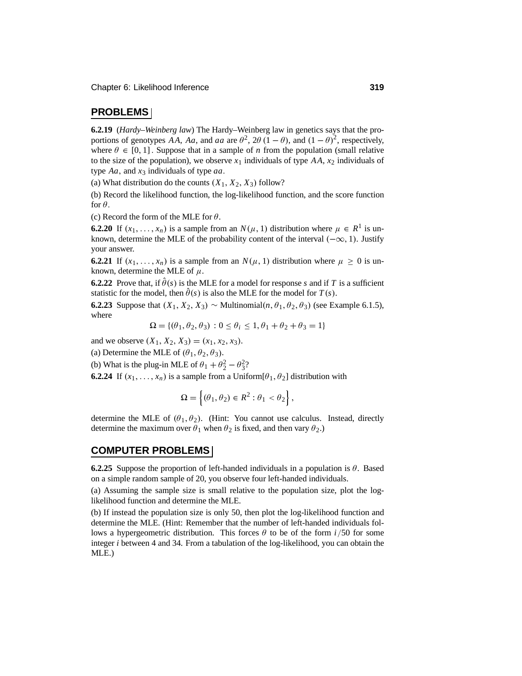#### **PROBLEMS**

**6.2.19** (*Hardy–Weinberg law*) The Hardy–Weinberg law in genetics says that the proportions of genotypes *AA*, *Aa*, and *aa* are  $\theta^2$ ,  $2\theta$  (1 −  $\theta$ ), and (1 −  $\theta$ )<sup>2</sup>, respectively, where  $\theta \in [0, 1]$ . Suppose that in a sample of *n* from the population (small relative to the size of the population), we observe  $x_1$  individuals of type AA,  $x_2$  individuals of type *Aa*, and *x*<sup>3</sup> individuals of type *aa*.

(a) What distribution do the counts  $(X_1, X_2, X_3)$  follow?

(b) Record the likelihood function, the log-likelihood function, and the score function for  $\theta$ .

(c) Record the form of the MLE for  $\theta$ .

**6.2.20** If  $(x_1, \ldots, x_n)$  is a sample from an  $N(\mu, 1)$  distribution where  $\mu \in R^1$  is unknown, determine the MLE of the probability content of the interval  $(-\infty, 1)$ . Justify your answer.

**6.2.21** If  $(x_1, \ldots, x_n)$  is a sample from an  $N(\mu, 1)$  distribution where  $\mu \geq 0$  is unknown, determine the MLE of  $\mu$ .

**6.2.22** Prove that, if  $\hat{\theta}(s)$  is the MLE for a model for response *s* and if *T* is a sufficient statistic for the model, then  $\hat{\theta}(s)$  is also the MLE for the model for  $T(s)$ .

**6.2.23** Suppose that  $(X_1, X_2, X_3) \sim \text{Multinomial}(n, \theta_1, \theta_2, \theta_3)$  (see Example 6.1.5), where

$$
\Omega = \{(\theta_1, \theta_2, \theta_3) : 0 \le \theta_i \le 1, \theta_1 + \theta_2 + \theta_3 = 1\}
$$

and we observe  $(X_1, X_2, X_3) = (x_1, x_2, x_3)$ .

(a) Determine the MLE of  $(\theta_1, \theta_2, \theta_3)$ .

(b) What is the plug-in MLE of  $\theta_1 + \theta_2^2 - \theta_3^2$ ?

**6.2.24** If  $(x_1, \ldots, x_n)$  is a sample from a Uniform $[\theta_1, \theta_2]$  distribution with

$$
\Omega = \left\{ (\theta_1, \theta_2) \in R^2 : \theta_1 < \theta_2 \right\},\
$$

determine the MLE of  $(\theta_1, \theta_2)$ . (Hint: You cannot use calculus. Instead, directly determine the maximum over  $\theta_1$  when  $\theta_2$  is fixed, and then vary  $\theta_2$ .)

#### **COMPUTER PROBLEMS**

**6.2.25** Suppose the proportion of left-handed individuals in a population is  $\theta$ . Based on a simple random sample of 20, you observe four left-handed individuals.

(a) Assuming the sample size is small relative to the population size, plot the loglikelihood function and determine the MLE.

(b) If instead the population size is only 50, then plot the log-likelihood function and determine the MLE. (Hint: Remember that the number of left-handed individuals follows a hypergeometric distribution. This forces  $\theta$  to be of the form  $i/50$  for some integer *i* between 4 and 34. From a tabulation of the log-likelihood, you can obtain the MLE.)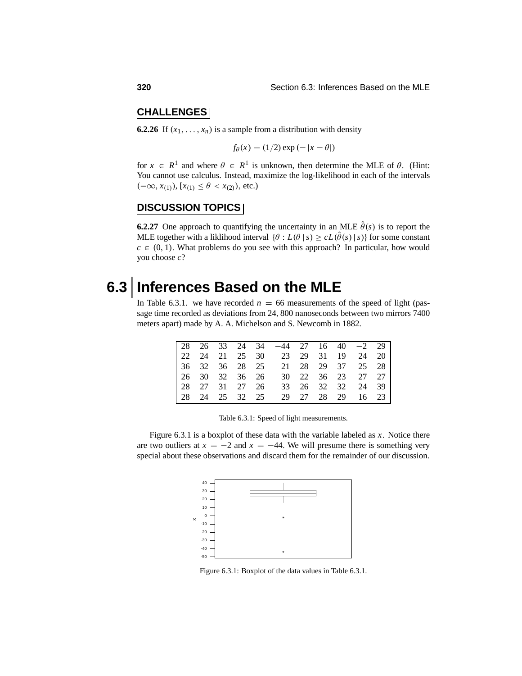#### **CHALLENGES**

**6.2.26** If  $(x_1, \ldots, x_n)$  is a sample from a distribution with density

$$
f_{\theta}(x) = (1/2) \exp(-|x - \theta|)
$$

for  $x \in R^1$  and where  $\theta \in R^1$  is unknown, then determine the MLE of  $\theta$ . (Hint: You cannot use calculus. Instead, maximize the log-likelihood in each of the intervals  $(-∞, x<sub>(1)</sub>), [x<sub>(1)</sub> ≤ θ < x<sub>(2)</sub>), etc.)$ 

### **DISCUSSION TOPICS**

**6.2.27** One approach to quantifying the uncertainty in an MLE  $\hat{\theta}(s)$  is to report the MLE together with a liklihood interval  $\{\theta : L(\theta | s) \ge cL(\hat{\theta}(s) | s)\}$  for some constant  $c \in (0, 1)$ . What problems do you see with this approach? In particular, how would you choose *c*?

## **6.3 Inferences Based on the MLE**

In Table 6.3.1. we have recorded  $n = 66$  measurements of the speed of light (passage time recorded as deviations from 24, 800 nanoseconds between two mirrors 7400 meters apart) made by A. A. Michelson and S. Newcomb in 1882.

|                  |  |  | 28 26 33 24 34 -44 27 16 40 -2 29  |  |                   |  |
|------------------|--|--|------------------------------------|--|-------------------|--|
|                  |  |  | 1 22 24 21 25 30 23 29 31 19 24 20 |  |                   |  |
| 36 32 36 28 25   |  |  | 21 28 29 37 25 28                  |  |                   |  |
| 26 30 32 36 26   |  |  |                                    |  | 30 22 36 23 27 27 |  |
| 28 27 31 27 26   |  |  | 33 26 32 32                        |  | 24 39             |  |
| 1 28 24 25 32 25 |  |  |                                    |  | 29 27 28 29 16 23 |  |

Table 6.3.1: Speed of light measurements.

Figure 6.3.1 is a boxplot of these data with the variable labeled as *x*. Notice there are two outliers at  $x = -2$  and  $x = -44$ . We will presume there is something very special about these observations and discard them for the remainder of our discussion.



Figure 6.3.1: Boxplot of the data values in Table 6.3.1.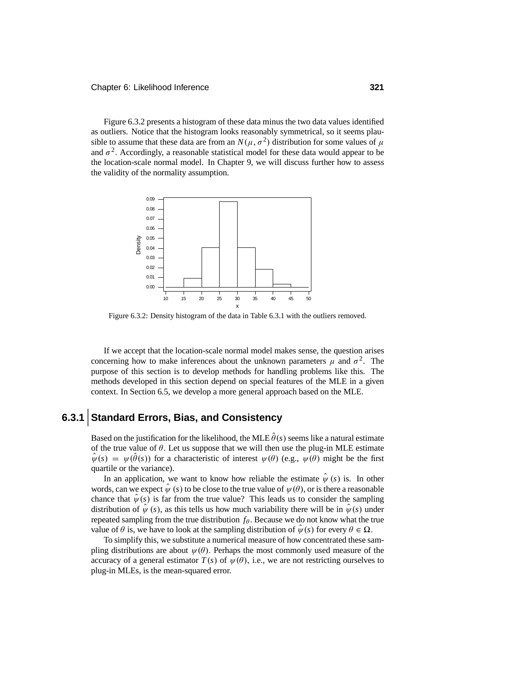Figure 6.3.2 presents a histogram of these data minus the two data values identified as outliers. Notice that the histogram looks reasonably symmetrical, so it seems plausible to assume that these data are from an  $N(\mu, \sigma^2)$  distribution for some values of  $\mu$ and  $\sigma^2$ . Accordingly, a reasonable statistical model for these data would appear to be the location-scale normal model. In Chapter 9, we will discuss further how to assess the validity of the normality assumption.



Figure 6.3.2: Density histogram of the data in Table 6.3.1 with the outliers removed.

If we accept that the location-scale normal model makes sense, the question arises concerning how to make inferences about the unknown parameters  $\mu$  and  $\sigma^2$ . The purpose of this section is to develop methods for handling problems like this. The methods developed in this section depend on special features of the MLE in a given context. In Section 6.5, we develop a more general approach based on the MLE.

### **6.3.1 Standard Errors, Bias, and Consistency**

Based on the justification for the likelihood, the MLE  $\hat{\theta}(s)$  seems like a natural estimate of the true value of  $\theta$ . Let us suppose that we will then use the plug-in MLE estimate  $\hat{\psi}(s) = \psi(\hat{\theta}(s))$  for a characteristic of interest  $\psi(\theta)$  (e.g.,  $\psi(\theta)$  might be the first quartile or the variance).

In an application, we want to know how reliable the estimate  $\hat{\psi}(s)$  is. In other words, can we expect  $\psi(s)$  to be close to the true value of  $\psi(\theta)$ , or is there a reasonable chance that  $\hat{\psi}(s)$  is far from the true value? This leads us to consider the sampling distribution of  $\psi$  (*s*), as this tells us how much variability there will be in  $\psi$  (*s*) under repeated sampling from the true distribution  $f_{\theta}$ . Because we do not know what the true value of  $\theta$  is, we have to look at the sampling distribution of  $\psi(s)$  for every  $\theta \in \Omega$ .

To simplify this, we substitute a numerical measure of how concentrated these sampling distributions are about  $\psi(\theta)$ . Perhaps the most commonly used measure of the accuracy of a general estimator  $T(s)$  of  $\psi(\theta)$ , i.e., we are not restricting ourselves to plug-in MLEs, is the mean-squared error.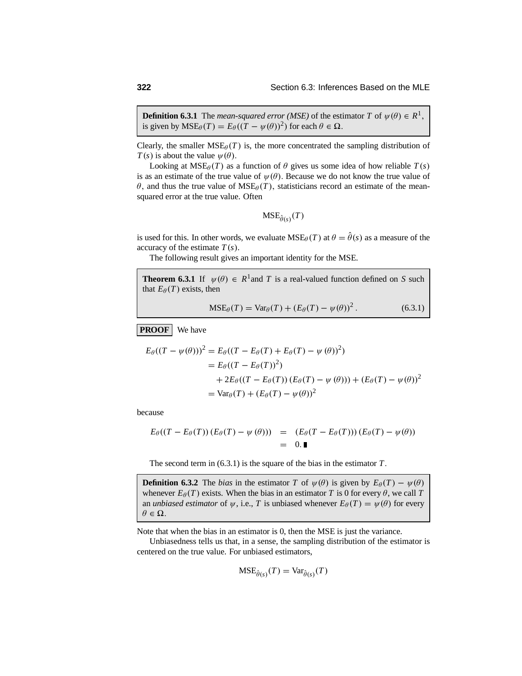**Definition 6.3.1** The *mean-squared error (MSE)* of the estimator *T* of  $\psi(\theta) \in R^1$ , is given by  $MSE_{\theta}(T) = E_{\theta}((T - \psi(\theta))^2)$  for each  $\theta \in \Omega$ .

Clearly, the smaller  $MSE_{\theta}(T)$  is, the more concentrated the sampling distribution of *T*(*s*) is about the value  $\psi(\theta)$ .

Looking at  $MSE_{\theta}(T)$  as a function of  $\theta$  gives us some idea of how reliable  $T(s)$ is as an estimate of the true value of  $\psi(\theta)$ . Because we do not know the true value of  $\theta$ , and thus the true value of  $MSE_{\theta}(T)$ , statisticians record an estimate of the meansquared error at the true value. Often

$$
\text{MSE}_{\hat{\theta}(s)}(T)
$$

is used for this. In other words, we evaluate  $MSE_{\theta}(T)$  at  $\theta = \hat{\theta}(s)$  as a measure of the accuracy of the estimate *T* (*s*).

The following result gives an important identity for the MSE.

**Theorem 6.3.1** If  $\psi(\theta) \in R^1$ and *T* is a real-valued function defined on *S* such that  $E_{\theta}(T)$  exists, then

$$
MSE_{\theta}(T) = Var_{\theta}(T) + (E_{\theta}(T) - \psi(\theta))^2.
$$
 (6.3.1)

**PROOF** We have

$$
E_{\theta}((T - \psi(\theta)))^{2} = E_{\theta}((T - E_{\theta}(T) + E_{\theta}(T) - \psi(\theta))^{2})
$$
  
=  $E_{\theta}((T - E_{\theta}(T))^{2})$   
+  $2E_{\theta}((T - E_{\theta}(T)) (E_{\theta}(T) - \psi(\theta))) + (E_{\theta}(T) - \psi(\theta))^{2}$   
=  $Var_{\theta}(T) + (E_{\theta}(T) - \psi(\theta))^{2}$ 

because

$$
E_{\theta}((T - E_{\theta}(T)) (E_{\theta}(T) - \psi(\theta))) = (E_{\theta}(T - E_{\theta}(T))) (E_{\theta}(T) - \psi(\theta))
$$
  
= 0.

The second term in (6.3.1) is the square of the bias in the estimator *T*.

**Definition 6.3.2** The *bias* in the estimator *T* of  $\psi(\theta)$  is given by  $E_{\theta}(T) - \psi(\theta)$ whenever  $E_{\theta}(T)$  exists. When the bias in an estimator *T* is 0 for every  $\theta$ , we call *T* an *unbiased estimator* of  $\psi$ , i.e., *T* is unbiased whenever  $E_{\theta}(T) = \psi(\theta)$  for every  $\theta \in \Omega$ .

Note that when the bias in an estimator is 0, then the MSE is just the variance.

Unbiasedness tells us that, in a sense, the sampling distribution of the estimator is centered on the true value. For unbiased estimators,

$$
MSE_{\hat{\theta}(s)}(T) = \text{Var}_{\hat{\theta}(s)}(T)
$$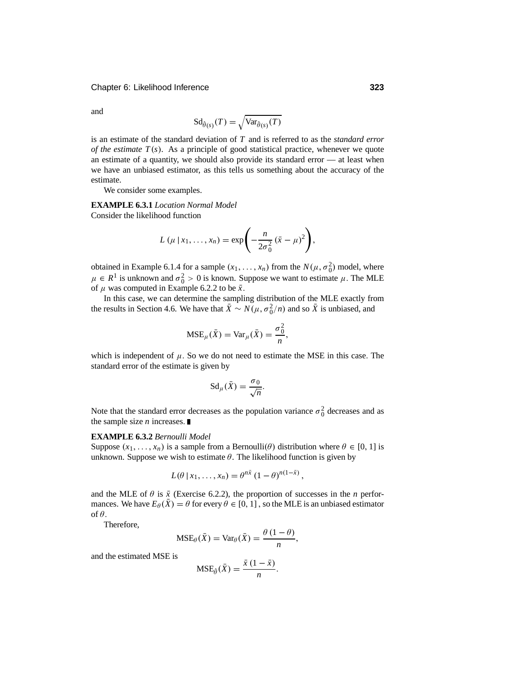and

$$
\mathrm{Sd}_{\hat{\theta}(s)}(T) = \sqrt{\mathrm{Var}_{\hat{\theta}(s)}(T)}
$$

is an estimate of the standard deviation of *T* and is referred to as the *standard error of the estimate*  $T(s)$ . As a principle of good statistical practice, whenever we quote an estimate of a quantity, we should also provide its standard error — at least when we have an unbiased estimator, as this tells us something about the accuracy of the estimate.

We consider some examples.

**EXAMPLE 6.3.1** *Location Normal Model* Consider the likelihood function

$$
L(\mu | x_1,\ldots,x_n)=\exp\left(-\frac{n}{2\sigma_0^2}(\bar{x}-\mu)^2\right),\,
$$

obtained in Example 6.1.4 for a sample  $(x_1, \ldots, x_n)$  from the  $N(\mu, \sigma_0^2)$  model, where  $\mu \in R^1$  is unknown and  $\sigma_0^2 > 0$  is known. Suppose we want to estimate  $\mu$ . The MLE of  $\mu$  was computed in Example 6.2.2 to be  $\bar{x}$ .

In this case, we can determine the sampling distribution of the MLE exactly from the results in Section 4.6. We have that  $\bar{X} \sim N(\mu, \sigma_0^2/n)$  and so  $\bar{X}$  is unbiased, and

$$
MSE_{\mu}(\bar{X}) = Var_{\mu}(\bar{X}) = \frac{\sigma_0^2}{n},
$$

which is independent of  $\mu$ . So we do not need to estimate the MSE in this case. The standard error of the estimate is given by

$$
\mathrm{Sd}_{\mu}(\bar{X}) = \frac{\sigma_0}{\sqrt{n}}.
$$

Note that the standard error decreases as the population variance  $\sigma_0^2$  decreases and as the sample size  $n$  increases.

#### **EXAMPLE 6.3.2** *Bernoulli Model*

Suppose  $(x_1, \ldots, x_n)$  is a sample from a Bernoulli( $\theta$ ) distribution where  $\theta \in [0, 1]$  is unknown. Suppose we wish to estimate  $\theta$ . The likelihood function is given by

$$
L(\theta \mid x_1,\ldots,x_n)=\theta^{n\bar{x}}\left(1-\theta\right)^{n(1-\bar{x})},
$$

and the MLE of  $\theta$  is  $\bar{x}$  (Exercise 6.2.2), the proportion of successes in the *n* performances. We have  $E_{\theta}(\bar{X}) = \theta$  for every  $\theta \in [0, 1]$ , so the MLE is an unbiased estimator of  $\theta$ .

Therefore,

$$
MSE_{\theta}(\bar{X}) = Var_{\theta}(\bar{X}) = \frac{\theta (1 - \theta)}{n},
$$

and the estimated MSE is

$$
MSE_{\hat{\theta}}(\bar{X}) = \frac{\bar{x}(1-\bar{x})}{n}.
$$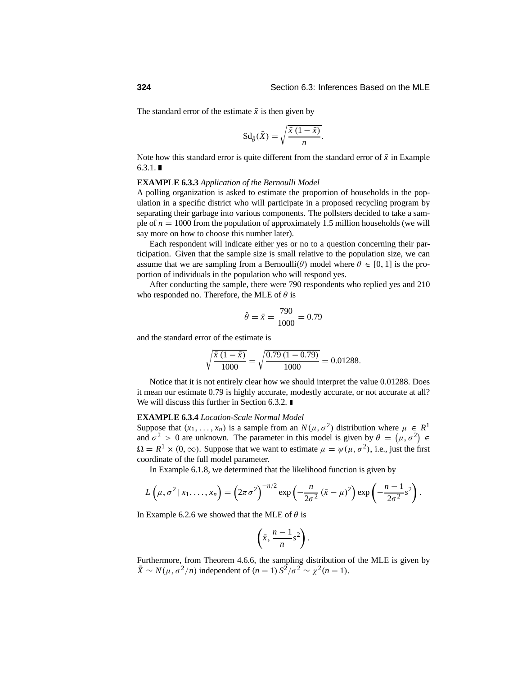The standard error of the estimate  $\bar{x}$  is then given by

$$
\mathrm{Sd}_{\hat{\theta}}(\bar{X}) = \sqrt{\frac{\bar{x}(1-\bar{x})}{n}}.
$$

Note how this standard error is quite different from the standard error of  $\bar{x}$  in Example  $6.3.1.$ 

#### **EXAMPLE 6.3.3** *Application of the Bernoulli Model*

A polling organization is asked to estimate the proportion of households in the population in a specific district who will participate in a proposed recycling program by separating their garbage into various components. The pollsters decided to take a sample of  $n = 1000$  from the population of approximately 1.5 million households (we will say more on how to choose this number later).

Each respondent will indicate either yes or no to a question concerning their participation. Given that the sample size is small relative to the population size, we can assume that we are sampling from a Bernoulli( $\theta$ ) model where  $\theta \in [0, 1]$  is the proportion of individuals in the population who will respond yes.

After conducting the sample, there were 790 respondents who replied yes and 210 who responded no. Therefore, the MLE of  $\theta$  is

$$
\hat{\theta} = \bar{x} = \frac{790}{1000} = 0.79
$$

and the standard error of the estimate is

$$
\sqrt{\frac{\bar{x}(1-\bar{x})}{1000}} = \sqrt{\frac{0.79(1-0.79)}{1000}} = 0.01288.
$$

Notice that it is not entirely clear how we should interpret the value 0.01288. Does it mean our estimate 0.79 is highly accurate, modestly accurate, or not accurate at all? We will discuss this further in Section 6.3.2.

#### **EXAMPLE 6.3.4** *Location***-***Scale Normal Model*

Suppose that  $(x_1, \ldots, x_n)$  is a sample from an  $N(\mu, \sigma^2)$  distribution where  $\mu \in R^1$ and  $\sigma^2 > 0$  are unknown. The parameter in this model is given by  $\theta = (\mu, \sigma^2) \in$  $\Omega = R^1 \times (0, \infty)$ . Suppose that we want to estimate  $\mu = \psi(\mu, \sigma^2)$ , i.e., just the first coordinate of the full model parameter.

In Example 6.1.8, we determined that the likelihood function is given by

$$
L\left(\mu, \sigma^2 \mid x_1,\ldots,x_n\right) = \left(2\pi\sigma^2\right)^{-n/2} \exp\left(-\frac{n}{2\sigma^2}(\bar{x}-\mu)^2\right) \exp\left(-\frac{n-1}{2\sigma^2}s^2\right).
$$

In Example 6.2.6 we showed that the MLE of  $\theta$  is

$$
\left(\bar{x},\frac{n-1}{n}s^2\right).
$$

Furthermore, from Theorem 4.6.6, the sampling distribution of the MLE is given by  $\bar{X} \sim N(\mu, \sigma^2/n)$  independent of  $(n-1) S^2/\sigma^2 \sim \chi^2(n-1)$ .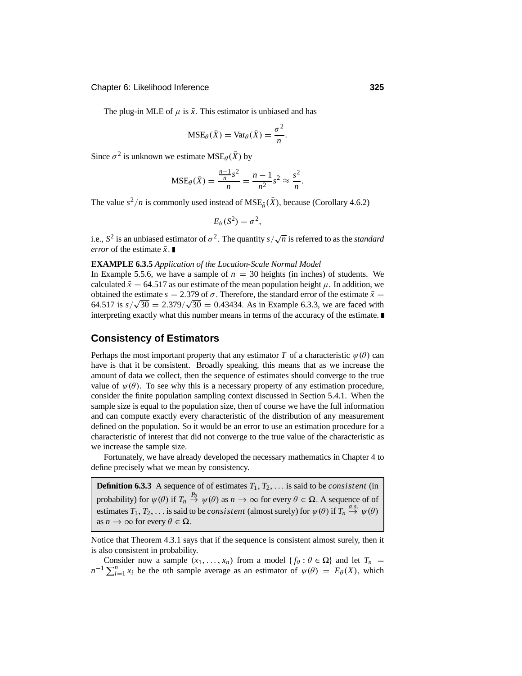The plug-in MLE of  $\mu$  is  $\bar{x}$ . This estimator is unbiased and has

$$
MSE_{\theta}(\bar{X}) = Var_{\theta}(\bar{X}) = \frac{\sigma^2}{n}.
$$

Since  $\sigma^2$  is unknown we estimate  $MSE_\theta(\bar{X})$  by

$$
MSE_{\theta}(\bar{X}) = \frac{\frac{n-1}{n}s^2}{n} = \frac{n-1}{n^2}s^2 \approx \frac{s^2}{n}.
$$

The value  $s^2/n$  is commonly used instead of  $MSE_{\hat{a}}(\bar{X})$ , because (Corollary 4.6.2)

$$
E_{\theta}(S^2) = \sigma^2,
$$

i.e.,  $S^2$  is an unbiased estimator of  $\sigma^2$ . The quantity  $s/\sqrt{n}$  is referred to as the *standard error* of the estimate  $\bar{x}$ .

#### **EXAMPLE 6.3.5** *Application of the Location-Scale Normal Model*

In Example 5.5.6, we have a sample of  $n = 30$  heights (in inches) of students. We calculated  $\bar{x} = 64.517$  as our estimate of the mean population height  $\mu$ . In addition, we obtained the estimate  $s = 2.379$  of  $\sigma$ . Therefore, the standard error of the estimate  $\bar{x} =$ 64.517 is  $s/\sqrt{30} = 2.379/\sqrt{30} = 0.43434$ . As in Example 6.3.3, we are faced with interpreting exactly what this number means in terms of the accuracy of the estimate.

#### **Consistency of Estimators**

Perhaps the most important property that any estimator *T* of a characteristic  $\psi(\theta)$  can have is that it be consistent. Broadly speaking, this means that as we increase the amount of data we collect, then the sequence of estimates should converge to the true value of  $\psi(\theta)$ . To see why this is a necessary property of any estimation procedure, consider the finite population sampling context discussed in Section 5.4.1. When the sample size is equal to the population size, then of course we have the full information and can compute exactly every characteristic of the distribution of any measurement defined on the population. So it would be an error to use an estimation procedure for a characteristic of interest that did not converge to the true value of the characteristic as we increase the sample size.

Fortunately, we have already developed the necessary mathematics in Chapter 4 to define precisely what we mean by consistency.

**Definition 6.3.3** A sequence of of estimates  $T_1, T_2, \ldots$  is said to be *consistent* (in probability) for  $\psi(\theta)$  if  $T_n \stackrel{P_\theta}{\to} \psi(\theta)$  as  $n \to \infty$  for every  $\theta \in \Omega$ . A sequence of of estimates  $T_1, T_2, \ldots$  is said to be *consistent* (almost surely) for  $\psi(\theta)$  if  $T_n \stackrel{a.s.}{\rightarrow} \psi(\theta)$ as  $n \to \infty$  for every  $\theta \in \Omega$ .

Notice that Theorem 4.3.1 says that if the sequence is consistent almost surely, then it is also consistent in probability.

Consider now a sample  $(x_1, \ldots, x_n)$  from a model  $\{f_\theta : \theta \in \Omega\}$  and let  $T_n$  $n^{-1} \sum_{i=1}^{n} x_i$  be the *n*th sample average as an estimator of  $\psi(\theta) = E_{\theta}(X)$ , which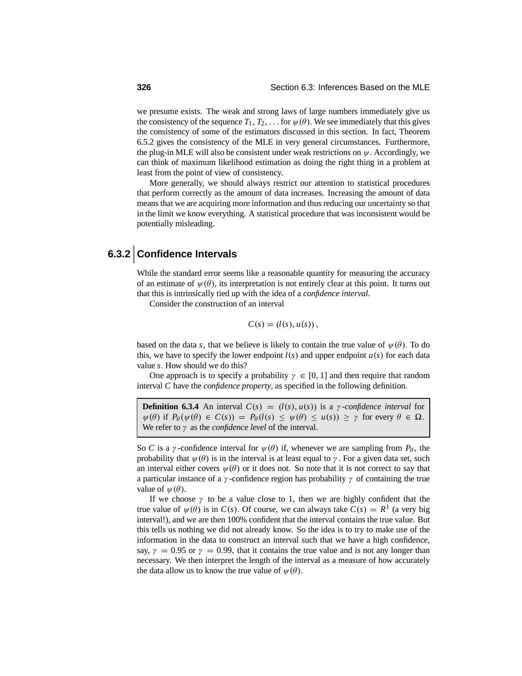we presume exists. The weak and strong laws of large numbers immediately give us the consistency of the sequence  $T_1, T_2, \ldots$  for  $\psi(\theta)$ . We see immediately that this gives the consistency of some of the estimators discussed in this section. In fact, Theorem 6.5.2 gives the consistency of the MLE in very general circumstances. Furthermore, the plug-in MLE will also be consistent under weak restrictions on  $\psi$ . Accordingly, we can think of maximum likelihood estimation as doing the right thing in a problem at least from the point of view of consistency.

More generally, we should always restrict our attention to statistical procedures that perform correctly as the amount of data increases. Increasing the amount of data means that we are acquiring more information and thus reducing our uncertainty so that in the limit we know everything. A statistical procedure that was inconsistent would be potentially misleading.

### **6.3.2 Confidence Intervals**

While the standard error seems like a reasonable quantity for measuring the accuracy of an estimate of  $\psi(\theta)$ , its interpretation is not entirely clear at this point. It turns out that this is intrinsically tied up with the idea of a *confidence interval*.

Consider the construction of an interval

$$
C(s) = (l(s), u(s)),
$$

based on the data *s*, that we believe is likely to contain the true value of  $\psi(\theta)$ . To do this, we have to specify the lower endpoint  $l(s)$  and upper endpoint  $u(s)$  for each data value *s*. How should we do this?

One approach is to specify a probability  $\gamma \in [0, 1]$  and then require that random interval *C* have the *confidence property*, as specified in the following definition.

**Definition 6.3.4** An interval 
$$
C(s) = (l(s), u(s))
$$
 is a  $\gamma$ -confidence interval for  $\psi(\theta)$  if  $P_{\theta}(\psi(\theta) \in C(s)) = P_{\theta}(l(s) \leq \psi(\theta) \leq u(s)) \geq \gamma$  for every  $\theta \in \Omega$ .  
We refer to  $\gamma$  as the confidence level of the interval.

So *C* is a *γ*-confidence interval for  $\psi(\theta)$  if, whenever we are sampling from  $P_{\theta}$ , the probability that  $\psi(\theta)$  is in the interval is at least equal to  $\gamma$ . For a given data set, such an interval either covers  $\psi(\theta)$  or it does not. So note that it is not correct to say that a particular instance of a  $\gamma$ -confidence region has probability  $\gamma$  of containing the true value of  $\psi(\theta)$ .

If we choose  $\gamma$  to be a value close to 1, then we are highly confident that the true value of  $\psi(\theta)$  is in *C*(*s*). Of course, we can always take *C*(*s*) =  $R^1$  (a very big interval!), and we are then 100% confident that the interval contains the true value. But this tells us nothing we did not already know. So the idea is to try to make use of the information in the data to construct an interval such that we have a high confidence, say,  $\gamma = 0.95$  or  $\gamma = 0.99$ , that it contains the true value and is not any longer than necessary. We then interpret the length of the interval as a measure of how accurately the data allow us to know the true value of  $\psi(\theta)$ .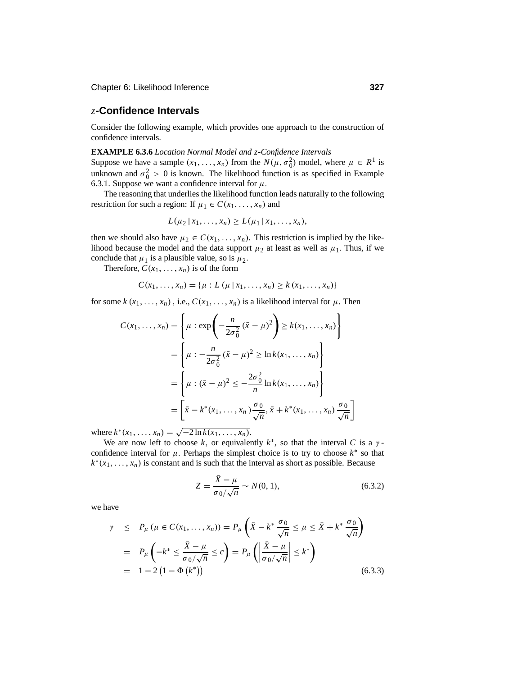#### *z***-Confidence Intervals**

Consider the following example, which provides one approach to the construction of confidence intervals.

#### **EXAMPLE 6.3.6** *Location Normal Model and z-Confidence Intervals*

Suppose we have a sample  $(x_1, \ldots, x_n)$  from the  $N(\mu, \sigma_0^2)$  model, where  $\mu \in R^1$  is unknown and  $\sigma_0^2 > 0$  is known. The likelihood function is as specified in Example 6.3.1. Suppose we want a confidence interval for  $\mu$ .

The reasoning that underlies the likelihood function leads naturally to the following restriction for such a region: If  $\mu_1 \in C(x_1, \ldots, x_n)$  and

$$
L(\mu_2 \mid x_1, \ldots, x_n) \ge L(\mu_1 \mid x_1, \ldots, x_n),
$$

then we should also have  $\mu_2 \in C(x_1, \ldots, x_n)$ . This restriction is implied by the likelihood because the model and the data support  $\mu_2$  at least as well as  $\mu_1$ . Thus, if we conclude that  $\mu_1$  is a plausible value, so is  $\mu_2$ .

Therefore,  $C(x_1, \ldots, x_n)$  is of the form

$$
C(x_1,...,x_n) = \{ \mu : L(\mu \mid x_1,...,x_n) \geq k(x_1,...,x_n) \}
$$

for some  $k$  ( $x_1, \ldots, x_n$ ), i.e.,  $C(x_1, \ldots, x_n)$  is a likelihood interval for  $\mu$ . Then

$$
C(x_1, ..., x_n) = \left\{ \mu : \exp\left( -\frac{n}{2\sigma_0^2} (\bar{x} - \mu)^2 \right) \ge k(x_1, ..., x_n) \right\}
$$
  
= 
$$
\left\{ \mu : -\frac{n}{2\sigma_0^2} (\bar{x} - \mu)^2 \ge \ln k(x_1, ..., x_n) \right\}
$$
  
= 
$$
\left\{ \mu : (\bar{x} - \mu)^2 \le -\frac{2\sigma_0^2}{n} \ln k(x_1, ..., x_n) \right\}
$$
  
= 
$$
\left[ \bar{x} - k^*(x_1, ..., x_n) \frac{\sigma_0}{\sqrt{n}}, \bar{x} + k^*(x_1, ..., x_n) \frac{\sigma_0}{\sqrt{n}} \right]
$$

where  $k^*(x_1, \ldots, x_n) = \sqrt{-2 \ln k(x_1, \ldots, x_n)}$ .

We are now left to choose  $k$ , or equivalently  $k^*$ , so that the interval  $C$  is a  $\gamma$ confidence interval for  $\mu$ . Perhaps the simplest choice is to try to choose  $k^*$  so that  $k^*(x_1, \ldots, x_n)$  is constant and is such that the interval as short as possible. Because

$$
Z = \frac{\bar{X} - \mu}{\sigma_0 / \sqrt{n}} \sim N(0, 1),
$$
 (6.3.2)

we have

$$
\gamma \leq P_{\mu} \left( \mu \in C(x_1, \dots, x_n) \right) = P_{\mu} \left( \bar{X} - k^* \frac{\sigma_0}{\sqrt{n}} \leq \mu \leq \bar{X} + k^* \frac{\sigma_0}{\sqrt{n}} \right)
$$
  
= 
$$
P_{\mu} \left( -k^* \leq \frac{\bar{X} - \mu}{\sigma_0/\sqrt{n}} \leq c \right) = P_{\mu} \left( \left| \frac{\bar{X} - \mu}{\sigma_0/\sqrt{n}} \right| \leq k^* \right)
$$
  
= 
$$
1 - 2 \left( 1 - \Phi \left( k^* \right) \right) \tag{6.3.3}
$$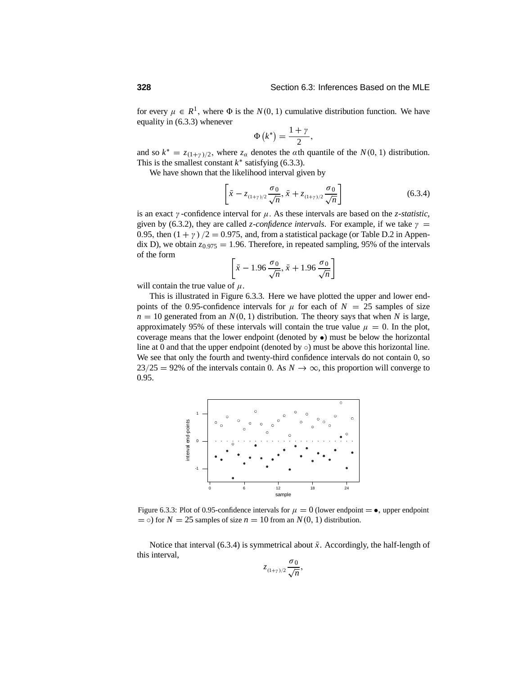for every  $\mu \in R^1$ , where  $\Phi$  is the  $N(0, 1)$  cumulative distribution function. We have equality in (6.3.3) whenever

$$
\Phi\left(k^*\right) = \frac{1+\gamma}{2},
$$

and so  $k^* = z_{(1+\gamma)/2}$ , where  $z_\alpha$  denotes the  $\alpha$ th quantile of the  $N(0, 1)$  distribution. This is the smallest constant *k*∗ satisfying (6.3.3).

We have shown that the likelihood interval given by

$$
\left[\bar{x} - z_{(1+\gamma)/2} \frac{\sigma_0}{\sqrt{n}}, \bar{x} + z_{(1+\gamma)/2} \frac{\sigma_0}{\sqrt{n}}\right]
$$
(6.3.4)

is an exact  $\gamma$ -confidence interval for  $\mu$ . As these intervals are based on the *z*-statistic, given by (6.3.2), they are called *z-confidence intervals*. For example, if we take  $\gamma$  = 0.95, then  $(1 + \gamma)/2 = 0.975$ , and, from a statistical package (or Table D.2 in Appendix D), we obtain  $z_{0.975} = 1.96$ . Therefore, in repeated sampling, 95% of the intervals of the form

$$
\left[\bar{x} - 1.96 \frac{\sigma_0}{\sqrt{n}}, \bar{x} + 1.96 \frac{\sigma_0}{\sqrt{n}}\right]
$$

will contain the true value of  $\mu$ .

This is illustrated in Figure 6.3.3. Here we have plotted the upper and lower endpoints of the 0.95-confidence intervals for  $\mu$  for each of  $N = 25$  samples of size  $n = 10$  generated from an  $N(0, 1)$  distribution. The theory says that when N is large, approximately 95% of these intervals will contain the true value  $\mu = 0$ . In the plot, coverage means that the lower endpoint (denoted by •) must be below the horizontal line at 0 and that the upper endpoint (denoted by  $\circ$ ) must be above this horizontal line. We see that only the fourth and twenty-third confidence intervals do not contain 0, so  $23/25 = 92\%$  of the intervals contain 0. As  $N \to \infty$ , this proportion will converge to 0.95.



Figure 6.3.3: Plot of 0.95-confidence intervals for  $\mu = 0$  (lower endpoint  $= \bullet$ , upper endpoint  $=$   $\circ$ ) for *N* = 25 samples of size *n* = 10 from an *N*(0, 1) distribution.

Notice that interval (6.3.4) is symmetrical about  $\bar{x}$ . Accordingly, the half-length of this interval,

$$
z_{(1+\gamma)/2}\frac{\sigma_0}{\sqrt{n}},
$$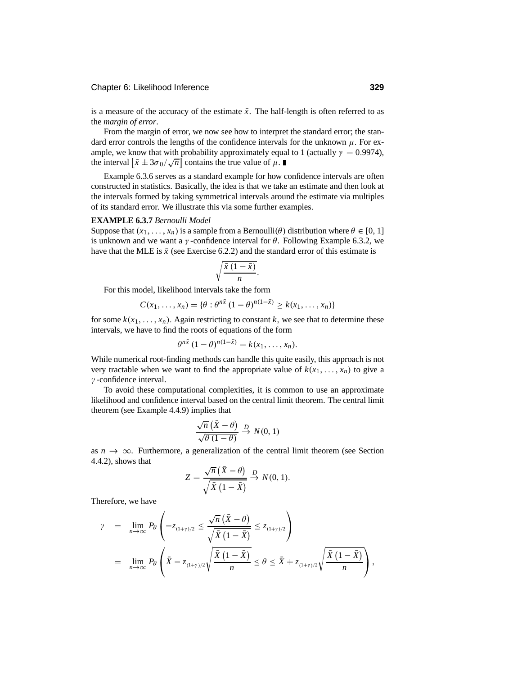is a measure of the accuracy of the estimate  $\bar{x}$ . The half-length is often referred to as the *margin of error*.

From the margin of error, we now see how to interpret the standard error; the standard error controls the lengths of the confidence intervals for the unknown  $\mu$ . For example, we know that with probability approximately equal to 1 (actually  $\gamma = 0.9974$ ), the interval  $\left[\bar{x} \pm 3\sigma_0/\sqrt{n}\right]$  contains the true value of  $\mu$ .

Example 6.3.6 serves as a standard example for how confidence intervals are often constructed in statistics. Basically, the idea is that we take an estimate and then look at the intervals formed by taking symmetrical intervals around the estimate via multiples of its standard error. We illustrate this via some further examples.

#### **EXAMPLE 6.3.7** *Bernoulli Model*

Suppose that  $(x_1, \ldots, x_n)$  is a sample from a Bernoulli( $\theta$ ) distribution where  $\theta \in [0, 1]$ is unknown and we want a  $\gamma$ -confidence interval for  $\theta$ . Following Example 6.3.2, we have that the MLE is  $\bar{x}$  (see Exercise 6.2.2) and the standard error of this estimate is

$$
\sqrt{\frac{\bar{x}(1-\bar{x})}{n}}.
$$

For this model, likelihood intervals take the form

$$
C(x_1,...,x_n) = \{\theta : \theta^{n\bar{x}} (1-\theta)^{n(1-\bar{x})} \ge k(x_1,...,x_n)\}\
$$

for some  $k(x_1, \ldots, x_n)$ . Again restricting to constant *k*, we see that to determine these intervals, we have to find the roots of equations of the form

$$
\theta^{n\bar{x}} (1-\theta)^{n(1-\bar{x})} = k(x_1,\ldots,x_n).
$$

While numerical root-finding methods can handle this quite easily, this approach is not very tractable when we want to find the appropriate value of  $k(x_1, \ldots, x_n)$  to give a γ -confidence interval.

To avoid these computational complexities, it is common to use an approximate likelihood and confidence interval based on the central limit theorem. The central limit theorem (see Example 4.4.9) implies that

$$
\frac{\sqrt{n}(\bar{X}-\theta)}{\sqrt{\theta(1-\theta)}} \stackrel{D}{\to} N(0,1)
$$

as  $n \to \infty$ . Furthermore, a generalization of the central limit theorem (see Section 4.4.2), shows that

$$
Z = \frac{\sqrt{n} \left( \bar{X} - \theta \right)}{\sqrt{\bar{X} \left( 1 - \bar{X} \right)}} \stackrel{D}{\rightarrow} N(0, 1).
$$

Therefore, we have

$$
\gamma = \lim_{n \to \infty} P_{\theta} \left( -z_{(1+\gamma)/2} \le \frac{\sqrt{n} (\bar{X} - \theta)}{\sqrt{\bar{X} (1 - \bar{X})}} \le z_{(1+\gamma)/2} \right)
$$
  
= 
$$
\lim_{n \to \infty} P_{\theta} \left( \bar{X} - z_{(1+\gamma)/2} \sqrt{\frac{\bar{X} (1 - \bar{X})}{n}} \le \theta \le \bar{X} + z_{(1+\gamma)/2} \sqrt{\frac{\bar{X} (1 - \bar{X})}{n}} \right),
$$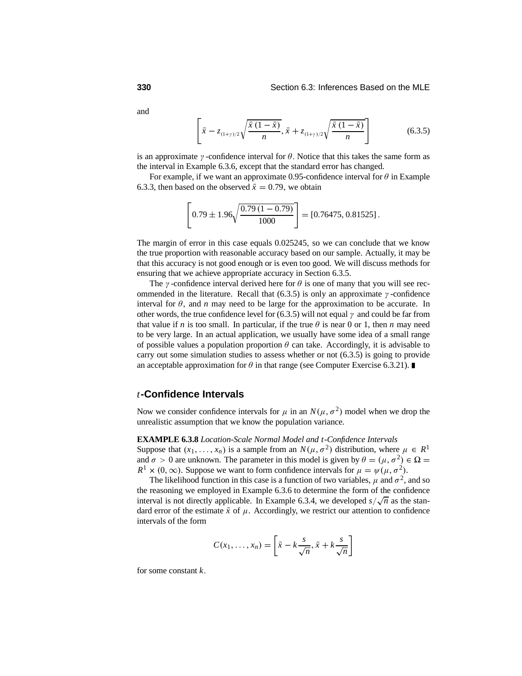and

$$
\left[\bar{x} - z_{(1+\gamma)/2} \sqrt{\frac{\bar{x}(1-\bar{x})}{n}}, \bar{x} + z_{(1+\gamma)/2} \sqrt{\frac{\bar{x}(1-\bar{x})}{n}}\right]
$$
(6.3.5)

is an approximate  $\gamma$ -confidence interval for  $\theta$ . Notice that this takes the same form as the interval in Example 6.3.6, except that the standard error has changed.

For example, if we want an approximate 0.95-confidence interval for  $\theta$  in Example 6.3.3, then based on the observed  $\bar{x} = 0.79$ , we obtain

$$
\[0.79 \pm 1.96 \sqrt{\frac{0.79 (1 - 0.79)}{1000}}\] = [0.76475, 0.81525].
$$

The margin of error in this case equals 0.025245, so we can conclude that we know the true proportion with reasonable accuracy based on our sample. Actually, it may be that this accuracy is not good enough or is even too good. We will discuss methods for ensuring that we achieve appropriate accuracy in Section 6.3.5.

The *γ*-confidence interval derived here for  $\theta$  is one of many that you will see recommended in the literature. Recall that (6.3.5) is only an approximate  $\gamma$ -confidence interval for  $\theta$ , and *n* may need to be large for the approximation to be accurate. In other words, the true confidence level for (6.3.5) will not equal  $\gamma$  and could be far from that value if *n* is too small. In particular, if the true  $\theta$  is near 0 or 1, then *n* may need to be very large. In an actual application, we usually have some idea of a small range of possible values a population proportion  $\theta$  can take. Accordingly, it is advisable to carry out some simulation studies to assess whether or not (6.3.5) is going to provide an acceptable approximation for  $\theta$  in that range (see Computer Exercise 6.3.21).

#### *t***-Confidence Intervals**

Now we consider confidence intervals for  $\mu$  in an  $N(\mu, \sigma^2)$  model when we drop the unrealistic assumption that we know the population variance.

**EXAMPLE 6.3.8** *Location-Scale Normal Model and t-Confidence Intervals* Suppose that  $(x_1, \ldots, x_n)$  is a sample from an  $N(\mu, \sigma^2)$  distribution, where  $\mu \in R^1$ and  $\sigma > 0$  are unknown. The parameter in this model is given by  $\theta = (\mu, \sigma^2) \in \Omega =$  $R^1 \times (0, \infty)$ . Suppose we want to form confidence intervals for  $\mu = \psi(\mu, \sigma^2)$ .

The likelihood function in this case is a function of two variables,  $\mu$  and  $\sigma^2$ , and so the reasoning we employed in Example 6.3.6 to determine the form of the confidence interval is not directly applicable. In Example 6.3.4, we developed  $s/\sqrt{n}$  as the standard error of the estimate  $\bar{x}$  of  $\mu$ . Accordingly, we restrict our attention to confidence intervals of the form

$$
C(x_1,\ldots,x_n) = \left[\bar{x} - k\frac{s}{\sqrt{n}}, \bar{x} + k\frac{s}{\sqrt{n}}\right]
$$

for some constant *k*.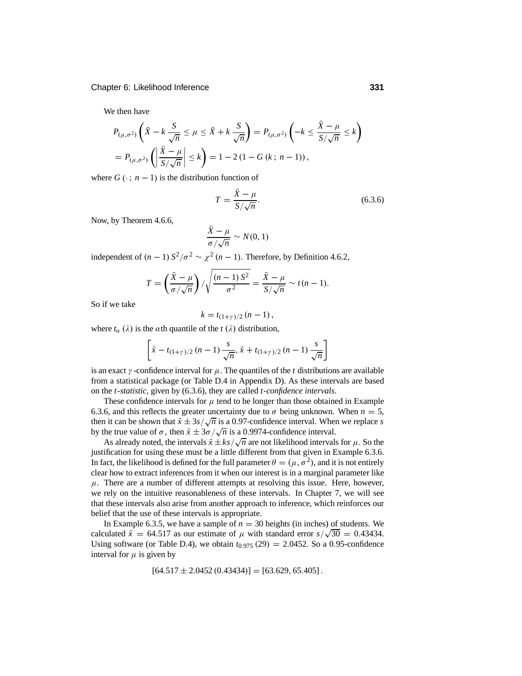We then have

$$
P_{(\mu,\sigma^2)}\left(\bar{X} - k\frac{S}{\sqrt{n}} \le \mu \le \bar{X} + k\frac{S}{\sqrt{n}}\right) = P_{(\mu,\sigma^2)}\left(-k \le \frac{\bar{X} - \mu}{S/\sqrt{n}} \le k\right)
$$

$$
= P_{(\mu,\sigma^2)}\left(\left|\frac{\bar{X} - \mu}{S/\sqrt{n}}\right| \le k\right) = 1 - 2\left(1 - G\left(k; n-1\right)\right),
$$

where  $G(\cdot; n-1)$  is the distribution function of

$$
T = \frac{\bar{X} - \mu}{S/\sqrt{n}}.\tag{6.3.6}
$$

Now, by Theorem 4.6.6,

$$
\frac{\bar{X} - \mu}{\sigma / \sqrt{n}} \sim N(0, 1)
$$

independent of  $(n-1) S^2/\sigma^2 \sim \chi^2 (n-1)$ . Therefore, by Definition 4.6.2,

$$
T = \left(\frac{\bar{X} - \mu}{\sigma/\sqrt{n}}\right) / \sqrt{\frac{(n-1) S^2}{\sigma^2}} = \frac{\bar{X} - \mu}{S/\sqrt{n}} \sim t(n-1).
$$

So if we take

$$
k=t_{(1+\gamma)/2}\left( n-1\right) ,
$$

where  $t_{\alpha}$  ( $\lambda$ ) is the  $\alpha$ <sup>th</sup> quantile of the *t* ( $\lambda$ ) distribution,

$$
\[ \bar{x} - t_{(1+\gamma)/2} (n-1) \frac{s}{\sqrt{n}}, \bar{x} + t_{(1+\gamma)/2} (n-1) \frac{s}{\sqrt{n}} \]
$$

is an exact  $\gamma$ -confidence interval for  $\mu$ . The quantiles of the *t* distributions are available from a statistical package (or Table D.4 in Appendix D). As these intervals are based on the *t-statistic*, given by (6.3.6), they are called *t-confidence intervals*.

These confidence intervals for  $\mu$  tend to be longer than those obtained in Example 6.3.6, and this reflects the greater uncertainty due to  $\sigma$  being unknown. When  $n = 5$ , then it can be shown that  $\bar{x} \pm 3s/\sqrt{n}$  is a 0.97-confidence interval. When we replace *s* by the true value of  $\sigma$ , then  $\bar{x} \pm 3\sigma/\sqrt{n}$  is a 0.9974-confidence interval.

As already noted, the intervals  $\bar{x} \pm ks / \sqrt{n}$  are not likelihood intervals for  $\mu$ . So the justification for using these must be a little different from that given in Example 6.3.6. In fact, the likelihood is defined for the full parameter  $\theta = (\mu, \sigma^2)$ , and it is not entirely clear how to extract inferences from it when our interest is in a marginal parameter like  $\mu$ . There are a number of different attempts at resolving this issue. Here, however, we rely on the intuitive reasonableness of these intervals. In Chapter 7, we will see that these intervals also arise from another approach to inference, which reinforces our belief that the use of these intervals is appropriate.

In Example 6.3.5, we have a sample of  $n = 30$  heights (in inches) of students. We calculated  $\bar{x} = 64.517$  as our estimate of  $\mu$  with standard error  $s/\sqrt{30} = 0.43434$ . Using software (or Table D.4), we obtain  $t_{0.975}$  (29) = 2.0452. So a 0.95-confidence interval for  $\mu$  is given by

$$
[64.517 \pm 2.0452 (0.43434)] = [63.629, 65.405].
$$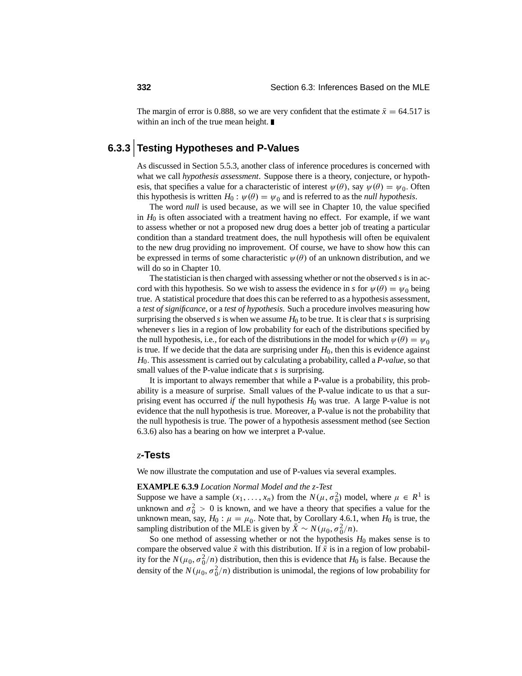The margin of error is 0.888, so we are very confident that the estimate  $\bar{x} = 64.517$  is within an inch of the true mean height.

### **6.3.3 Testing Hypotheses and P-Values**

As discussed in Section 5.5.3, another class of inference procedures is concerned with what we call *hypothesis assessment*. Suppose there is a theory, conjecture, or hypothesis, that specifies a value for a characteristic of interest  $\psi(\theta)$ , say  $\psi(\theta) = \psi_0$ . Often this hypothesis is written  $H_0$ :  $\psi(\theta) = \psi_0$  and is referred to as the *null hypothesis*.

The word *null* is used because, as we will see in Chapter 10, the value specified in  $H_0$  is often associated with a treatment having no effect. For example, if we want to assess whether or not a proposed new drug does a better job of treating a particular condition than a standard treatment does, the null hypothesis will often be equivalent to the new drug providing no improvement. Of course, we have to show how this can be expressed in terms of some characteristic  $\psi(\theta)$  of an unknown distribution, and we will do so in Chapter 10.

The statistician is then charged with assessing whether or not the observed *s* is in accord with this hypothesis. So we wish to assess the evidence in *s* for  $\psi(\theta) = \psi_0$  being true. A statistical procedure that does this can be referred to as a hypothesis assessment, a *test of significance*, or a *test of hypothesis*. Such a procedure involves measuring how surprising the observed *s* is when we assume  $H_0$  to be true. It is clear that *s* is surprising whenever *s* lies in a region of low probability for each of the distributions specified by the null hypothesis, i.e., for each of the distributions in the model for which  $\psi(\theta) = \psi_0$ is true. If we decide that the data are surprising under  $H_0$ , then this is evidence against *H*0. This assessment is carried out by calculating a probability, called a *P-value*, so that small values of the P-value indicate that *s* is surprising.

It is important to always remember that while a P-value is a probability, this probability is a measure of surprise. Small values of the P-value indicate to us that a surprising event has occurred *if* the null hypothesis  $H_0$  was true. A large P-value is not evidence that the null hypothesis is true. Moreover, a P-value is not the probability that the null hypothesis is true. The power of a hypothesis assessment method (see Section 6.3.6) also has a bearing on how we interpret a P-value.

#### *z-***Tests**

We now illustrate the computation and use of P-values via several examples.

#### **EXAMPLE 6.3.9** *Location Normal Model and the z-Test*

Suppose we have a sample  $(x_1, \ldots, x_n)$  from the  $N(\mu, \sigma_0^2)$  model, where  $\mu \in R^1$  is unknown and  $\sigma_0^2 > 0$  is known, and we have a theory that specifies a value for the unknown mean, say,  $H_0$ :  $\mu = \mu_0$ . Note that, by Corollary 4.6.1, when  $H_0$  is true, the sampling distribution of the MLE is given by  $\bar{X} \sim N(\mu_0, \sigma_0^2/n)$ .

So one method of assessing whether or not the hypothesis  $H_0$  makes sense is to compare the observed value  $\bar{x}$  with this distribution. If  $\bar{x}$  is in a region of low probability for the  $N(\mu_0, \sigma_0^2/n)$  distribution, then this is evidence that  $H_0$  is false. Because the density of the  $N(\mu_0, \sigma_0^2/n)$  distribution is unimodal, the regions of low probability for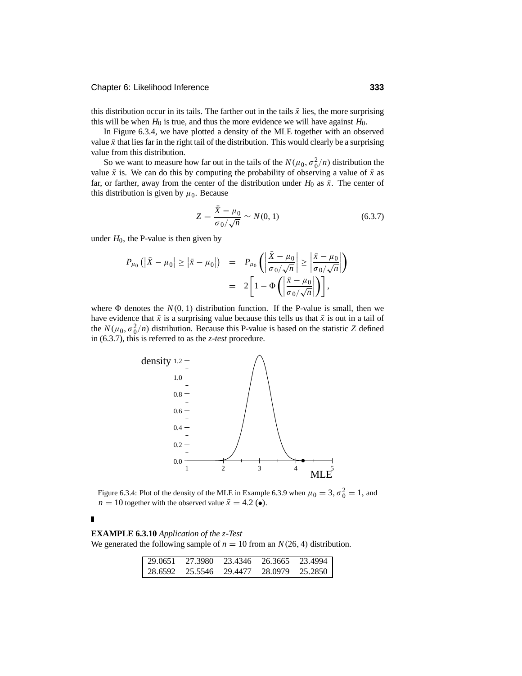this distribution occur in its tails. The farther out in the tails  $\bar{x}$  lies, the more surprising this will be when  $H_0$  is true, and thus the more evidence we will have against  $H_0$ .

In Figure 6.3.4, we have plotted a density of the MLE together with an observed value  $\bar{x}$  that lies far in the right tail of the distribution. This would clearly be a surprising value from this distribution.

So we want to measure how far out in the tails of the  $N(\mu_0, \sigma_0^2/n)$  distribution the value  $\bar{x}$  is. We can do this by computing the probability of observing a value of  $\bar{x}$  as far, or farther, away from the center of the distribution under  $H_0$  as  $\bar{x}$ . The center of this distribution is given by  $\mu_0$ . Because

$$
Z = \frac{\bar{X} - \mu_0}{\sigma_0 / \sqrt{n}} \sim N(0, 1)
$$
 (6.3.7)

under  $H_0$ , the P-value is then given by

$$
P_{\mu_0}(|\bar{X} - \mu_0| \geq |\bar{x} - \mu_0|) = P_{\mu_0} \left( \left| \frac{\bar{X} - \mu_0}{\sigma_0 / \sqrt{n}} \right| \geq \left| \frac{\bar{x} - \mu_0}{\sigma_0 / \sqrt{n}} \right| \right)
$$
  
=  $2 \left[ 1 - \Phi \left( \left| \frac{\bar{x} - \mu_0}{\sigma_0 / \sqrt{n}} \right| \right) \right],$ 

where  $\Phi$  denotes the  $N(0, 1)$  distribution function. If the P-value is small, then we have evidence that  $\bar{x}$  is a surprising value because this tells us that  $\bar{x}$  is out in a tail of the  $N(\mu_0, \sigma_0^2/n)$  distribution. Because this P-value is based on the statistic *Z* defined in (6.3.7), this is referred to as the *z-test* procedure.



Figure 6.3.4: Plot of the density of the MLE in Example 6.3.9 when  $\mu_0 = 3$ ,  $\sigma_0^2 = 1$ , and  $n = 10$  together with the observed value  $\bar{x} = 4.2$  ( $\bullet$ ).

### **EXAMPLE 6.3.10** *Application of the z-Test*

We generated the following sample of  $n = 10$  from an  $N(26, 4)$  distribution.

|  |  | 29.0651 27.3980 23.4346 26.3665 23.4994 |
|--|--|-----------------------------------------|
|  |  | 28.6592 25.5546 29.4477 28.0979 25.2850 |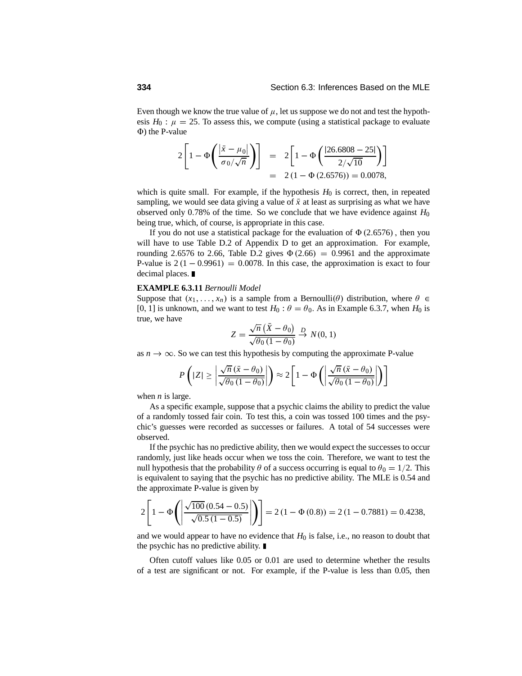Even though we know the true value of  $\mu$ , let us suppose we do not and test the hypothesis  $H_0$ :  $\mu = 25$ . To assess this, we compute (using a statistical package to evaluate 4) the P-value

$$
2\left[1 - \Phi\left(\frac{|\bar{x} - \mu_0|}{\sigma_0/\sqrt{n}}\right)\right] = 2\left[1 - \Phi\left(\frac{|26.6808 - 25|}{2/\sqrt{10}}\right)\right]
$$
  
= 2(1 - \Phi(2.6576)) = 0.0078,

which is quite small. For example, if the hypothesis  $H_0$  is correct, then, in repeated sampling, we would see data giving a value of  $\bar{x}$  at least as surprising as what we have observed only 0.78% of the time. So we conclude that we have evidence against  $H_0$ being true, which, of course, is appropriate in this case.

If you do not use a statistical package for the evaluation of  $\Phi(2.6576)$ , then you will have to use Table D.2 of Appendix D to get an approximation. For example, rounding 2.6576 to 2.66, Table D.2 gives  $\Phi$  (2.66) = 0.9961 and the approximate P-value is  $2(1 - 0.9961) = 0.0078$ . In this case, the approximation is exact to four decimal places.

### **EXAMPLE 6.3.11** *Bernoulli Model*

Suppose that  $(x_1, \ldots, x_n)$  is a sample from a Bernoulli( $\theta$ ) distribution, where  $\theta \in$ [0, 1] is unknown, and we want to test  $H_0$  :  $\theta = \theta_0$ . As in Example 6.3.7, when  $H_0$  is true, we have

$$
Z = \frac{\sqrt{n} \left( \bar{X} - \theta_0 \right)}{\sqrt{\theta_0 \left( 1 - \theta_0 \right)}} \stackrel{D}{\rightarrow} N(0, 1)
$$

as  $n \to \infty$ . So we can test this hypothesis by computing the approximate P-value

$$
P\left(|Z| \ge \left|\frac{\sqrt{n}(\bar{x} - \theta_0)}{\sqrt{\theta_0(1 - \theta_0)}}\right|\right) \approx 2\left[1 - \Phi\left(\left|\frac{\sqrt{n}(\bar{x} - \theta_0)}{\sqrt{\theta_0(1 - \theta_0)}}\right|\right)\right]
$$

when *n* is large.

As a specific example, suppose that a psychic claims the ability to predict the value of a randomly tossed fair coin. To test this, a coin was tossed 100 times and the psychic's guesses were recorded as successes or failures. A total of 54 successes were observed.

If the psychic has no predictive ability, then we would expect the successes to occur randomly, just like heads occur when we toss the coin. Therefore, we want to test the null hypothesis that the probability  $\theta$  of a success occurring is equal to  $\theta_0 = 1/2$ . This is equivalent to saying that the psychic has no predictive ability. The MLE is 0.54 and the approximate P-value is given by

$$
2\left[1 - \Phi\left(\left|\frac{\sqrt{100}\left(0.54 - 0.5\right)}{\sqrt{0.5\left(1 - 0.5\right)}}\right|\right)\right] = 2\left(1 - \Phi\left(0.8\right)\right) = 2\left(1 - 0.7881\right) = 0.4238,
$$

and we would appear to have no evidence that  $H_0$  is false, i.e., no reason to doubt that the psychic has no predictive ability.

Often cutoff values like 0.05 or 0.01 are used to determine whether the results of a test are significant or not. For example, if the P-value is less than 0.05, then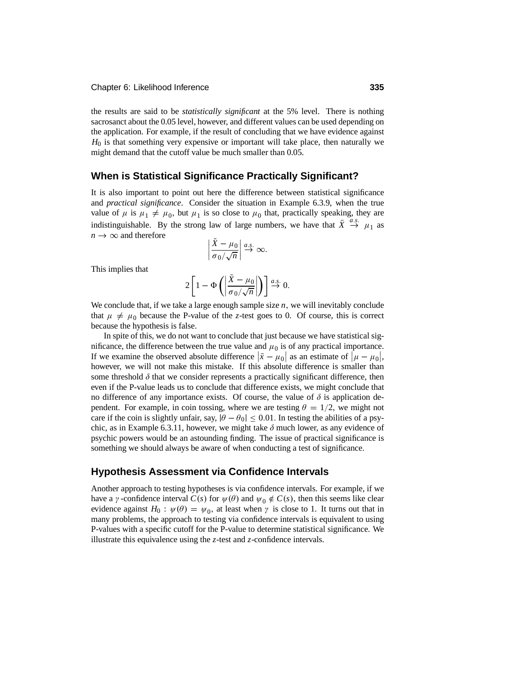the results are said to be *statistically significant* at the 5% level. There is nothing sacrosanct about the 0.05 level, however, and different values can be used depending on the application. For example, if the result of concluding that we have evidence against *H*<sup>0</sup> is that something very expensive or important will take place, then naturally we might demand that the cutoff value be much smaller than 0.05.

### **When is Statistical Significance Practically Significant?**

It is also important to point out here the difference between statistical significance and *practical significance*. Consider the situation in Example 6.3.9, when the true value of  $\mu$  is  $\mu_1 \neq \mu_0$ , but  $\mu_1$  is so close to  $\mu_0$  that, practically speaking, they are indistinguishable. By the strong law of large numbers, we have that  $\bar{X} \stackrel{a.s.}{\rightarrow} \mu_1$  as  $n \to \infty$  and therefore

$$
\left|\frac{\bar{X} - \mu_0}{\sigma_0/\sqrt{n}}\right| \stackrel{a.s.}{\to} \infty.
$$

This implies that

$$
2\left[1 - \Phi\left(\left|\frac{\bar{X} - \mu_0}{\sigma_0/\sqrt{n}}\right|\right)\right] \stackrel{a.s.}{\to} 0.
$$

We conclude that, if we take a large enough sample size *n*, we will inevitably conclude that  $\mu \neq \mu_0$  because the P-value of the *z*-test goes to 0. Of course, this is correct because the hypothesis is false.

In spite of this, we do not want to conclude that just because we have statistical significance, the difference between the true value and  $\mu_0$  is of any practical importance. If we examine the observed absolute difference  $|\bar{x} - \mu_0|$  as an estimate of  $|\mu - \mu_0|$ , however, we will not make this mistake. If this absolute difference is smaller than some threshold  $\delta$  that we consider represents a practically significant difference, then even if the P-value leads us to conclude that difference exists, we might conclude that no difference of any importance exists. Of course, the value of  $\delta$  is application dependent. For example, in coin tossing, where we are testing  $\theta = 1/2$ , we might not care if the coin is slightly unfair, say,  $|\theta - \theta_0| \le 0.01$ . In testing the abilities of a psychic, as in Example 6.3.11, however, we might take  $\delta$  much lower, as any evidence of psychic powers would be an astounding finding. The issue of practical significance is something we should always be aware of when conducting a test of significance.

### **Hypothesis Assessment via Confidence Intervals**

Another approach to testing hypotheses is via confidence intervals. For example, if we have a *γ*-confidence interval  $C(s)$  for  $\psi(\theta)$  and  $\psi_0 \notin C(s)$ , then this seems like clear evidence against  $H_0$ :  $\psi(\theta) = \psi_0$ , at least when  $\gamma$  is close to 1. It turns out that in many problems, the approach to testing via confidence intervals is equivalent to using P-values with a specific cutoff for the P-value to determine statistical significance. We illustrate this equivalence using the *z*-test and *z*-confidence intervals.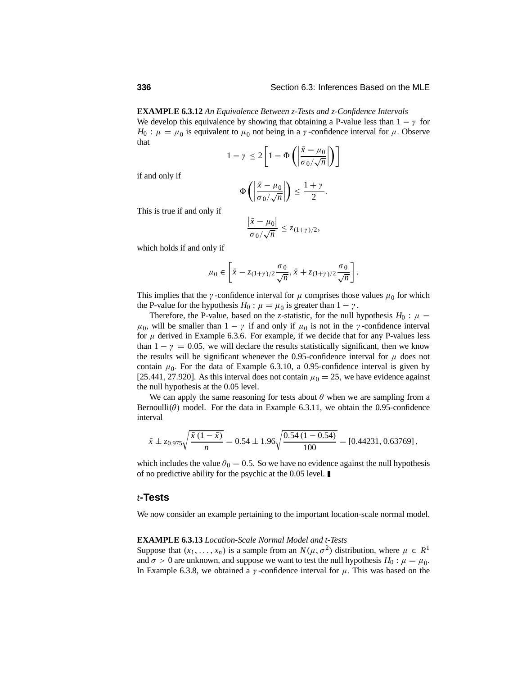.

**EXAMPLE 6.3.12** *An Equivalence Between z-Tests and z-Confidence Intervals* We develop this equivalence by showing that obtaining a P-value less than  $1 - \gamma$  for *H*<sub>0</sub> :  $\mu = \mu_0$  is equivalent to  $\mu_0$  not being in a *γ*-confidence interval for  $\mu$ . Observe that

$$
1 - \gamma \le 2 \left[ 1 - \Phi\left( \left| \frac{\bar{x} - \mu_0}{\sigma_0 / \sqrt{n}} \right| \right) \right]
$$

if and only if

$$
\Phi\left(\left|\frac{\bar{x} - \mu_0}{\sigma_0/\sqrt{n}}\right|\right) \le \frac{1 + \gamma}{2}.
$$

This is true if and only if

$$
\frac{\left|\bar{x} - \mu_0\right|}{\sigma_0/\sqrt{n}} \leq z_{(1+\gamma)/2},
$$

which holds if and only if

$$
\mu_0\in \left[\bar{x}-z_{(1+\gamma)/2}\frac{\sigma_0}{\sqrt{n}}, \bar{x}+z_{(1+\gamma)/2}\frac{\sigma_0}{\sqrt{n}}\right]
$$

This implies that the  $\gamma$ -confidence interval for  $\mu$  comprises those values  $\mu_0$  for which the P-value for the hypothesis  $H_0: \mu = \mu_0$  is greater than  $1 - \gamma$ .

Therefore, the P-value, based on the *z*-statistic, for the null hypothesis  $H_0$ :  $\mu$  =  $\mu_0$ , will be smaller than  $1 - \gamma$  if and only if  $\mu_0$  is not in the  $\gamma$ -confidence interval for  $\mu$  derived in Example 6.3.6. For example, if we decide that for any P-values less than  $1 - \gamma = 0.05$ , we will declare the results statistically significant, then we know the results will be significant whenever the 0.95-confidence interval for  $\mu$  does not contain  $\mu_0$ . For the data of Example 6.3.10, a 0.95-confidence interval is given by [25.441, 27.920]. As this interval does not contain  $\mu_0 = 25$ , we have evidence against the null hypothesis at the 0.05 level.

We can apply the same reasoning for tests about  $\theta$  when we are sampling from a Bernoulli( $\theta$ ) model. For the data in Example 6.3.11, we obtain the 0.95-confidence interval

$$
\bar{x} \pm z_{0.975} \sqrt{\frac{\bar{x}(1-\bar{x})}{n}} = 0.54 \pm 1.96 \sqrt{\frac{0.54(1-0.54)}{100}} = [0.44231, 0.63769],
$$

which includes the value  $\theta_0 = 0.5$ . So we have no evidence against the null hypothesis of no predictive ability for the psychic at the 0.05 level.

### *t-***Tests**

We now consider an example pertaining to the important location-scale normal model.

### **EXAMPLE 6.3.13** *Location-Scale Normal Model and t-Tests*

Suppose that  $(x_1, \ldots, x_n)$  is a sample from an  $N(\mu, \sigma^2)$  distribution, where  $\mu \in R^1$ and  $\sigma > 0$  are unknown, and suppose we want to test the null hypothesis  $H_0: \mu = \mu_0$ . In Example 6.3.8, we obtained a  $\gamma$ -confidence interval for  $\mu$ . This was based on the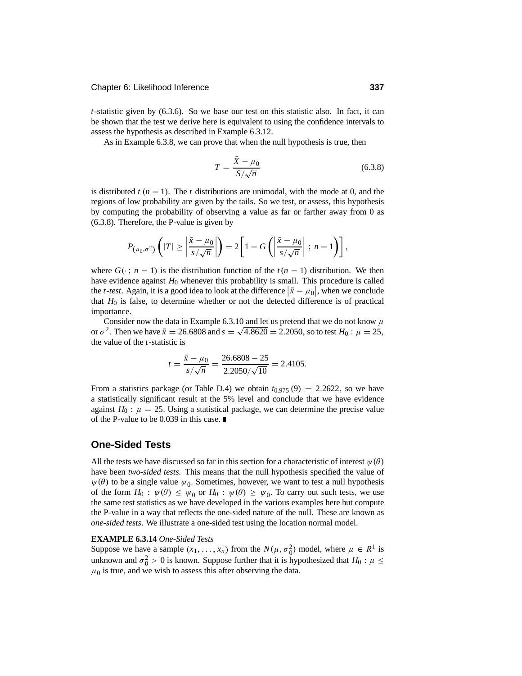*t*-statistic given by (6.3.6). So we base our test on this statistic also. In fact, it can be shown that the test we derive here is equivalent to using the confidence intervals to assess the hypothesis as described in Example 6.3.12.

As in Example 6.3.8, we can prove that when the null hypothesis is true, then

$$
T = \frac{\bar{X} - \mu_0}{S/\sqrt{n}}\tag{6.3.8}
$$

is distributed  $t(n-1)$ . The  $t$  distributions are unimodal, with the mode at 0, and the regions of low probability are given by the tails. So we test, or assess, this hypothesis by computing the probability of observing a value as far or farther away from 0 as (6.3.8). Therefore, the P-value is given by

$$
P_{(\mu_0, \sigma^2)}\left(|T| \geq \left|\frac{\bar{x} - \mu_0}{s/\sqrt{n}}\right|\right) = 2\left[1 - G\left(\left|\frac{\bar{x} - \mu_0}{s/\sqrt{n}}\right|; n - 1\right)\right],
$$

where  $G(\cdot; n-1)$  is the distribution function of the  $t(n-1)$  distribution. We then have evidence against  $H_0$  whenever this probability is small. This procedure is called the *t*-test. Again, it is a good idea to look at the difference  $|\bar{x} - \mu_0|$ , when we conclude that *H*<sup>0</sup> is false, to determine whether or not the detected difference is of practical importance.

Consider now the data in Example 6.3.10 and let us pretend that we do not know  $\mu$ or  $\sigma^2$ . Then we have  $\bar{x} = 26.6808$  and  $s = \sqrt{4.8620} = 2.2050$ , so to test  $H_0 : \mu = 25$ , the value of the *t*-statistic is

$$
t = \frac{\bar{x} - \mu_0}{s / \sqrt{n}} = \frac{26.6808 - 25}{2.2050 / \sqrt{10}} = 2.4105.
$$

From a statistics package (or Table D.4) we obtain  $t_{0.975}(9) = 2.2622$ , so we have a statistically significant result at the 5% level and conclude that we have evidence against  $H_0$ :  $\mu = 25$ . Using a statistical package, we can determine the precise value of the P-value to be 0.039 in this case.

### **One-Sided Tests**

All the tests we have discussed so far in this section for a characteristic of interest  $\psi(\theta)$ have been *two-sided tests*. This means that the null hypothesis specified the value of  $\psi(\theta)$  to be a single value  $\psi_0$ . Sometimes, however, we want to test a null hypothesis of the form  $H_0: \psi(\theta) \leq \psi_0$  or  $H_0: \psi(\theta) \geq \psi_0$ . To carry out such tests, we use the same test statistics as we have developed in the various examples here but compute the P-value in a way that reflects the one-sided nature of the null. These are known as *one-sided tests*. We illustrate a one-sided test using the location normal model.

### **EXAMPLE 6.3.14** *One-Sided Tests*

Suppose we have a sample  $(x_1, \ldots, x_n)$  from the  $N(\mu, \sigma_0^2)$  model, where  $\mu \in R^1$  is unknown and  $\sigma_0^2 > 0$  is known. Suppose further that it is hypothesized that  $H_0: \mu \leq$  $\mu_0$  is true, and we wish to assess this after observing the data.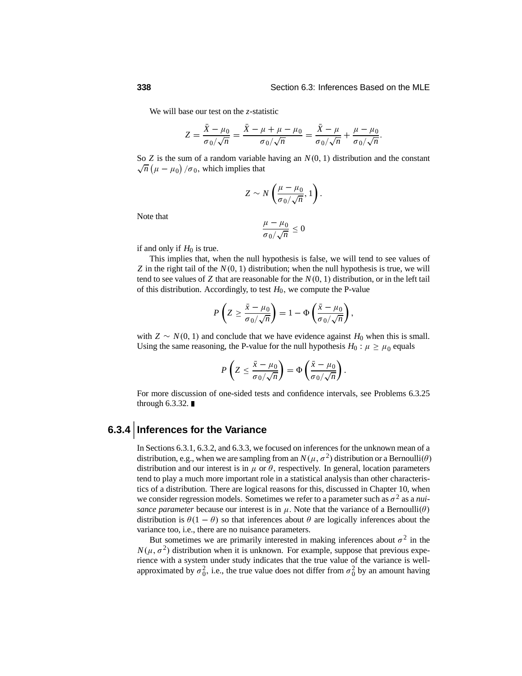We will base our test on the *z*-statistic

$$
Z = \frac{\bar{X} - \mu_0}{\sigma_0 / \sqrt{n}} = \frac{\bar{X} - \mu + \mu - \mu_0}{\sigma_0 / \sqrt{n}} = \frac{\bar{X} - \mu}{\sigma_0 / \sqrt{n}} + \frac{\mu - \mu_0}{\sigma_0 / \sqrt{n}}.
$$

So  $Z$  is the sum of a random variable having an  $N(0, 1)$  distribution and the constant  $\sqrt{n}(\mu - \mu_0)/\sigma_0$ , which implies that

$$
Z \sim N\left(\frac{\mu - \mu_0}{\sigma_0/\sqrt{n}}, 1\right).
$$

Note that

$$
\frac{\mu-\mu_0}{\sigma_0/\sqrt{n}}\leq 0
$$

if and only if  $H_0$  is true.

This implies that, when the null hypothesis is false, we will tend to see values of *Z* in the right tail of the *N*(0, 1) distribution; when the null hypothesis is true, we will tend to see values of Z that are reasonable for the  $N(0, 1)$  distribution, or in the left tail of this distribution. Accordingly, to test  $H_0$ , we compute the P-value

$$
P\left(Z \ge \frac{\bar{x} - \mu_0}{\sigma_0/\sqrt{n}}\right) = 1 - \Phi\left(\frac{\bar{x} - \mu_0}{\sigma_0/\sqrt{n}}\right),
$$

with  $Z \sim N(0, 1)$  and conclude that we have evidence against  $H_0$  when this is small. Using the same reasoning, the P-value for the null hypothesis  $H_0: \mu \geq \mu_0$  equals

$$
P\left(Z \leq \frac{\bar{x} - \mu_0}{\sigma_0/\sqrt{n}}\right) = \Phi\left(\frac{\bar{x} - \mu_0}{\sigma_0/\sqrt{n}}\right).
$$

For more discussion of one-sided tests and confidence intervals, see Problems 6.3.25 through 6.3.32.  $\blacksquare$ 

## **6.3.4 Inferences for the Variance**

In Sections 6.3.1, 6.3.2, and 6.3.3, we focused on inferences for the unknown mean of a distribution, e.g., when we are sampling from an  $N(\mu, \sigma^2)$  distribution or a Bernoulli( $\theta$ ) distribution and our interest is in  $\mu$  or  $\theta$ , respectively. In general, location parameters tend to play a much more important role in a statistical analysis than other characteristics of a distribution. There are logical reasons for this, discussed in Chapter 10, when we consider regression models. Sometimes we refer to a parameter such as  $\sigma^2$  as a *nuisance parameter* because our interest is in  $\mu$ . Note that the variance of a Bernoulli( $\theta$ ) distribution is  $\theta(1 - \theta)$  so that inferences about  $\theta$  are logically inferences about the variance too, i.e., there are no nuisance parameters.

But sometimes we are primarily interested in making inferences about  $\sigma^2$  in the  $N(\mu, \sigma^2)$  distribution when it is unknown. For example, suppose that previous experience with a system under study indicates that the true value of the variance is wellapproximated by  $\sigma_0^2$ , i.e., the true value does not differ from  $\sigma_0^2$  by an amount having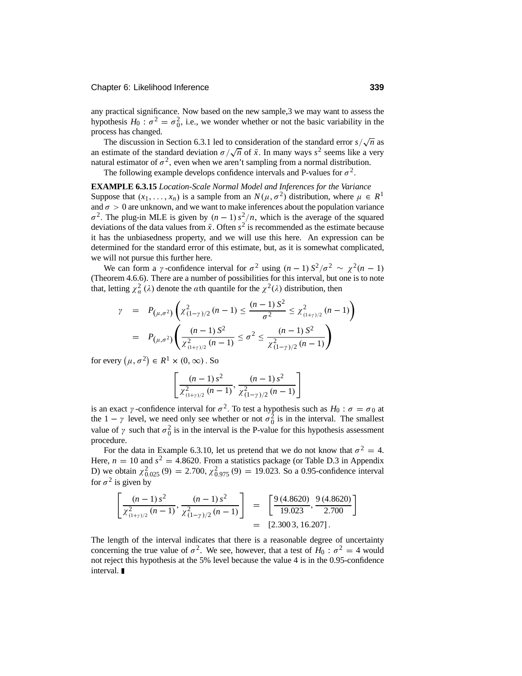any practical significance. Now based on the new sample,3 we may want to assess the hypothesis  $H_0$ :  $\sigma^2 = \sigma_0^2$ , i.e., we wonder whether or not the basic variability in the process has changed.

The discussion in Section 6.3.1 led to consideration of the standard error  $s/\sqrt{n}$  as an estimate of the standard deviation  $\sigma/\sqrt{n}$  of  $\bar{x}$ . In many ways  $s^2$  seems like a very natural estimator of  $\sigma^2$ , even when we aren't sampling from a normal distribution.

The following example develops confidence intervals and P-values for  $\sigma^2$ .

**EXAMPLE 6.3.15** *Location-Scale Normal Model and Inferences for the Variance* Suppose that  $(x_1, \ldots, x_n)$  is a sample from an  $N(\mu, \sigma^2)$  distribution, where  $\mu \in R^1$ and  $\sigma > 0$  are unknown, and we want to make inferences about the population variance  $\sigma^2$ . The plug-in MLE is given by  $(n-1) s^2/n$ , which is the average of the squared deviations of the data values from  $\bar{x}$ . Often  $s^2$  is recommended as the estimate because it has the unbiasedness property, and we will use this here. An expression can be determined for the standard error of this estimate, but, as it is somewhat complicated, we will not pursue this further here.

We can form a *γ*-confidence interval for  $\sigma^2$  using  $(n-1) S^2/\sigma^2 \sim \chi^2(n-1)$ (Theorem 4.6.6). There are a number of possibilities for this interval, but one is to note that, letting  $\chi^2_{\alpha}(\lambda)$  denote the  $\alpha$ th quantile for the  $\chi^2(\lambda)$  distribution, then

$$
\gamma = P_{(\mu,\sigma^2)} \left( \chi^2_{(1-\gamma)/2} (n-1) \le \frac{(n-1) S^2}{\sigma^2} \le \chi^2_{(1+\gamma)/2} (n-1) \right)
$$
  
=  $P_{(\mu,\sigma^2)} \left( \frac{(n-1) S^2}{\chi^2_{(1+\gamma)/2} (n-1)} \le \sigma^2 \le \frac{(n-1) S^2}{\chi^2_{(1-\gamma)/2} (n-1)} \right)$ 

for every  $(\mu, \sigma^2) \in R^1 \times (0, \infty)$ . So

$$
\left[\frac{(n-1) s^2}{\chi^2_{(1+\gamma)/2} (n-1)}, \frac{(n-1) s^2}{\chi^2_{(1-\gamma)/2} (n-1)}\right]
$$

is an exact *γ* -confidence interval for  $\sigma^2$ . To test a hypothesis such as  $H_0$ :  $\sigma = \sigma_0$  at the  $1 - \gamma$  level, we need only see whether or not  $\sigma_0^2$  is in the interval. The smallest value of  $\gamma$  such that  $\sigma_0^2$  is in the interval is the P-value for this hypothesis assessment procedure.

For the data in Example 6.3.10, let us pretend that we do not know that  $\sigma^2 = 4$ . Here,  $n = 10$  and  $s^2 = 4.8620$ . From a statistics package (or Table D.3 in Appendix D) we obtain  $\chi^2_{0.025}(9) = 2.700$ ,  $\chi^2_{0.975}(9) = 19.023$ . So a 0.95-confidence interval for  $\sigma^2$  is given by

$$
\left[\frac{(n-1) s^2}{\chi^2_{(1+\gamma)/2} (n-1)}, \frac{(n-1) s^2}{\chi^2_{(1-\gamma)/2} (n-1)}\right] = \left[\frac{9 (4.8620)}{19.023}, \frac{9 (4.8620)}{2.700}\right]
$$
  
= [2.3003, 16.207].

The length of the interval indicates that there is a reasonable degree of uncertainty concerning the true value of  $\sigma^2$ . We see, however, that a test of  $H_0$ :  $\sigma^2 = 4$  would not reject this hypothesis at the 5% level because the value 4 is in the 0.95-confidence interval.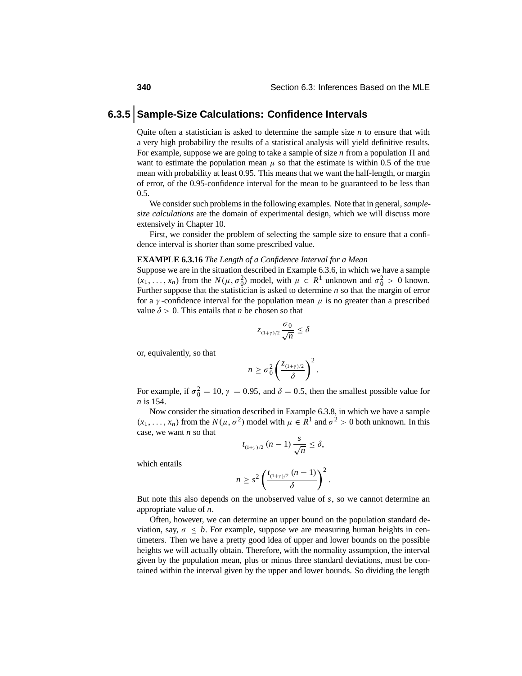### **6.3.5 Sample-Size Calculations: Confidence Intervals**

Quite often a statistician is asked to determine the sample size *n* to ensure that with a very high probability the results of a statistical analysis will yield definitive results. For example, suppose we are going to take a sample of size *n* from a population  $\Pi$  and want to estimate the population mean  $\mu$  so that the estimate is within 0.5 of the true mean with probability at least 0.95. This means that we want the half-length, or margin of error, of the 0.95-confidence interval for the mean to be guaranteed to be less than 0.5.

We consider such problems in the following examples. Note that in general, *samplesize calculations* are the domain of experimental design, which we will discuss more extensively in Chapter 10.

First, we consider the problem of selecting the sample size to ensure that a confidence interval is shorter than some prescribed value.

### **EXAMPLE 6.3.16** *The Length of a Confidence Interval for a Mean*

Suppose we are in the situation described in Example 6.3.6, in which we have a sample  $(x_1, \ldots, x_n)$  from the  $N(\mu, \sigma_0^2)$  model, with  $\mu \in R^1$  unknown and  $\sigma_0^2 > 0$  known. Further suppose that the statistician is asked to determine *n* so that the margin of error for a  $\gamma$ -confidence interval for the population mean  $\mu$  is no greater than a prescribed value  $\delta > 0$ . This entails that *n* be chosen so that

$$
z_{(1+\gamma)/2} \frac{\sigma_0}{\sqrt{n}} \le \delta
$$

or, equivalently, so that

which entails

$$
n \geq \sigma_0^2 \left( \frac{z_{(1+\gamma)/2}}{\delta} \right)^2.
$$

For example, if  $\sigma_0^2 = 10$ ,  $\gamma = 0.95$ , and  $\delta = 0.5$ , then the smallest possible value for *n* is 154.

Now consider the situation described in Example 6.3.8, in which we have a sample  $(x_1,...,x_n)$  from the  $N(\mu, \sigma^2)$  model with  $\mu \in R^1$  and  $\sigma^2 > 0$  both unknown. In this case, we want *n* so that

$$
t_{(1+\gamma)/2} (n-1) \frac{s}{\sqrt{n}} \le \delta,
$$
  

$$
n \ge s^2 \left( \frac{t_{(1+\gamma)/2} (n-1)}{\delta} \right)^2.
$$

But note this also depends on the unobserved value of *s*, so we cannot determine an appropriate value of *n*.

Often, however, we can determine an upper bound on the population standard deviation, say,  $\sigma \leq b$ . For example, suppose we are measuring human heights in centimeters. Then we have a pretty good idea of upper and lower bounds on the possible heights we will actually obtain. Therefore, with the normality assumption, the interval given by the population mean, plus or minus three standard deviations, must be contained within the interval given by the upper and lower bounds. So dividing the length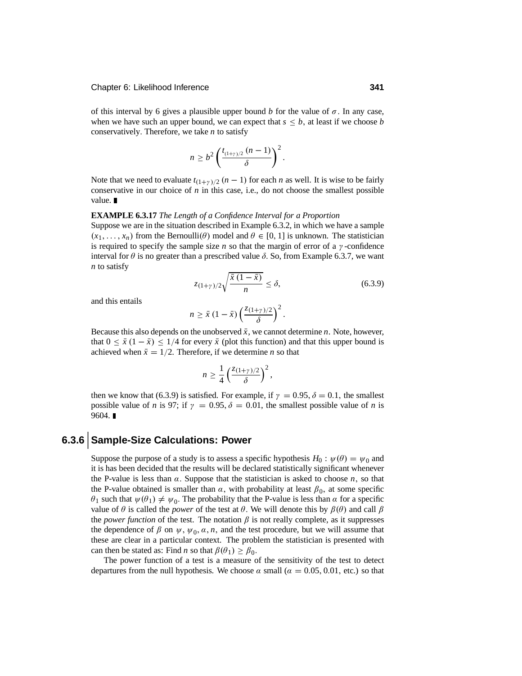of this interval by 6 gives a plausible upper bound *b* for the value of  $\sigma$ . In any case, when we have such an upper bound, we can expect that  $s \leq b$ , at least if we choose *b* conservatively. Therefore, we take *n* to satisfy

$$
n \ge b^2 \left( \frac{t_{(1+\gamma)/2} (n-1)}{\delta} \right)^2.
$$

Note that we need to evaluate  $t_{(1+\gamma)/2}$   $(n-1)$  for each *n* as well. It is wise to be fairly conservative in our choice of *n* in this case, i.e., do not choose the smallest possible value.

### **EXAMPLE 6.3.17** *The Length of a Confidence Interval for a Proportion*

Suppose we are in the situation described in Example 6.3.2, in which we have a sample  $(x_1, \ldots, x_n)$  from the Bernoulli( $\theta$ ) model and  $\theta \in [0, 1]$  is unknown. The statistician is required to specify the sample size  $n$  so that the margin of error of a  $\gamma$ -confidence interval for  $\theta$  is no greater than a prescribed value  $\delta$ . So, from Example 6.3.7, we want *n* to satisfy

$$
z_{(1+\gamma)/2}\sqrt{\frac{\bar{x}(1-\bar{x})}{n}} \le \delta,\tag{6.3.9}
$$

and this entails

$$
n \geq \bar{x} \left(1 - \bar{x}\right) \left(\frac{z_{(1+\gamma)/2}}{\delta}\right)^2.
$$

Because this also depends on the unobserved  $\bar{x}$ , we cannot determine *n*. Note, however, that  $0 \le \bar{x} (1 - \bar{x}) \le 1/4$  for every  $\bar{x}$  (plot this function) and that this upper bound is achieved when  $\bar{x} = 1/2$ . Therefore, if we determine *n* so that

$$
n \geq \frac{1}{4} \left( \frac{z_{(1+\gamma)/2}}{\delta} \right)^2,
$$

then we know that (6.3.9) is satisfied. For example, if  $\gamma = 0.95, \delta = 0.1$ , the smallest possible value of *n* is 97; if  $\gamma = 0.95$ ,  $\delta = 0.01$ , the smallest possible value of *n* is 9604.

## **6.3.6 Sample-Size Calculations: Power**

Suppose the purpose of a study is to assess a specific hypothesis  $H_0: \psi(\theta) = \psi_0$  and it is has been decided that the results will be declared statistically significant whenever the P-value is less than  $\alpha$ . Suppose that the statistician is asked to choose  $n$ , so that the P-value obtained is smaller than  $\alpha$ , with probability at least  $\beta_0$ , at some specific  $\theta_1$  such that  $\psi(\theta_1) \neq \psi_0$ . The probability that the P-value is less than  $\alpha$  for a specific value of  $\theta$  is called the *power* of the test at  $\theta$ . We will denote this by  $\beta(\theta)$  and call  $\beta$ the *power function* of the test. The notation  $\beta$  is not really complete, as it suppresses the dependence of  $\beta$  on  $\psi$ ,  $\psi_0$ ,  $\alpha$ ,  $n$ , and the test procedure, but we will assume that these are clear in a particular context. The problem the statistician is presented with can then be stated as: Find *n* so that  $\beta(\theta_1) \geq \beta_0$ .

The power function of a test is a measure of the sensitivity of the test to detect departures from the null hypothesis. We choose  $\alpha$  small ( $\alpha = 0.05, 0.01$ , etc.) so that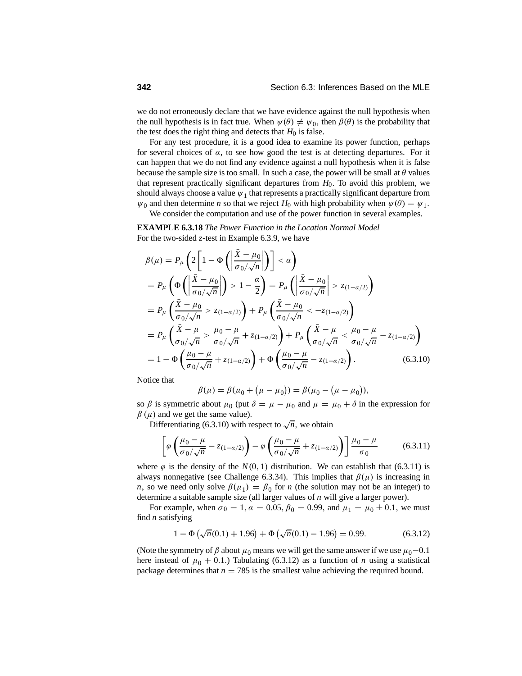we do not erroneously declare that we have evidence against the null hypothesis when the null hypothesis is in fact true. When  $\psi(\theta) \neq \psi_0$ , then  $\beta(\theta)$  is the probability that the test does the right thing and detects that  $H_0$  is false.

For any test procedure, it is a good idea to examine its power function, perhaps for several choices of  $\alpha$ , to see how good the test is at detecting departures. For it can happen that we do not find any evidence against a null hypothesis when it is false because the sample size is too small. In such a case, the power will be small at  $\theta$  values that represent practically significant departures from *H*0. To avoid this problem, we should always choose a value  $\psi_1$  that represents a practically significant departure from  $\psi_0$  and then determine *n* so that we reject  $H_0$  with high probability when  $\psi(\theta) = \psi_1$ .

We consider the computation and use of the power function in several examples.

**EXAMPLE 6.3.18** *The Power Function in the Location Normal Model* For the two-sided *z*-test in Example 6.3.9, we have

$$
\beta(\mu) = P_{\mu} \left( 2 \left[ 1 - \Phi \left( \left| \frac{\bar{X} - \mu_0}{\sigma_0 / \sqrt{n}} \right| \right) \right] < \alpha \right)
$$
\n
$$
= P_{\mu} \left( \Phi \left( \left| \frac{\bar{X} - \mu_0}{\sigma_0 / \sqrt{n}} \right| \right) > 1 - \frac{\alpha}{2} \right) = P_{\mu} \left( \left| \frac{\bar{X} - \mu_0}{\sigma_0 / \sqrt{n}} \right| > z_{(1 - \alpha/2)} \right)
$$
\n
$$
= P_{\mu} \left( \frac{\bar{X} - \mu_0}{\sigma_0 / \sqrt{n}} > z_{(1 - \alpha/2)} \right) + P_{\mu} \left( \frac{\bar{X} - \mu_0}{\sigma_0 / \sqrt{n}} < -z_{(1 - \alpha/2)} \right)
$$
\n
$$
= P_{\mu} \left( \frac{\bar{X} - \mu}{\sigma_0 / \sqrt{n}} > \frac{\mu_0 - \mu}{\sigma_0 / \sqrt{n}} + z_{(1 - \alpha/2)} \right) + P_{\mu} \left( \frac{\bar{X} - \mu}{\sigma_0 / \sqrt{n}} < \frac{\mu_0 - \mu}{\sigma_0 / \sqrt{n}} - z_{(1 - \alpha/2)} \right)
$$
\n
$$
= 1 - \Phi \left( \frac{\mu_0 - \mu}{\sigma_0 / \sqrt{n}} + z_{(1 - \alpha/2)} \right) + \Phi \left( \frac{\mu_0 - \mu}{\sigma_0 / \sqrt{n}} - z_{(1 - \alpha/2)} \right). \tag{6.3.10}
$$

Notice that

$$
\beta(\mu) = \beta(\mu_0 + (\mu - \mu_0)) = \beta(\mu_0 - (\mu - \mu_0)),
$$

so  $\beta$  is symmetric about  $\mu_0$  (put  $\delta = \mu - \mu_0$  and  $\mu = \mu_0 + \delta$  in the expression for  $\beta(\mu)$  and we get the same value).

Differentiating (6.3.10) with respect to  $\sqrt{n}$ , we obtain

$$
\left[\varphi\left(\frac{\mu_0 - \mu}{\sigma_0/\sqrt{n}} - z_{(1 - \alpha/2)}\right) - \varphi\left(\frac{\mu_0 - \mu}{\sigma_0/\sqrt{n}} + z_{(1 - \alpha/2)}\right)\right] \frac{\mu_0 - \mu}{\sigma_0} \tag{6.3.11}
$$

where  $\varphi$  is the density of the  $N(0, 1)$  distribution. We can establish that (6.3.11) is always nonnegative (see Challenge 6.3.34). This implies that  $\beta(\mu)$  is increasing in *n*, so we need only solve  $\beta(\mu_1) = \beta_0$  for *n* (the solution may not be an integer) to determine a suitable sample size (all larger values of *n* will give a larger power).

For example, when  $\sigma_0 = 1, \alpha = 0.05, \beta_0 = 0.99$ , and  $\mu_1 = \mu_0 \pm 0.1$ , we must find *n* satisfying

$$
1 - \Phi\left(\sqrt{n}(0.1) + 1.96\right) + \Phi\left(\sqrt{n}(0.1) - 1.96\right) = 0.99. \tag{6.3.12}
$$

(Note the symmetry of  $\beta$  about  $\mu_0$  means we will get the same answer if we use  $\mu_0$ –0.1 here instead of  $\mu_0 + 0.1$ .) Tabulating (6.3.12) as a function of *n* using a statistical package determines that  $n = 785$  is the smallest value achieving the required bound.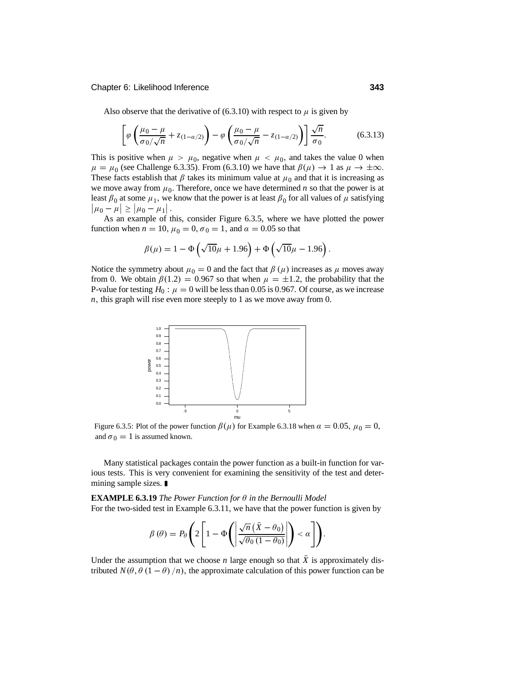Also observe that the derivative of (6.3.10) with respect to  $\mu$  is given by

$$
\left[\varphi\left(\frac{\mu_0-\mu}{\sigma_0/\sqrt{n}}+z_{(1-a/2)}\right)-\varphi\left(\frac{\mu_0-\mu}{\sigma_0/\sqrt{n}}-z_{(1-a/2)}\right)\right]\frac{\sqrt{n}}{\sigma_0}.\tag{6.3.13}
$$

This is positive when  $\mu > \mu_0$ , negative when  $\mu < \mu_0$ , and takes the value 0 when  $\mu = \mu_0$  (see Challenge 6.3.35). From (6.3.10) we have that  $\beta(\mu) \rightarrow 1$  as  $\mu \rightarrow \pm \infty$ . These facts establish that  $\beta$  takes its minimum value at  $\mu_0$  and that it is increasing as we move away from  $\mu_0$ . Therefore, once we have determined *n* so that the power is at least  $\beta_0$  at some  $\mu_1$ , we know that the power is at least  $\beta_0$  for all values of  $\mu$  satisfying  $|\mu_0 - \mu| \geq |\mu_0 - \mu_1|.$ 

As an example of this, consider Figure 6.3.5, where we have plotted the power function when  $n = 10$ ,  $\mu_0 = 0$ ,  $\sigma_0 = 1$ , and  $\alpha = 0.05$  so that

$$
\beta(\mu) = 1 - \Phi\left(\sqrt{10}\mu + 1.96\right) + \Phi\left(\sqrt{10}\mu - 1.96\right).
$$

Notice the symmetry about  $\mu_0 = 0$  and the fact that  $\beta(\mu)$  increases as  $\mu$  moves away from 0. We obtain  $\beta(1.2) = 0.967$  so that when  $\mu = \pm 1.2$ , the probability that the P-value for testing  $H_0$ :  $\mu = 0$  will be less than 0.05 is 0.967. Of course, as we increase *n*, this graph will rise even more steeply to 1 as we move away from 0.



Figure 6.3.5: Plot of the power function  $\beta(\mu)$  for Example 6.3.18 when  $\alpha = 0.05$ ,  $\mu_0 = 0$ , and  $\sigma_0 = 1$  is assumed known.

Many statistical packages contain the power function as a built-in function for various tests. This is very convenient for examining the sensitivity of the test and determining sample sizes.

**EXAMPLE 6.3.19** *The Power Function for* θ *in the Bernoulli Model* For the two-sided test in Example 6.3.11, we have that the power function is given by

$$
\beta(\theta) = P_{\theta}\left(2\left[1 - \Phi\left(\left|\frac{\sqrt{n}(\bar{X} - \theta_0)}{\sqrt{\theta_0(1 - \theta_0)}}\right|\right) < \alpha\right]\right).
$$

Under the assumption that we choose *n* large enough so that  $\overline{X}$  is approximately distributed  $N(\theta, \theta (1 - \theta)/n)$ , the approximate calculation of this power function can be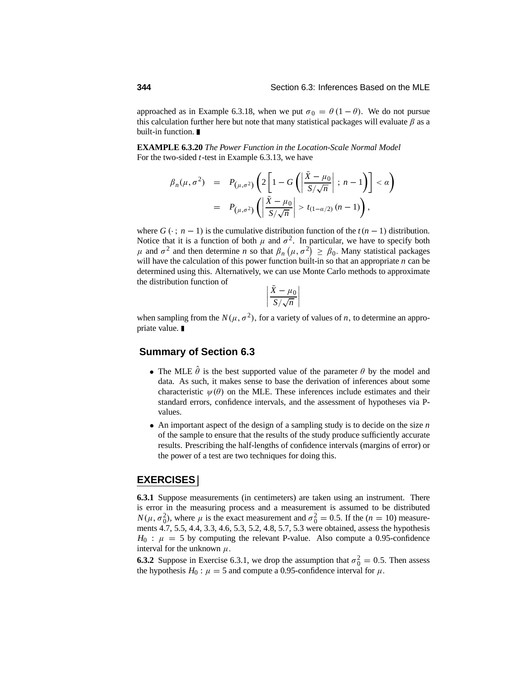approached as in Example 6.3.18, when we put  $\sigma_0 = \theta (1 - \theta)$ . We do not pursue this calculation further here but note that many statistical packages will evaluate  $\beta$  as a built-in function.

**EXAMPLE 6.3.20** *The Power Function in the Location-Scale Normal Model* For the two-sided *t*-test in Example 6.3.13, we have

$$
\beta_n(\mu, \sigma^2) = P_{(\mu, \sigma^2)} \left( 2 \left[ 1 - G \left( \left| \frac{\bar{X} - \mu_0}{S / \sqrt{n}} \right| ; n - 1 \right) \right] < \alpha \right)
$$
\n
$$
= P_{(\mu, \sigma^2)} \left( \left| \frac{\bar{X} - \mu_0}{S / \sqrt{n}} \right| > t_{(1 - \alpha/2)} (n - 1) \right),
$$

where  $G(\cdot; n-1)$  is the cumulative distribution function of the  $t(n-1)$  distribution. Notice that it is a function of both  $\mu$  and  $\sigma^2$ . In particular, we have to specify both  $\mu$  and  $\sigma^2$  and then determine *n* so that  $\beta_n(\mu, \sigma^2) \ge \beta_0$ . Many statistical packages will have the calculation of this power function built-in so that an appropriate *n* can be determined using this. Alternatively, we can use Monte Carlo methods to approximate the distribution function of

$$
\left| \frac{\bar{X} - \mu_0}{S / \sqrt{n}} \right|
$$

when sampling from the  $N(\mu, \sigma^2)$ , for a variety of values of *n*, to determine an appropriate value.

### **Summary of Section 6.3**

- The MLE  $\hat{\theta}$  is the best supported value of the parameter  $\theta$  by the model and data. As such, it makes sense to base the derivation of inferences about some characteristic  $\psi(\theta)$  on the MLE. These inferences include estimates and their standard errors, confidence intervals, and the assessment of hypotheses via Pvalues.
- An important aspect of the design of a sampling study is to decide on the size *<sup>n</sup>* of the sample to ensure that the results of the study produce sufficiently accurate results. Prescribing the half-lengths of confidence intervals (margins of error) or the power of a test are two techniques for doing this.

### **EXERCISES**

**6.3.1** Suppose measurements (in centimeters) are taken using an instrument. There is error in the measuring process and a measurement is assumed to be distributed  $N(\mu, \sigma_0^2)$ , where  $\mu$  is the exact measurement and  $\sigma_0^2 = 0.5$ . If the (*n* = 10) measurements 4.7, 5.5, 4.4, 3.3, 4.6, 5.3, 5.2, 4.8, 5.7, 5.3 were obtained, assess the hypothesis  $H_0$ :  $\mu = 5$  by computing the relevant P-value. Also compute a 0.95-confidence interval for the unknown  $\mu$ .

**6.3.2** Suppose in Exercise 6.3.1, we drop the assumption that  $\sigma_0^2 = 0.5$ . Then assess the hypothesis  $H_0$ :  $\mu = 5$  and compute a 0.95-confidence interval for  $\mu$ .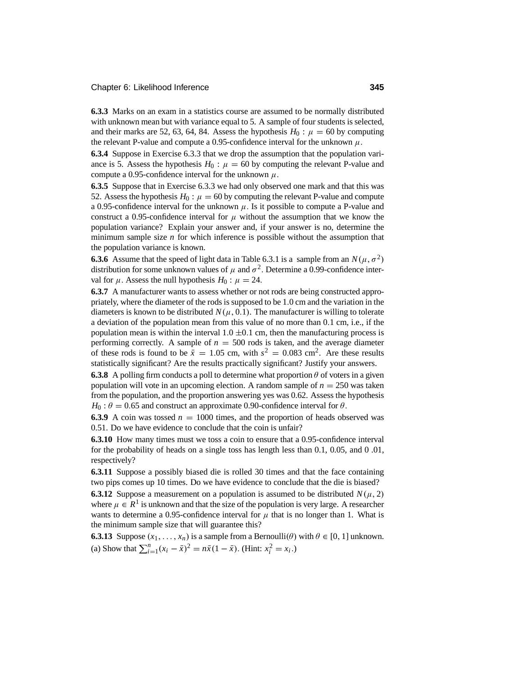### Chapter 6: Likelihood Inference **345**

**6.3.3** Marks on an exam in a statistics course are assumed to be normally distributed with unknown mean but with variance equal to 5. A sample of four students is selected, and their marks are 52, 63, 64, 84. Assess the hypothesis  $H_0$ :  $\mu = 60$  by computing the relevant P-value and compute a 0.95-confidence interval for the unknown  $\mu$ .

**6.3.4** Suppose in Exercise 6.3.3 that we drop the assumption that the population variance is 5. Assess the hypothesis  $H_0$ :  $\mu = 60$  by computing the relevant P-value and compute a 0.95-confidence interval for the unknown  $\mu$ .

**6.3.5** Suppose that in Exercise 6.3.3 we had only observed one mark and that this was 52. Assess the hypothesis  $H_0$ :  $\mu = 60$  by computing the relevant P-value and compute a 0.95-confidence interval for the unknown  $\mu$ . Is it possible to compute a P-value and construct a 0.95-confidence interval for  $\mu$  without the assumption that we know the population variance? Explain your answer and, if your answer is no, determine the minimum sample size *n* for which inference is possible without the assumption that the population variance is known.

**6.3.6** Assume that the speed of light data in Table 6.3.1 is a sample from an  $N(\mu, \sigma^2)$ distribution for some unknown values of  $\mu$  and  $\sigma^2$ . Determine a 0.99-confidence interval for  $\mu$ . Assess the null hypothesis  $H_0$ :  $\mu = 24$ .

**6.3.7** A manufacturer wants to assess whether or not rods are being constructed appropriately, where the diameter of the rods is supposed to be 1.0 cm and the variation in the diameters is known to be distributed  $N(\mu, 0.1)$ . The manufacturer is willing to tolerate a deviation of the population mean from this value of no more than 0.1 cm, i.e., if the population mean is within the interval  $1.0 \pm 0.1$  cm, then the manufacturing process is performing correctly. A sample of  $n = 500$  rods is taken, and the average diameter of these rods is found to be  $\bar{x} = 1.05$  cm, with  $s^2 = 0.083$  cm<sup>2</sup>. Are these results statistically significant? Are the results practically significant? Justify your answers.

**6.3.8** A polling firm conducts a poll to determine what proportion  $\theta$  of voters in a given population will vote in an upcoming election. A random sample of  $n = 250$  was taken from the population, and the proportion answering yes was 0.62. Assess the hypothesis  $H_0$ :  $\theta = 0.65$  and construct an approximate 0.90-confidence interval for  $\theta$ .

**6.3.9** A coin was tossed  $n = 1000$  times, and the proportion of heads observed was 0.51. Do we have evidence to conclude that the coin is unfair?

**6.3.10** How many times must we toss a coin to ensure that a 0.95-confidence interval for the probability of heads on a single toss has length less than 0.1, 0.05, and 0 .01, respectively?

**6.3.11** Suppose a possibly biased die is rolled 30 times and that the face containing two pips comes up 10 times. Do we have evidence to conclude that the die is biased?

**6.3.12** Suppose a measurement on a population is assumed to be distributed  $N(\mu, 2)$ where  $\mu \in R^1$  is unknown and that the size of the population is very large. A researcher wants to determine a 0.95-confidence interval for  $\mu$  that is no longer than 1. What is the minimum sample size that will guarantee this?

**6.3.13** Suppose  $(x_1, \ldots, x_n)$  is a sample from a Bernoulli $(\theta)$  with  $\theta \in [0, 1]$  unknown. (a) Show that  $\sum_{i=1}^{n} (x_i - \bar{x})^2 = n\bar{x}(1 - \bar{x})$ . (Hint:  $x_i^2 = x_i$ .)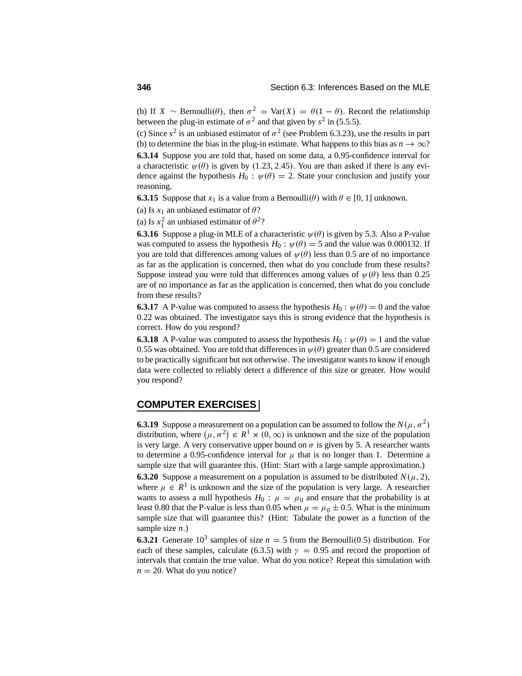(b) If *X* ∼ Bernoulli( $\theta$ ), then  $\sigma^2$  = Var(*X*) =  $\theta$ (1 −  $\theta$ ). Record the relationship between the plug-in estimate of  $\sigma^2$  and that given by  $s^2$  in (5.5.5).

(c) Since  $s^2$  is an unbiased estimator of  $\sigma^2$  (see Problem 6.3.23), use the results in part (b) to determine the bias in the plug-in estimate. What happens to this bias as  $n \to \infty$ ? **6.3.14** Suppose you are told that, based on some data, a 0.95-confidence interval for a characteristic  $\psi(\theta)$  is given by (1.23, 2.45). You are than asked if there is any evidence against the hypothesis  $H_0$ :  $\psi(\theta) = 2$ . State your conclusion and justify your reasoning.

**6.3.15** Suppose that  $x_1$  is a value from a Bernoulli( $\theta$ ) with  $\theta \in [0, 1]$  unknown.

(a) Is  $x_1$  an unbiased estimator of  $\theta$ ?

(a) Is  $x_1^2$  an unbiased estimator of  $\theta^2$ ?

**6.3.16** Suppose a plug-in MLE of a characteristic  $\psi(\theta)$  is given by 5.3. Also a P-value was computed to assess the hypothesis  $H_0$ :  $\psi(\theta) = 5$  and the value was 0.000132. If you are told that differences among values of  $\psi(\theta)$  less than 0.5 are of no importance as far as the application is concerned, then what do you conclude from these results? Suppose instead you were told that differences among values of  $\psi(\theta)$  less than 0.25 are of no importance as far as the application is concerned, then what do you conclude from these results?

**6.3.17** A P-value was computed to assess the hypothesis  $H_0: \psi(\theta) = 0$  and the value 0.22 was obtained. The investigator says this is strong evidence that the hypothesis is correct. How do you respond?

**6.3.18** A P-value was computed to assess the hypothesis  $H_0: \psi(\theta) = 1$  and the value 0.55 was obtained. You are told that differences in  $\psi(\theta)$  greater than 0.5 are considered to be practically significant but not otherwise. The investigator wants to know if enough data were collected to reliably detect a difference of this size or greater. How would you respond?

### **COMPUTER EXERCISES**

**6.3.19** Suppose a measurement on a population can be assumed to follow the  $N(\mu, \sigma^2)$ distribution, where  $(\mu, \sigma^2) \in R^1 \times (0, \infty)$  is unknown and the size of the population is very large. A very conservative upper bound on  $\sigma$  is given by 5. A researcher wants to determine a 0.95-confidence interval for  $\mu$  that is no longer than 1. Determine a sample size that will guarantee this. (Hint: Start with a large sample approximation.)

**6.3.20** Suppose a measurement on a population is assumed to be distributed  $N(\mu, 2)$ , where  $\mu \in R^1$  is unknown and the size of the population is very large. A researcher wants to assess a null hypothesis  $H_0$ :  $\mu = \mu_0$  and ensure that the probability is at least 0.80 that the P-value is less than 0.05 when  $\mu = \mu_0 \pm 0.5$ . What is the minimum sample size that will guarantee this? (Hint: Tabulate the power as a function of the sample size *n*.)

**6.3.21** Generate  $10^3$  samples of size  $n = 5$  from the Bernoulli(0.5) distribution. For each of these samples, calculate (6.3.5) with  $\gamma = 0.95$  and record the proportion of intervals that contain the true value. What do you notice? Repeat this simulation with  $n = 20$ . What do you notice?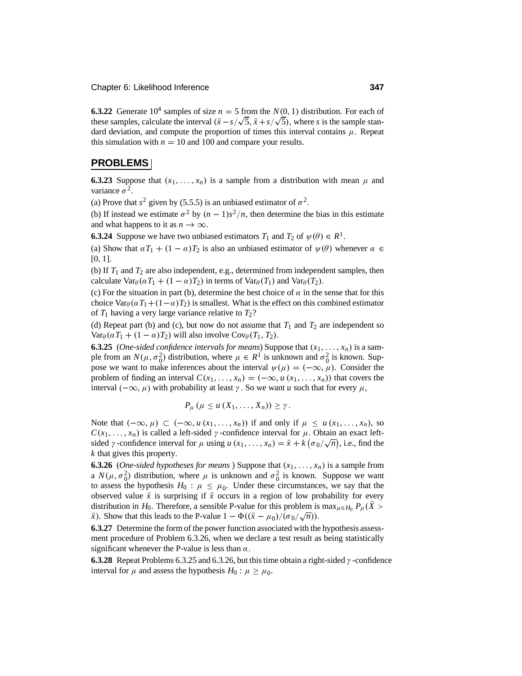**6.3.22** Generate  $10^4$  samples of size  $n = 5$  from the  $N(0, 1)$  distribution. For each of these samples, calculate the interval  $(\bar{x} - s/\sqrt{5}, \bar{x} + s/\sqrt{5})$ , where *s* is the sample standard deviation, and compute the proportion of times this interval contains  $\mu$ . Repeat this simulation with  $n = 10$  and 100 and compare your results.

### **PROBLEMS**

**6.3.23** Suppose that  $(x_1, \ldots, x_n)$  is a sample from a distribution with mean  $\mu$  and variance  $\sigma^2$ .

(a) Prove that  $s^2$  given by (5.5.5) is an unbiased estimator of  $\sigma^2$ .

(b) If instead we estimate  $\sigma^2$  by  $(n-1)s^2/n$ , then determine the bias in this estimate and what happens to it as  $n \to \infty$ .

**6.3.24** Suppose we have two unbiased estimators  $T_1$  and  $T_2$  of  $\psi(\theta) \in R^1$ .

(a) Show that  $\alpha T_1 + (1 - \alpha)T_2$  is also an unbiased estimator of  $\psi(\theta)$  whenever  $\alpha \in$ [0, 1].

(b) If *T*<sup>1</sup> and *T*<sup>2</sup> are also independent, e.g., determined from independent samples, then calculate Var $_{\theta}$ ( $\alpha T_1 + (1 - \alpha)T_2$ ) in terms of Var $_{\theta}$ ( $T_1$ ) and Var $_{\theta}$ ( $T_2$ ).

(c) For the situation in part (b), determine the best choice of  $\alpha$  in the sense that for this choice Var $\theta(\alpha T_1 + (1-\alpha)T_2)$  is smallest. What is the effect on this combined estimator of  $T_1$  having a very large variance relative to  $T_2$ ?

(d) Repeat part (b) and (c), but now do not assume that  $T_1$  and  $T_2$  are independent so  $\text{Var}_{\theta}(\alpha T_1 + (1 - \alpha)T_2)$  will also involve  $\text{Cov}_{\theta}(T_1, T_2)$ .

**6.3.25** (*One-sided confidence intervals for means*) Suppose that  $(x_1, \ldots, x_n)$  is a sample from an  $N(\mu, \sigma_0^2)$  distribution, where  $\mu \in R^1$  is unknown and  $\sigma_0^2$  is known. Suppose we want to make inferences about the interval  $\psi(\mu) = (-\infty, \mu)$ . Consider the problem of finding an interval  $C(x_1, \ldots, x_n) = (-\infty, u(x_1, \ldots, x_n))$  that covers the interval  $(-\infty, \mu)$  with probability at least  $\gamma$ . So we want  $\mu$  such that for every  $\mu$ ,

$$
P_{\mu}(\mu \leq u(X_1,\ldots,X_n))\geq \gamma.
$$

Note that  $(-\infty, \mu)$  ⊂  $(-\infty, u(x_1,...,x_n))$  if and only if  $\mu \leq u(x_1,...,x_n)$ , so  $C(x_1, \ldots, x_n)$  is called a left-sided  $\gamma$ -confidence interval for  $\mu$ . Obtain an exact leftsided *γ*-confidence interval for *μ* using  $u(x_1,...,x_n) = \bar{x} + k(\sigma_0/\sqrt{n})$ , i.e., find the *k* that gives this property.

**6.3.26** (*One-sided hypotheses for means*) Suppose that  $(x_1, \ldots, x_n)$  is a sample from a  $N(\mu, \sigma_0^2)$  distribution, where  $\mu$  is unknown and  $\sigma_0^2$  is known. Suppose we want to assess the hypothesis  $H_0$ :  $\mu \leq \mu_0$ . Under these circumstances, we say that the observed value  $\bar{x}$  is surprising if  $\bar{x}$  occurs in a region of low probability for every distribution in *H*<sub>0</sub>. Therefore, a sensible P-value for this problem is max<sub> $\mu \in H_0$ </sub>  $P_{\mu}$  (*X* > *x*). Show that this leads to the P-value  $1 - \Phi((\bar{x} - \mu_0)/(\sigma_0/\sqrt{n}))$ .

**6.3.27** Determine the form of the power function associated with the hypothesis assessment procedure of Problem 6.3.26, when we declare a test result as being statistically significant whenever the P-value is less than  $\alpha$ .

**6.3.28** Repeat Problems 6.3.25 and 6.3.26, but this time obtain a right-sided γ -confidence interval for  $\mu$  and assess the hypothesis  $H_0: \mu \geq \mu_0$ .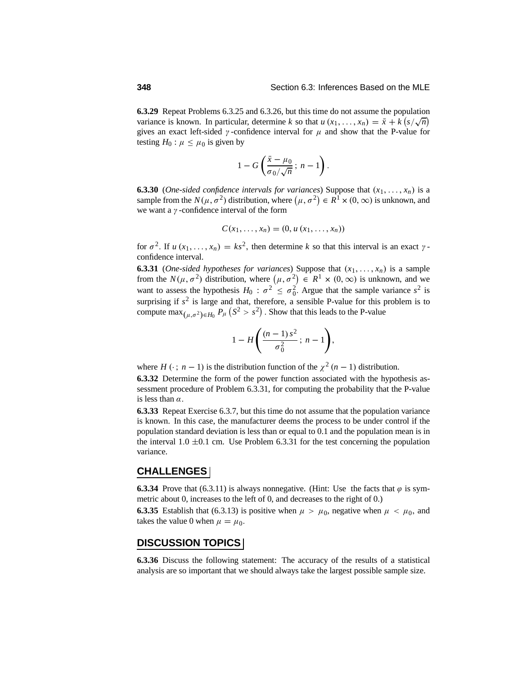**6.3.29** Repeat Problems 6.3.25 and 6.3.26, but this time do not assume the population variance is known. In particular, determine *k* so that  $u(x_1, ..., x_n) = \bar{x} + k(s/\sqrt{n})$ gives an exact left-sided  $\gamma$ -confidence interval for  $\mu$  and show that the P-value for testing  $H_0: \mu \leq \mu_0$  is given by

$$
1-G\left(\frac{\bar{x} - \mu_0}{\sigma_0/\sqrt{n}} \, ; \, n-1\right).
$$

**6.3.30** (*One-sided confidence intervals for variances*) Suppose that  $(x_1, \ldots, x_n)$  is a sample from the  $N(\mu, \sigma^2)$  distribution, where  $(\mu, \sigma^2) \in R^T \times (0, \infty)$  is unknown, and we want a  $\gamma$ -confidence interval of the form

$$
C(x_1,\ldots,x_n)=(0,u(x_1,\ldots,x_n))
$$

for  $\sigma^2$ . If  $u(x_1,...,x_n) = ks^2$ , then determine k so that this interval is an exact  $\gamma$ confidence interval.

**6.3.31** (*One-sided hypotheses for variances*) Suppose that  $(x_1, \ldots, x_n)$  is a sample from the  $N(\mu, \sigma^2)$  distribution, where  $(\mu, \sigma^2) \in R^1 \times (0, \infty)$  is unknown, and we want to assess the hypothesis  $H_0$ :  $\sigma^2 \le \sigma_0^2$ . Argue that the sample variance  $s^2$  is surprising if  $s^2$  is large and that, therefore, a sensible P-value for this problem is to compute  $\max_{(\mu,\sigma^2)\in H_0} P_{\mu} (S^2 > s^2)$ . Show that this leads to the P-value

$$
1-H\left(\frac{(n-1)s^2}{\sigma_0^2}\,;\,n-1\right),
$$

where *H* (·; *n* − 1) is the distribution function of the  $\chi^2$  (*n* − 1) distribution.

**6.3.32** Determine the form of the power function associated with the hypothesis assessment procedure of Problem 6.3.31, for computing the probability that the P-value is less than  $\alpha$ .

**6.3.33** Repeat Exercise 6.3.7, but this time do not assume that the population variance is known. In this case, the manufacturer deems the process to be under control if the population standard deviation is less than or equal to 0.1 and the population mean is in the interval  $1.0 \pm 0.1$  cm. Use Problem 6.3.31 for the test concerning the population variance.

### **CHALLENGES**

**6.3.34** Prove that (6.3.11) is always nonnegative. (Hint: Use the facts that  $\varphi$  is symmetric about 0, increases to the left of 0, and decreases to the right of 0.)

**6.3.35** Establish that (6.3.13) is positive when  $\mu > \mu_0$ , negative when  $\mu < \mu_0$ , and takes the value 0 when  $\mu = \mu_0$ .

### **DISCUSSION TOPICS**

**6.3.36** Discuss the following statement: The accuracy of the results of a statistical analysis are so important that we should always take the largest possible sample size.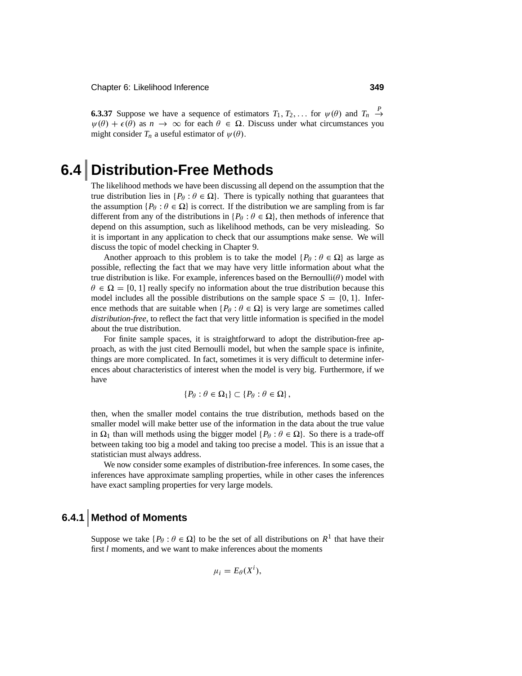**6.3.37** Suppose we have a sequence of estimators  $T_1, T_2, \ldots$  for  $\psi(\theta)$  and  $T_n \stackrel{P}{\rightarrow}$  $\psi(\theta) + \epsilon(\theta)$  as  $n \to \infty$  for each  $\theta \in \Omega$ . Discuss under what circumstances you might consider  $T_n$  a useful estimator of  $\psi(\theta)$ .

# **6.4 Distribution-Free Methods**

The likelihood methods we have been discussing all depend on the assumption that the true distribution lies in  $\{P_{\theta} : \theta \in \Omega\}$ . There is typically nothing that guarantees that the assumption  $\{P_{\theta} : \theta \in \Omega\}$  is correct. If the distribution we are sampling from is far different from any of the distributions in  $\{P_{\theta} : \theta \in \Omega\}$ , then methods of inference that depend on this assumption, such as likelihood methods, can be very misleading. So it is important in any application to check that our assumptions make sense. We will discuss the topic of model checking in Chapter 9.

Another approach to this problem is to take the model  $\{P_{\theta} : \theta \in \Omega\}$  as large as possible, reflecting the fact that we may have very little information about what the true distribution is like. For example, inferences based on the Bernoulli( $\theta$ ) model with  $\theta \in \Omega = [0, 1]$  really specify no information about the true distribution because this model includes all the possible distributions on the sample space  $S = \{0, 1\}$ . Inference methods that are suitable when  $\{P_{\theta} : \theta \in \Omega\}$  is very large are sometimes called *distribution-free*, to reflect the fact that very little information is specified in the model about the true distribution.

For finite sample spaces, it is straightforward to adopt the distribution-free approach, as with the just cited Bernoulli model, but when the sample space is infinite, things are more complicated. In fact, sometimes it is very difficult to determine inferences about characteristics of interest when the model is very big. Furthermore, if we have

$$
\{P_{\theta}:\theta\in\Omega_1\}\subset\{P_{\theta}:\theta\in\Omega\},\
$$

then, when the smaller model contains the true distribution, methods based on the smaller model will make better use of the information in the data about the true value in  $\Omega_1$  than will methods using the bigger model  $\{P_\theta : \theta \in \Omega\}$ . So there is a trade-off between taking too big a model and taking too precise a model. This is an issue that a statistician must always address.

We now consider some examples of distribution-free inferences. In some cases, the inferences have approximate sampling properties, while in other cases the inferences have exact sampling properties for very large models.

## **6.4.1 Method of Moments**

Suppose we take  $\{P_\theta : \theta \in \Omega\}$  to be the set of all distributions on  $R^1$  that have their first *l* moments, and we want to make inferences about the moments

$$
\mu_i = E_{\theta}(X^i),
$$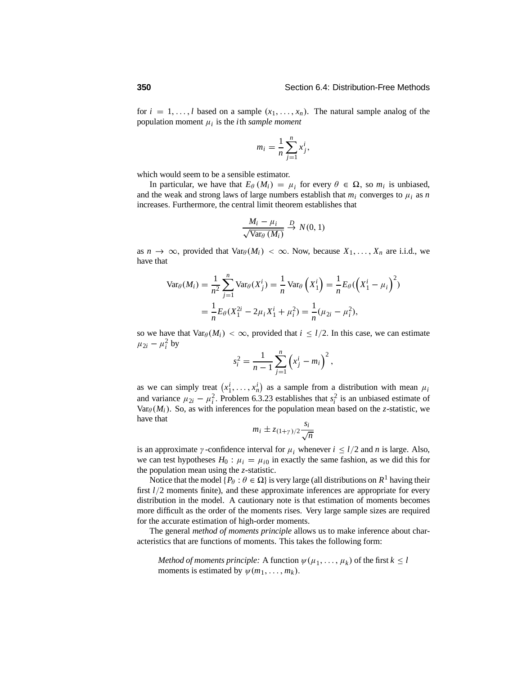for  $i = 1, \ldots, l$  based on a sample  $(x_1, \ldots, x_n)$ . The natural sample analog of the population moment  $\mu_i$  is the *i*th *sample moment* 

$$
m_i = \frac{1}{n} \sum_{j=1}^n x_j^i,
$$

which would seem to be a sensible estimator.

In particular, we have that  $E_{\theta}(M_i) = \mu_i$  for every  $\theta \in \Omega$ , so  $m_i$  is unbiased, and the weak and strong laws of large numbers establish that  $m_i$  converges to  $\mu_i$  as *n* increases. Furthermore, the central limit theorem establishes that

$$
\frac{M_i - \mu_i}{\sqrt{\text{Var}_{\theta}\left(M_i\right)}} \stackrel{D}{\to} N(0, 1)
$$

as  $n \to \infty$ , provided that  $\text{Var}_{\theta}(M_i) < \infty$ . Now, because  $X_1, \ldots, X_n$  are i.i.d., we have that

$$
\text{Var}_{\theta}(M_i) = \frac{1}{n^2} \sum_{j=1}^n \text{Var}_{\theta}(X_j^i) = \frac{1}{n} \text{Var}_{\theta}\left(X_1^i\right) = \frac{1}{n} E_{\theta}\left(\left(X_1^i - \mu_i\right)^2\right)
$$

$$
= \frac{1}{n} E_{\theta}\left(X_1^{2i} - 2\mu_i X_1^i + \mu_i^2\right) = \frac{1}{n} (\mu_{2i} - \mu_i^2),
$$

so we have that  $Var_{\theta}(M_i) < \infty$ , provided that  $i \leq l/2$ . In this case, we can estimate  $\mu_{2i} - \mu_i^2$  by

$$
s_i^2 = \frac{1}{n-1} \sum_{j=1}^n (x_j^i - m_i)^2,
$$

as we can simply treat  $(x_1^i, \ldots, x_n^i)$  as a sample from a distribution with mean  $\mu_i$ and variance  $\mu_{2i} - \mu_i^2$ . Problem 6.3.23 establishes that  $s_i^2$  is an unbiased estimate of Var $\theta(M_i)$ . So, as with inferences for the population mean based on the *z*-statistic, we have that

$$
m_i \pm z_{(1+\gamma)/2} \frac{s_i}{\sqrt{n}}
$$

is an approximate *γ*-confidence interval for  $\mu_i$  whenever  $i \leq l/2$  and *n* is large. Also, we can test hypotheses  $H_0$ :  $\mu_i = \mu_{i0}$  in exactly the same fashion, as we did this for the population mean using the *z*-statistic.

Notice that the model  $\{P_{\theta} : \theta \in \Omega\}$  is very large (all distributions on  $R^1$  having their first  $l/2$  moments finite), and these approximate inferences are appropriate for every distribution in the model. A cautionary note is that estimation of moments becomes more difficult as the order of the moments rises. Very large sample sizes are required for the accurate estimation of high-order moments.

The general *method of moments principle* allows us to make inference about characteristics that are functions of moments. This takes the following form:

*Method of moments principle:* A function  $\psi(\mu_1, \ldots, \mu_k)$  of the first  $k \leq l$ moments is estimated by  $\psi(m_1, \ldots, m_k)$ .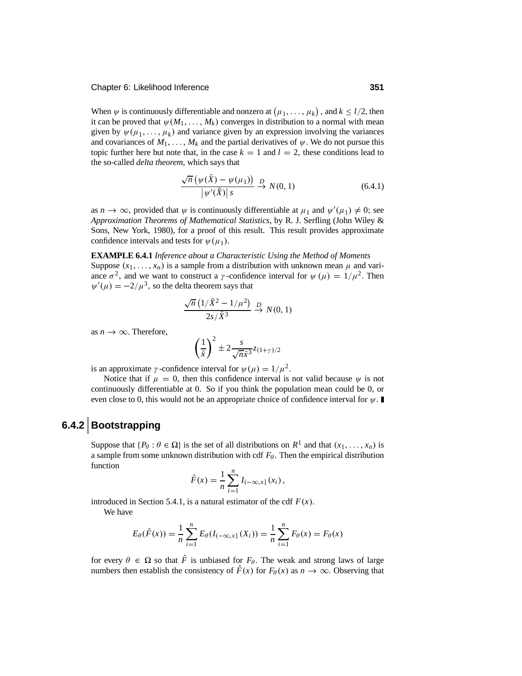When  $\psi$  is continuously differentiable and nonzero at  $(\mu_1, \dots, \mu_k)$ , and  $k \le l/2$ , then it can be proved that  $\psi(M_1,\ldots,M_k)$  converges in distribution to a normal with mean given by  $\psi(\mu_1,\ldots,\mu_k)$  and variance given by an expression involving the variances and covariances of  $M_1, \ldots, M_k$  and the partial derivatives of  $\psi$ . We do not pursue this topic further here but note that, in the case  $k = 1$  and  $l = 2$ , these conditions lead to the so-called *delta theorem*, which says that

$$
\frac{\sqrt{n}\left(\psi(\bar{X}) - \psi(\mu_1)\right)}{\left|\psi'(\bar{X})\right|s} \stackrel{D}{\to} N(0, 1) \tag{6.4.1}
$$

as  $n \to \infty$ , provided that  $\psi$  is continuously differentiable at  $\mu_1$  and  $\psi'(\mu_1) \neq 0$ ; see *Approximation Theorems of Mathematical Statistics*, by R. J. Serfling (John Wiley & Sons, New York, 1980), for a proof of this result. This result provides approximate confidence intervals and tests for  $\psi(\mu_1)$ .

**EXAMPLE 6.4.1** *Inference about a Characteristic Using the Method of Moments* Suppose  $(x_1, \ldots, x_n)$  is a sample from a distribution with unknown mean  $\mu$  and variance  $\sigma^2$ , and we want to construct a *γ*-confidence interval for  $\psi(\mu) = 1/\mu^2$ . Then  $\psi'(\mu) = -2/\mu^3$ , so the delta theorem says that

$$
\frac{\sqrt{n}\left(1/\bar{X}^2 - 1/\mu^2\right)}{2s/\bar{X}^3} \stackrel{D}{\rightarrow} N(0, 1)
$$

as  $n \to \infty$ . Therefore,

$$
\left(\frac{1}{\bar{x}}\right)^2 \pm 2\frac{s}{\sqrt{n}\bar{x}^3}z_{(1+\gamma)/2}
$$

is an approximate  $\gamma$ -confidence interval for  $\psi(\mu) = 1/\mu^2$ .

Notice that if  $\mu = 0$ , then this confidence interval is not valid because  $\psi$  is not continuously differentiable at 0. So if you think the population mean could be 0, or even close to 0, this would not be an appropriate choice of confidence interval for  $\psi$ .

## **6.4.2 Bootstrapping**

Suppose that  $\{P_{\theta} : \theta \in \Omega\}$  is the set of all distributions on  $R^1$  and that  $(x_1, \ldots, x_n)$  is a sample from some unknown distribution with cdf  $F_{\theta}$ . Then the empirical distribution function

$$
\hat{F}(x) = \frac{1}{n} \sum_{i=1}^{n} I_{(-\infty, x]}(x_i),
$$

introduced in Section 5.4.1, is a natural estimator of the cdf  $F(x)$ .

We have

$$
E_{\theta}(\hat{F}(x)) = \frac{1}{n} \sum_{i=1}^{n} E_{\theta}(I_{(-\infty, x]}(X_i)) = \frac{1}{n} \sum_{i=1}^{n} F_{\theta}(x) = F_{\theta}(x)
$$

for every  $\theta \in \Omega$  so that  $\hat{F}$  is unbiased for  $F_{\theta}$ . The weak and strong laws of large numbers then establish the consistency of  $\hat{F}(x)$  for  $F_{\theta}(x)$  as  $n \to \infty$ . Observing that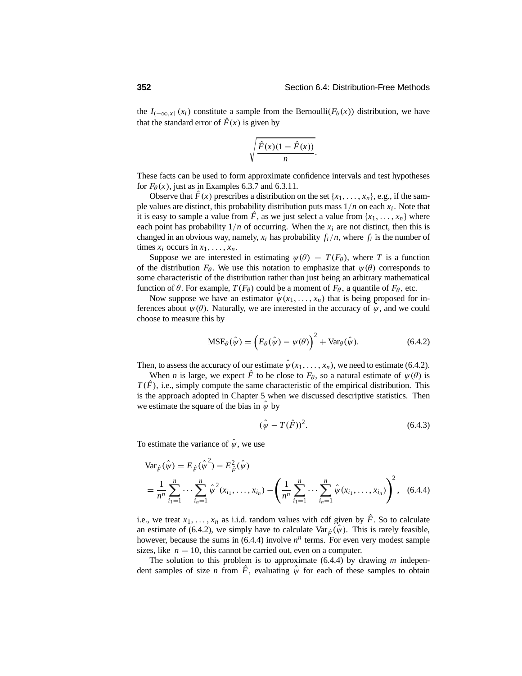the *I*<sub>( $-\infty$ ,*x*] (*x<sub>i</sub>*) constitute a sample from the Bernoulli( $F_{\theta}(x)$ ) distribution, we have</sub> that the standard error of  $\hat{F}(x)$  is given by

$$
\sqrt{\frac{\hat{F}(x)(1-\hat{F}(x))}{n}}.
$$

These facts can be used to form approximate confidence intervals and test hypotheses for  $F_{\theta}(x)$ , just as in Examples 6.3.7 and 6.3.11.

Observe that  $\hat{F}(x)$  prescribes a distribution on the set  $\{x_1, \ldots, x_n\}$ , e.g., if the sample values are distinct, this probability distribution puts mass  $1/n$  on each  $x_i$ . Note that it is easy to sample a value from  $\hat{F}$ , as we just select a value from  $\{x_1, \ldots, x_n\}$  where each point has probability  $1/n$  of occurring. When the  $x_i$  are not distinct, then this is changed in an obvious way, namely,  $x_i$  has probability  $f_i/n$ , where  $f_i$  is the number of times  $x_i$  occurs in  $x_1, \ldots, x_n$ .

Suppose we are interested in estimating  $\psi(\theta) = T(F_{\theta})$ , where *T* is a function of the distribution  $F_{\theta}$ . We use this notation to emphasize that  $\psi(\theta)$  corresponds to some characteristic of the distribution rather than just being an arbitrary mathematical function of  $\theta$ . For example,  $T(F_{\theta})$  could be a moment of  $F_{\theta}$ , a quantile of  $F_{\theta}$ , etc.

Now suppose we have an estimator  $\psi(x_1, \ldots, x_n)$  that is being proposed for inferences about  $\psi(\theta)$ . Naturally, we are interested in the accuracy of  $\psi$ , and we could choose to measure this by

$$
MSE_{\theta}(\hat{\psi}) = (E_{\theta}(\hat{\psi}) - \psi(\theta))^{2} + Var_{\theta}(\hat{\psi}).
$$
\n(6.4.2)

Then, to assess the accuracy of our estimate  $\hat{\psi}(x_1,\ldots,x_n)$ , we need to estimate (6.4.2).

When *n* is large, we expect  $\hat{F}$  to be close to  $F_{\theta}$ , so a natural estimate of  $\psi(\theta)$  is  $T(\hat{F})$ , i.e., simply compute the same characteristic of the empirical distribution. This is the approach adopted in Chapter 5 when we discussed descriptive statistics. Then we estimate the square of the bias in  $\psi$  by

$$
(\hat{\psi} - T(\hat{F}))^2.
$$
 (6.4.3)

To estimate the variance of  $\hat{\psi}$ , we use

$$
\begin{split} \text{Var}_{\hat{F}}(\hat{\psi}) &= E_{\hat{F}}(\hat{\psi}^2) - E_{\hat{F}}^2(\hat{\psi}) \\ &= \frac{1}{n^n} \sum_{i_1=1}^n \cdots \sum_{i_n=1}^n \hat{\psi}^2(x_{i_1}, \ldots, x_{i_n}) - \left(\frac{1}{n^n} \sum_{i_1=1}^n \cdots \sum_{i_n=1}^n \hat{\psi}(x_{i_1}, \ldots, x_{i_n})\right)^2, \quad (6.4.4) \end{split}
$$

i.e., we treat  $x_1, \ldots, x_n$  as i.i.d. random values with cdf given by  $\hat{F}$ . So to calculate an estimate of (6.4.2), we simply have to calculate Var $_{\hat{F}}(\hat{\psi})$ . This is rarely feasible, however, because the sums in  $(6.4.4)$  involve  $n<sup>n</sup>$  terms. For even very modest sample sizes, like  $n = 10$ , this cannot be carried out, even on a computer.

The solution to this problem is to approximate (6.4.4) by drawing *m* independent samples of size *n* from  $\hat{F}$ , evaluating  $\hat{\psi}$  for each of these samples to obtain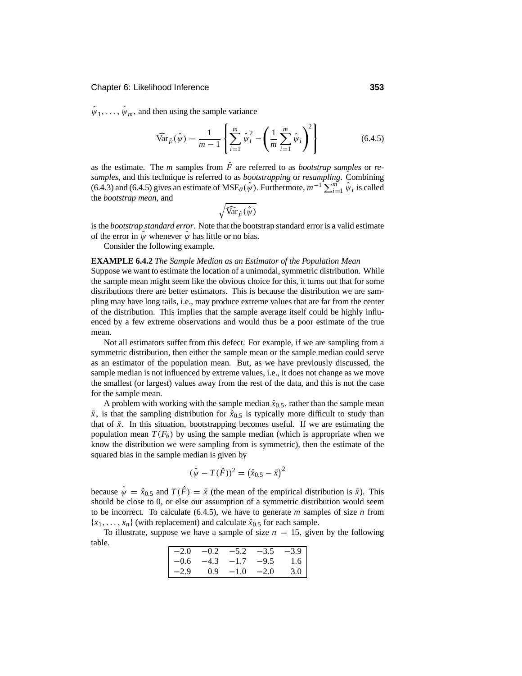### Chapter 6: Likelihood Inference **353**

 $\hat{\psi}_1, \ldots, \hat{\psi}_m$ , and then using the sample variance

$$
\widehat{\text{Var}}_{\hat{F}}(\hat{\psi}) = \frac{1}{m-1} \left\{ \sum_{i=1}^{m} \hat{\psi}_i^2 - \left( \frac{1}{m} \sum_{i=1}^{m} \hat{\psi}_i \right)^2 \right\}
$$
(6.4.5)

as the estimate. The  $m$  samples from  $\hat{F}$  are referred to as *bootstrap samples* or  $re$ *samples*, and this technique is referred to as *bootstrapping* or *resampling*. Combining (6.4.3) and (6.4.5) gives an estimate of  $MSE_{\theta}(\hat{\psi})$ . Furthermore,  $m^{-1} \sum_{i=1}^{m} \hat{\psi}_i$  is called the *bootstrap mean*, and

$$
\sqrt{\widehat{\text{Var}}_{\hat{F}}(\hat{\psi})}
$$

is the *bootstrap standard error*. Note that the bootstrap standard error is a valid estimate of the error in  $\psi$  whenever  $\psi$  has little or no bias.

Consider the following example.

#### **EXAMPLE 6.4.2** *The Sample Median as an Estimator of the Population Mean*

Suppose we want to estimate the location of a unimodal, symmetric distribution. While the sample mean might seem like the obvious choice for this, it turns out that for some distributions there are better estimators. This is because the distribution we are sampling may have long tails, i.e., may produce extreme values that are far from the center of the distribution. This implies that the sample average itself could be highly influenced by a few extreme observations and would thus be a poor estimate of the true mean.

Not all estimators suffer from this defect. For example, if we are sampling from a symmetric distribution, then either the sample mean or the sample median could serve as an estimator of the population mean. But, as we have previously discussed, the sample median is not influenced by extreme values, i.e., it does not change as we move the smallest (or largest) values away from the rest of the data, and this is not the case for the sample mean.

A problem with working with the sample median  $\hat{x}_{0.5}$ , rather than the sample mean  $\bar{x}$ , is that the sampling distribution for  $\hat{x}_{0.5}$  is typically more difficult to study than that of  $\bar{x}$ . In this situation, bootstrapping becomes useful. If we are estimating the population mean  $T(F_{\theta})$  by using the sample median (which is appropriate when we know the distribution we were sampling from is symmetric), then the estimate of the squared bias in the sample median is given by

$$
(\hat{\psi} - T(\hat{F}))^2 = (\hat{x}_{0.5} - \bar{x})^2
$$

because  $\hat{\psi} = \hat{x}_{0.5}$  and  $T(\hat{F}) = \bar{x}$  (the mean of the empirical distribution is  $\bar{x}$ ). This should be close to 0, or else our assumption of a symmetric distribution would seem to be incorrect. To calculate (6.4.5), we have to generate *m* samples of size *n* from  ${x_1, \ldots, x_n}$  (with replacement) and calculate  $\hat{x}_{0.5}$  for each sample.

To illustrate, suppose we have a sample of size  $n = 15$ , given by the following table.

| $\vert -2.0 \quad -0.2 \quad -5.2 \quad -3.5 \vert$ |  |        | $-3.9$  |
|-----------------------------------------------------|--|--------|---------|
| $\vert -0.6 \; -4.3 \; -1.7 \; \vert$               |  | $-9.5$ | $1.6-1$ |
| $1 - 2.9$ 0.9 $-1.0$ $-2.0$                         |  |        | 3.0     |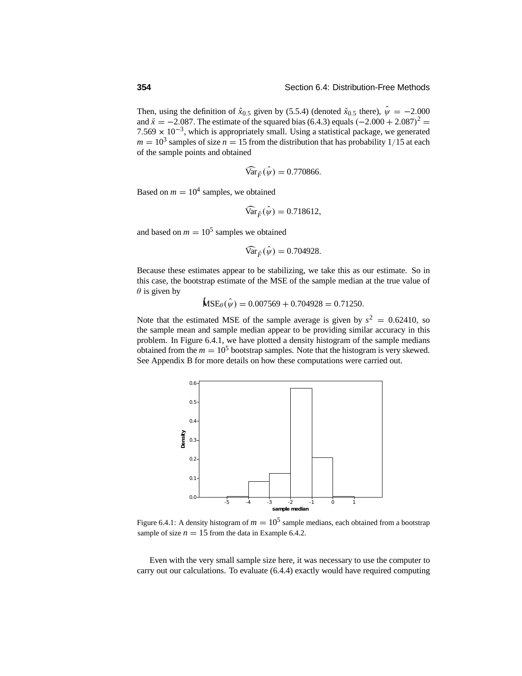Then, using the definition of  $\hat{x}_{0.5}$  given by (5.5.4) (denoted  $\check{x}_{0.5}$  there),  $\hat{\psi} = -2.000$ and  $\bar{x} = -2.087$ . The estimate of the squared bias (6.4.3) equals  $(-2.000 + 2.087)^2 =$ 7.569  $\times$  10<sup>-3</sup>, which is appropriately small. Using a statistical package, we generated  $m = 10<sup>3</sup>$  samples of size  $n = 15$  from the distribution that has probability 1/15 at each of the sample points and obtained

$$
\widehat{\text{Var}}_{\hat{F}}(\hat{\psi}) = 0.770866.
$$

Based on  $m = 10<sup>4</sup>$  samples, we obtained

$$
\widehat{\text{Var}}_{\hat{F}}(\hat{\psi}) = 0.718612,
$$

and based on  $m = 10^5$  samples we obtained

$$
\widehat{\text{Var}}_{\hat{F}}(\hat{\psi}) = 0.704928.
$$

Because these estimates appear to be stabilizing, we take this as our estimate. So in this case, the bootstrap estimate of the MSE of the sample median at the true value of  $\theta$  is given by

$$
\text{MSE}_{\theta}(\hat{\psi}) = 0.007569 + 0.704928 = 0.71250.
$$

Note that the estimated MSE of the sample average is given by  $s^2 = 0.62410$ , so the sample mean and sample median appear to be providing similar accuracy in this problem. In Figure 6.4.1, we have plotted a density histogram of the sample medians obtained from the  $m = 10^5$  bootstrap samples. Note that the histogram is very skewed. See Appendix B for more details on how these computations were carried out.



Figure 6.4.1: A density histogram of  $m = 10^5$  sample medians, each obtained from a bootstrap sample of size  $n = 15$  from the data in Example 6.4.2.

Even with the very small sample size here, it was necessary to use the computer to carry out our calculations. To evaluate (6.4.4) exactly would have required computing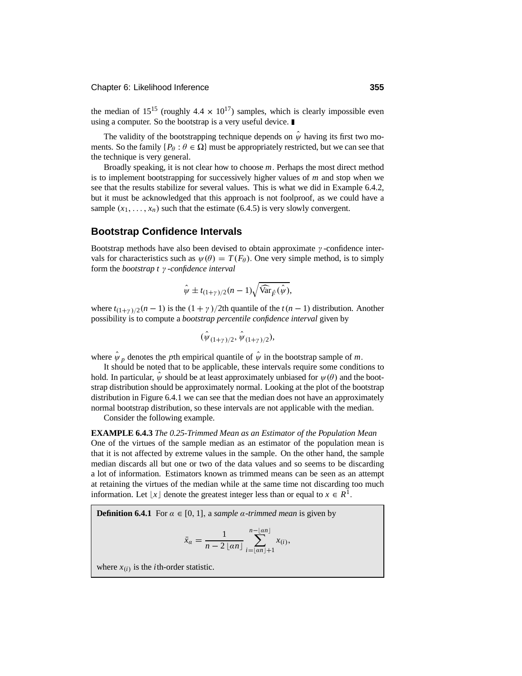the median of  $15^{15}$  (roughly  $4.4 \times 10^{17}$ ) samples, which is clearly impossible even using a computer. So the bootstrap is a very useful device.

The validity of the bootstrapping technique depends on  $\hat{\psi}$  having its first two moments. So the family  $\{P_{\theta} : \theta \in \Omega\}$  must be appropriately restricted, but we can see that the technique is very general.

Broadly speaking, it is not clear how to choose *m*. Perhaps the most direct method is to implement bootstrapping for successively higher values of *m* and stop when we see that the results stabilize for several values. This is what we did in Example 6.4.2, but it must be acknowledged that this approach is not foolproof, as we could have a sample  $(x_1, \ldots, x_n)$  such that the estimate (6.4.5) is very slowly convergent.

### **Bootstrap Confidence Intervals**

Bootstrap methods have also been devised to obtain approximate  $\gamma$ -confidence intervals for characteristics such as  $\psi(\theta) = T(F_{\theta})$ . One very simple method, is to simply form the *bootstrap t* γ *-confidence interval*

$$
\hat{\psi} \pm t_{(1+\gamma)/2}(n-1)\sqrt{\widehat{\text{Var}}_{\hat{F}}(\hat{\psi})},
$$

where  $t_{(1+\gamma)/2}(n-1)$  is the  $(1+\gamma)/2$ th quantile of the  $t(n-1)$  distribution. Another possibility is to compute a *bootstrap percentile confidence interval* given by

$$
(\hat{\psi}_{(1+\gamma)/2},\hat{\psi}_{(1+\gamma)/2}),
$$

where  $\hat{\psi}_p$  denotes the *p*th empirical quantile of  $\hat{\psi}$  in the bootstrap sample of *m*.

It should be noted that to be applicable, these intervals require some conditions to hold. In particular,  $\psi$  should be at least approximately unbiased for  $\psi(\theta)$  and the bootstrap distribution should be approximately normal. Looking at the plot of the bootstrap distribution in Figure 6.4.1 we can see that the median does not have an approximately normal bootstrap distribution, so these intervals are not applicable with the median.

Consider the following example.

**EXAMPLE 6.4.3** *The 0.25-Trimmed Mean as an Estimator of the Population Mean* One of the virtues of the sample median as an estimator of the population mean is that it is not affected by extreme values in the sample. On the other hand, the sample median discards all but one or two of the data values and so seems to be discarding a lot of information. Estimators known as trimmed means can be seen as an attempt at retaining the virtues of the median while at the same time not discarding too much information. Let  $|x|$  denote the greatest integer less than or equal to  $x \in R<sup>1</sup>$ .

**Definition 6.4.1** For  $\alpha \in [0, 1]$ , a *sample*  $\alpha$ *-trimmed mean* is given by

$$
\bar{x}_a = \frac{1}{n-2\lfloor a_n \rfloor} \sum_{i=\lfloor a_n \rfloor+1}^{n-\lfloor a_n \rfloor} x_{(i)},
$$

where  $x(i)$  is the *i*th-order statistic.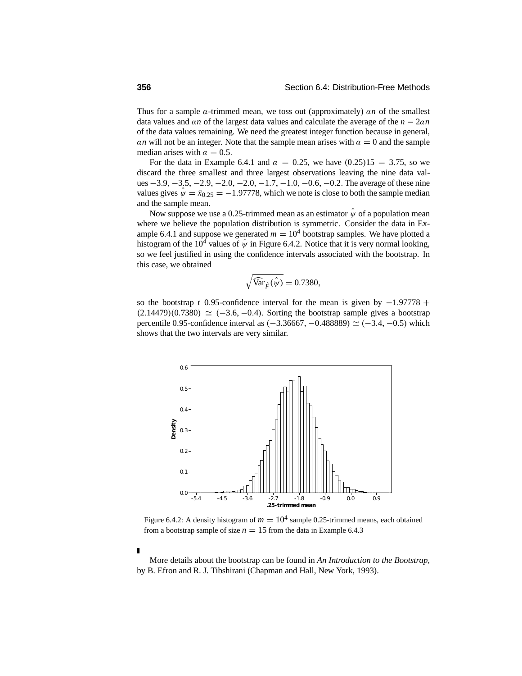Thus for a sample  $\alpha$ -trimmed mean, we toss out (approximately)  $\alpha n$  of the smallest data values and  $\alpha n$  of the largest data values and calculate the average of the  $n - 2\alpha n$ of the data values remaining. We need the greatest integer function because in general, *an* will not be an integer. Note that the sample mean arises with  $\alpha = 0$  and the sample median arises with  $\alpha = 0.5$ .

For the data in Example 6.4.1 and  $\alpha = 0.25$ , we have  $(0.25)15 = 3.75$ , so we discard the three smallest and three largest observations leaving the nine data values <sup>−</sup>3.9, <sup>−</sup>3.5, <sup>−</sup>2.9, <sup>−</sup>2.0, <sup>−</sup>2.0, <sup>−</sup>1.7, <sup>−</sup>1.0, <sup>−</sup>0.6, <sup>−</sup>0.2. The average of these nine values gives  $\hat{\psi} = \bar{x}_{0.25} = -1.97778$ , which we note is close to both the sample median and the sample mean.

Now suppose we use a 0.25-trimmed mean as an estimator  $\hat{\psi}$  of a population mean where we believe the population distribution is symmetric. Consider the data in Example 6.4.1 and suppose we generated  $m = 10<sup>4</sup>$  bootstrap samples. We have plotted a histogram of the 10<sup>4</sup> values of  $\hat{\psi}$  in Figure 6.4.2. Notice that it is very normal looking, so we feel justified in using the confidence intervals associated with the bootstrap. In this case, we obtained

$$
\sqrt{\widehat{\text{Var}}_{\hat{F}}(\hat{\psi})} = 0.7380,
$$

so the bootstrap *<sup>t</sup>* <sup>0</sup>.95-confidence interval for the mean is given by <sup>−</sup>1.<sup>97778</sup> <sup>+</sup>  $(2.14479)(0.7380) \simeq (-3.6, -0.4)$ . Sorting the bootstrap sample gives a bootstrap percentile 0.95-confidence interval as  $(-3.36667, -0.488889)$   $\simeq (-3.4, -0.5)$  which shows that the two intervals are very similar.



Figure 6.4.2: A density histogram of  $m = 10^4$  sample 0.25-trimmed means, each obtained from a bootstrap sample of size  $n = 15$  from the data in Example 6.4.3

п

More details about the bootstrap can be found in *An Introduction to the Bootstrap,* by B. Efron and R. J. Tibshirani (Chapman and Hall, New York, 1993).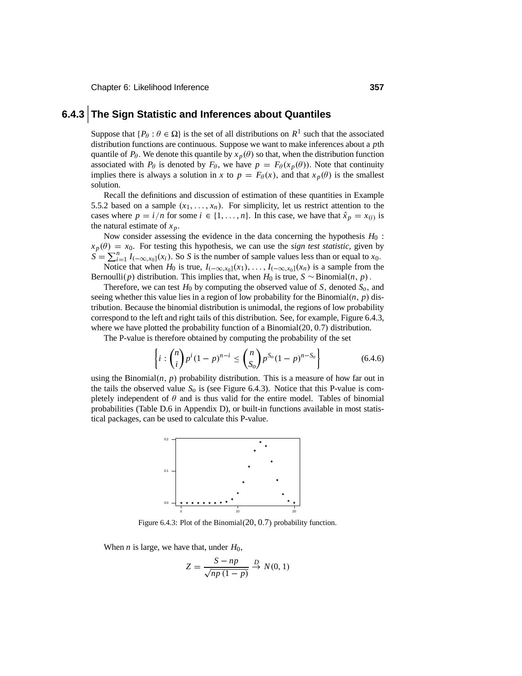Chapter 6: Likelihood Inference **357**

## **6.4.3 The Sign Statistic and Inferences about Quantiles**

Suppose that  $\{P_{\theta} : \theta \in \Omega\}$  is the set of all distributions on  $R^1$  such that the associated distribution functions are continuous. Suppose we want to make inferences about a *p*th quantile of  $P_{\theta}$ . We denote this quantile by  $x_p(\theta)$  so that, when the distribution function associated with  $P_{\theta}$  is denoted by  $F_{\theta}$ , we have  $p = F_{\theta}(x_p(\theta))$ . Note that continuity implies there is always a solution in *x* to  $p = F_{\theta}(x)$ , and that  $x_p(\theta)$  is the smallest solution.

Recall the definitions and discussion of estimation of these quantities in Example 5.5.2 based on a sample  $(x_1, \ldots, x_n)$ . For simplicity, let us restrict attention to the cases where  $p = i/n$  for some  $i \in \{1, ..., n\}$ . In this case, we have that  $\hat{x}_p = x_{(i)}$  is the natural estimate of  $x_p$ .

Now consider assessing the evidence in the data concerning the hypothesis  $H_0$ :  $x_p(\theta) = x_0$ . For testing this hypothesis, we can use the *sign test statistic*, given by  $S = \sum_{i=1}^{n} I_{(-\infty, x_0]}(x_i)$ . So *S* is the number of sample values less than or equal to *x*<sub>0</sub>. Notice that when *H*<sup>0</sup> is true, *I*<sub>( $-\infty$ ,*x*<sup>0</sup>]</sub>(*x*<sub>1</sub>), ..., *I*<sub>( $-\infty$ ,*x*<sup>0</sup>](*x*<sub>*n*</sub>)</sub> is a sample from the

Bernoulli(*p*) distribution. This implies that, when *H*<sup>0</sup> is true, *S* ∼ Binomial(*n*, *p*). Therefore, we can test  $H_0$  by computing the observed value of *S*, denoted  $S_0$ , and seeing whether this value lies in a region of low probability for the Binomial(*n*, *p*) distribution. Because the binomial distribution is unimodal, the regions of low probability correspond to the left and right tails of this distribution. See, for example, Figure 6.4.3,

where we have plotted the probability function of a Binomial(20, 0.7) distribution.

The P-value is therefore obtained by computing the probability of the set

$$
\left\{ i : \binom{n}{i} p^i (1-p)^{n-i} \le \binom{n}{S_o} p^{S_o} (1-p)^{n-S_o} \right\}
$$
(6.4.6)

using the Binomial $(n, p)$  probability distribution. This is a measure of how far out in the tails the observed value  $S<sub>o</sub>$  is (see Figure 6.4.3). Notice that this P-value is completely independent of  $\theta$  and is thus valid for the entire model. Tables of binomial probabilities (Table D.6 in Appendix D), or built-in functions available in most statistical packages, can be used to calculate this P-value.



Figure 6.4.3: Plot of the Binomial(20, 0.7) probability function.

When *n* is large, we have that, under  $H_0$ ,

$$
Z = \frac{S - np}{\sqrt{np(1 - p)}} \stackrel{D}{\to} N(0, 1)
$$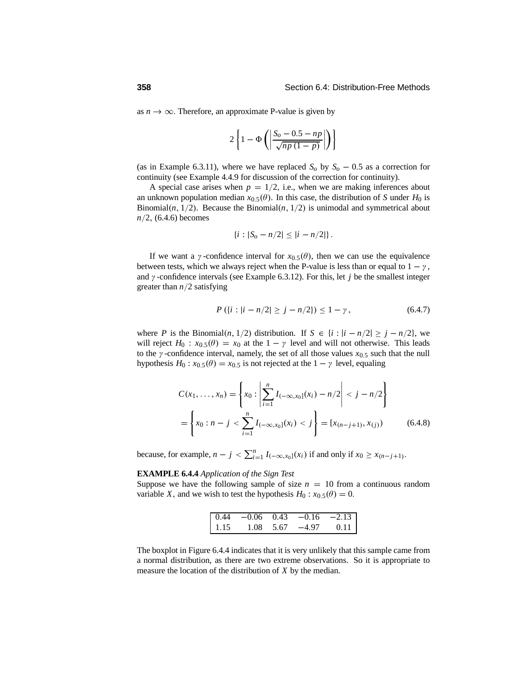as  $n \to \infty$ . Therefore, an approximate P-value is given by

$$
2\left\{1-\Phi\left(\left|\frac{S_o-0.5-np}{\sqrt{np(1-p)}}\right|\right)\right\}
$$

(as in Example 6.3.11), where we have replaced  $S_0$  by  $S_0 - 0.5$  as a correction for continuity (see Example 4.4.9 for discussion of the correction for continuity).

A special case arises when  $p = 1/2$ , i.e., when we are making inferences about an unknown population median  $x_{0.5}(\theta)$ . In this case, the distribution of *S* under  $H_0$  is Binomial $(n, 1/2)$ . Because the Binomial $(n, 1/2)$  is unimodal and symmetrical about *n*/2, (6.4.6) becomes

$$
\{i: |S_o - n/2| \le |i - n/2|\}.
$$

If we want a *γ*-confidence interval for  $x_{0.5}(\theta)$ , then we can use the equivalence between tests, which we always reject when the P-value is less than or equal to  $1 - \gamma$ , and γ -confidence intervals (see Example 6.3.12). For this, let *j* be the smallest integer greater than *n*/2 satisfying

$$
P\left(\{i : |i - n/2| \ge j - n/2\}\right) \le 1 - \gamma\,,\tag{6.4.7}
$$

where *P* is the Binomial $(n, 1/2)$  distribution. If  $S \in \{i : |i - n/2| \geq j - n/2\}$ , we will reject  $H_0$ :  $x_{0.5}(\theta) = x_0$  at the  $1 - \gamma$  level and will not otherwise. This leads to the  $\gamma$ -confidence interval, namely, the set of all those values  $x_{0.5}$  such that the null hypothesis  $H_0$ :  $x_{0.5}(\theta) = x_{0.5}$  is not rejected at the  $1 - \gamma$  level, equaling

$$
C(x_1, ..., x_n) = \left\{ x_0 : \left| \sum_{i=1}^n I_{(-\infty, x_0]}(x_i) - \frac{n}{2} \right| < j - \frac{n}{2} \right\}
$$
\n
$$
= \left\{ x_0 : n - j < \sum_{i=1}^n I_{(-\infty, x_0]}(x_i) < j \right\} = [x_{(n-j+1)}, x_{(j)}) \tag{6.4.8}
$$

because, for example,  $n - j < \sum_{i=1}^{n} I_{(-\infty, x_0]}(x_i)$  if and only if  $x_0 \ge x_{(n-j+1)}$ .

### **EXAMPLE 6.4.4** *Application of the Sign Test*

Suppose we have the following sample of size  $n = 10$  from a continuous random variable *X*, and we wish to test the hypothesis  $H_0: x_{0.5}(\theta) = 0$ .

| 0.44 | $-0.06$ 0.43 |           | $-0.16$ | $-2.13$ |
|------|--------------|-----------|---------|---------|
| 1.15 |              | 1.08 5.67 | $-4.97$ | 0.11    |

The boxplot in Figure 6.4.4 indicates that it is very unlikely that this sample came from a normal distribution, as there are two extreme observations. So it is appropriate to measure the location of the distribution of *X* by the median.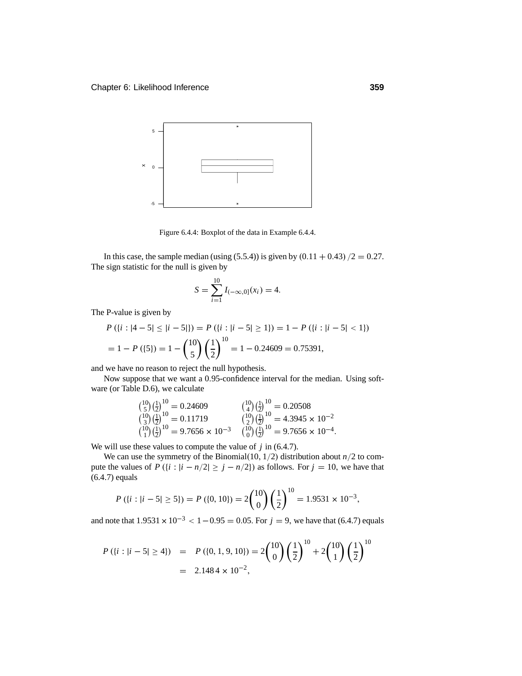

Figure 6.4.4: Boxplot of the data in Example 6.4.4.

In this case, the sample median (using  $(5.5.4)$ ) is given by  $(0.11 + 0.43) / 2 = 0.27$ . The sign statistic for the null is given by

$$
S = \sum_{i=1}^{10} I_{(-\infty,0]}(x_i) = 4.
$$

The P-value is given by

$$
P({i : |4 - 5| \le |i - 5|}) = P({i : |i - 5| \ge 1}) = 1 - P({i : |i - 5| < 1})
$$
\n
$$
= 1 - P({5}) = 1 - {10 \choose 5} \left(\frac{1}{2}\right)^{10} = 1 - 0.24609 = 0.75391,
$$

and we have no reason to reject the null hypothesis.

Now suppose that we want a 0.95-confidence interval for the median. Using software (or Table D.6), we calculate

$$
\begin{aligned}\n\binom{10}{5} \binom{1}{2}^{10} &= 0.24609 & \binom{10}{4} \binom{1}{2}^{10} &= 0.20508 \\
\binom{10}{3} \binom{1}{2}^{10} &= 0.11719 & \binom{10}{2} \binom{1}{2}^{10} &= 4.3945 \times 10^{-2} \\
\binom{10}{1} \binom{1}{2}^{10} &= 9.7656 \times 10^{-3} & \binom{10}{0} \binom{1}{2}^{10} &= 9.7656 \times 10^{-4}.\n\end{aligned}
$$

We will use these values to compute the value of *j* in (6.4.7).

We can use the symmetry of the Binomial(10,  $1/2$ ) distribution about  $n/2$  to compute the values of *P* ({ $i : |i - n/2| \ge j - n/2$ }) as follows. For  $j = 10$ , we have that (6.4.7) equals

$$
P(\{i : |i - 5| \ge 5\}) = P(\{0, 10\}) = 2 {10 \choose 0} \left(\frac{1}{2}\right)^{10} = 1.9531 \times 10^{-3},
$$

and note that  $1.9531 \times 10^{-3} < 1-0.95 = 0.05$ . For  $j = 9$ , we have that (6.4.7) equals

$$
P(\lbrace i : |i - 5| \ge 4 \rbrace) = P(\lbrace 0, 1, 9, 10 \rbrace) = 2 {10 \choose 0} \left(\frac{1}{2}\right)^{10} + 2 {10 \choose 1} \left(\frac{1}{2}\right)^{10}
$$
  
= 2.1484 × 10<sup>-2</sup>,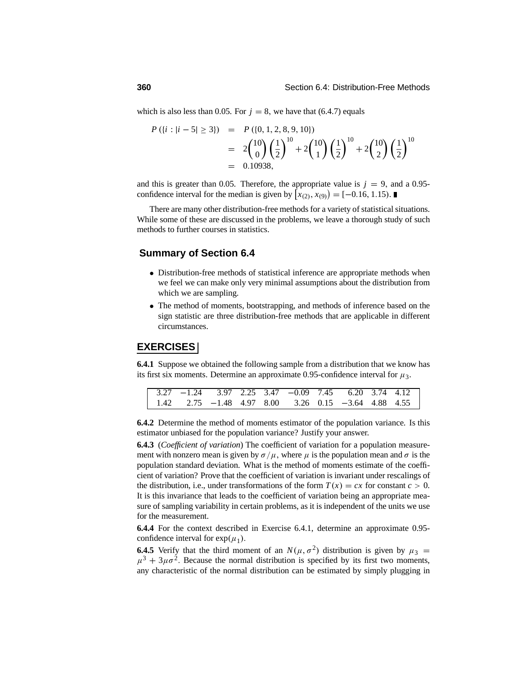which is also less than 0.05. For  $j = 8$ , we have that (6.4.7) equals

$$
P(\{i : |i - 5| \ge 3\}) = P(\{0, 1, 2, 8, 9, 10\})
$$
  
=  $2\binom{10}{0}\left(\frac{1}{2}\right)^{10} + 2\binom{10}{1}\left(\frac{1}{2}\right)^{10} + 2\binom{10}{2}\left(\frac{1}{2}\right)^{10}$   
= 0.10938,

and this is greater than 0.05. Therefore, the appropriate value is  $j = 9$ , and a 0.95confidence interval for the median is given by  $\left[x_{(2)}, x_{(9)}\right] = [-0.16, 1.15)$ .

There are many other distribution-free methods for a variety of statistical situations. While some of these are discussed in the problems, we leave a thorough study of such methods to further courses in statistics.

### **Summary of Section 6.4**

- Distribution-free methods of statistical inference are appropriate methods when we feel we can make only very minimal assumptions about the distribution from which we are sampling.
- The method of moments, bootstrapping, and methods of inference based on the sign statistic are three distribution-free methods that are applicable in different circumstances.

### **EXERCISES**

**6.4.1** Suppose we obtained the following sample from a distribution that we know has its first six moments. Determine an approximate 0.95-confidence interval for  $\mu_3$ .

|  |  | $3.27$ $-1.24$ $3.97$ $2.25$ $3.47$ $-0.09$ $7.45$ $6.20$ $3.74$ $4.12$ |  |  |  |
|--|--|-------------------------------------------------------------------------|--|--|--|
|  |  | $1.42$ $2.75$ $-1.48$ $4.97$ $8.00$ $3.26$ $0.15$ $-3.64$ $4.88$ $4.55$ |  |  |  |

**6.4.2** Determine the method of moments estimator of the population variance. Is this estimator unbiased for the population variance? Justify your answer.

**6.4.3** (*Coefficient of variation*) The coefficient of variation for a population measurement with nonzero mean is given by  $\sigma/\mu$ , where  $\mu$  is the population mean and  $\sigma$  is the population standard deviation. What is the method of moments estimate of the coefficient of variation? Prove that the coefficient of variation is invariant under rescalings of the distribution, i.e., under transformations of the form  $T(x) = cx$  for constant  $c > 0$ . It is this invariance that leads to the coefficient of variation being an appropriate measure of sampling variability in certain problems, as it is independent of the units we use for the measurement.

**6.4.4** For the context described in Exercise 6.4.1, determine an approximate 0.95 confidence interval for  $\exp(\mu_1)$ .

**6.4.5** Verify that the third moment of an  $N(\mu, \sigma^2)$  distribution is given by  $\mu_3$  =  $\mu^3 + 3\mu\sigma^2$ . Because the normal distribution is specified by its first two moments, any characteristic of the normal distribution can be estimated by simply plugging in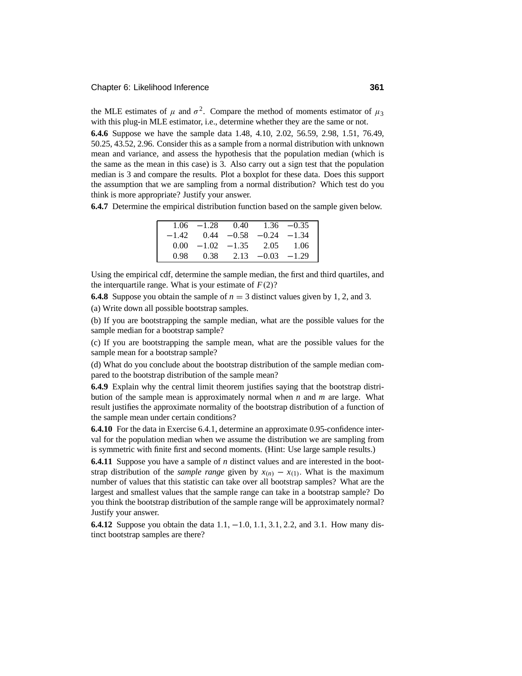the MLE estimates of  $\mu$  and  $\sigma^2$ . Compare the method of moments estimator of  $\mu_3$ with this plug-in MLE estimator, i.e., determine whether they are the same or not.

**6.4.6** Suppose we have the sample data 1.48, 4.10, 2.02, 56.59, 2.98, 1.51, 76.49, 50.25, 43.52, 2.96. Consider this as a sample from a normal distribution with unknown mean and variance, and assess the hypothesis that the population median (which is the same as the mean in this case) is 3. Also carry out a sign test that the population median is 3 and compare the results. Plot a boxplot for these data. Does this support the assumption that we are sampling from a normal distribution? Which test do you think is more appropriate? Justify your answer.

**6.4.7** Determine the empirical distribution function based on the sample given below.

|         | $1.06 = 1.28$ | 0.40                     |               | $1.36 - 0.35$ |  |
|---------|---------------|--------------------------|---------------|---------------|--|
| $-1.42$ |               | $0.44 -0.58 -0.24 -1.34$ |               |               |  |
| 0.00    |               | $-1.02 -1.35$            | 2.05          | -1.06         |  |
| 0.98    | 0.38          |                          | $2.13 - 0.03$ | $-1.29$       |  |
|         |               |                          |               |               |  |

Using the empirical cdf, determine the sample median, the first and third quartiles, and the interquartile range. What is your estimate of  $F(2)$ ?

**6.4.8** Suppose you obtain the sample of  $n = 3$  distinct values given by 1, 2, and 3.

(a) Write down all possible bootstrap samples.

(b) If you are bootstrapping the sample median, what are the possible values for the sample median for a bootstrap sample?

(c) If you are bootstrapping the sample mean, what are the possible values for the sample mean for a bootstrap sample?

(d) What do you conclude about the bootstrap distribution of the sample median compared to the bootstrap distribution of the sample mean?

**6.4.9** Explain why the central limit theorem justifies saying that the bootstrap distribution of the sample mean is approximately normal when *n* and *m* are large. What result justifies the approximate normality of the bootstrap distribution of a function of the sample mean under certain conditions?

**6.4.10** For the data in Exercise 6.4.1, determine an approximate 0.95-confidence interval for the population median when we assume the distribution we are sampling from is symmetric with finite first and second moments. (Hint: Use large sample results.)

**6.4.11** Suppose you have a sample of *n* distinct values and are interested in the bootstrap distribution of the *sample range* given by  $x_{(n)} - x_{(1)}$ . What is the maximum number of values that this statistic can take over all bootstrap samples? What are the largest and smallest values that the sample range can take in a bootstrap sample? Do you think the bootstrap distribution of the sample range will be approximately normal? Justify your answer.

**6.4.12** Suppose you obtain the data 1.1, −1.0, 1.1, 3.1, 2.2, and 3.1. How many distinct bootstrap samples are there?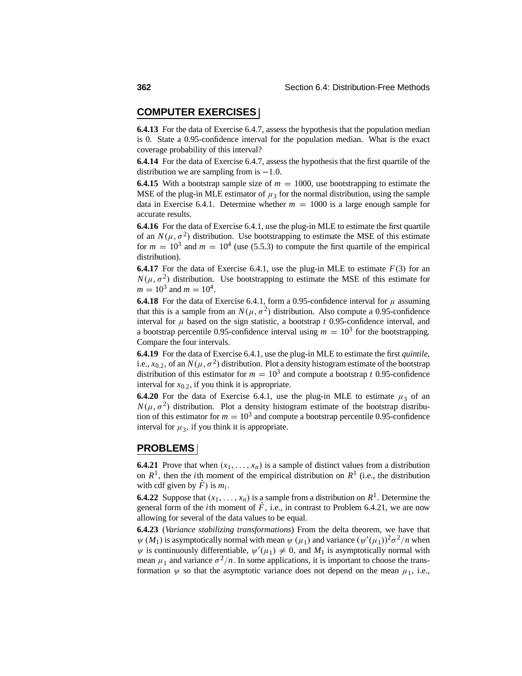### **COMPUTER EXERCISES**

**6.4.13** For the data of Exercise 6.4.7, assess the hypothesis that the population median is 0. State a 0.95-confidence interval for the population median. What is the exact coverage probability of this interval?

**6.4.14** For the data of Exercise 6.4.7, assess the hypothesis that the first quartile of the distribution we are sampling from is  $-1.0$ .

**6.4.15** With a bootstrap sample size of  $m = 1000$ , use bootstrapping to estimate the MSE of the plug-in MLE estimator of  $\mu_3$  for the normal distribution, using the sample data in Exercise 6.4.1. Determine whether  $m = 1000$  is a large enough sample for accurate results.

**6.4.16** For the data of Exercise 6.4.1, use the plug-in MLE to estimate the first quartile of an  $N(\mu, \sigma^2)$  distribution. Use bootstrapping to estimate the MSE of this estimate for  $m = 10^3$  and  $m = 10^4$  (use (5.5.3) to compute the first quartile of the empirical distribution).

**6.4.17** For the data of Exercise 6.4.1, use the plug-in MLE to estimate  $F(3)$  for an  $N(\mu, \sigma^2)$  distribution. Use bootstrapping to estimate the MSE of this estimate for  $m = 10^3$  and  $m = 10^4$ .

**6.4.18** For the data of Exercise 6.4.1, form a 0.95-confidence interval for  $\mu$  assuming that this is a sample from an  $N(\mu, \sigma^2)$  distribution. Also compute a 0.95-confidence interval for  $\mu$  based on the sign statistic, a bootstrap  $t$  0.95-confidence interval, and a bootstrap percentile 0.95-confidence interval using  $m = 10^3$  for the bootstrapping. Compare the four intervals.

**6.4.19** For the data of Exercise 6.4.1, use the plug-in MLE to estimate the first *quintile*, i.e.,  $x_{0,2}$ , of an  $N(\mu, \sigma^2)$  distribution. Plot a density histogram estimate of the bootstrap distribution of this estimator for  $m = 10<sup>3</sup>$  and compute a bootstrap *t* 0.95-confidence interval for  $x_{0,2}$ , if you think it is appropriate.

**6.4.20** For the data of Exercise 6.4.1, use the plug-in MLE to estimate  $\mu_3$  of an  $N(\mu, \sigma^2)$  distribution. Plot a density histogram estimate of the bootstrap distribution of this estimator for  $m = 10<sup>3</sup>$  and compute a bootstrap percentile 0.95-confidence interval for  $\mu_3$ , if you think it is appropriate.

### **PROBLEMS**

**6.4.21** Prove that when  $(x_1, \ldots, x_n)$  is a sample of distinct values from a distribution on  $R<sup>1</sup>$ , then the *i*th moment of the empirical distribution on  $R<sup>1</sup>$  (i.e., the distribution with cdf given by  $\ddot{F}$ ) is  $m_i$ .

**6.4.22** Suppose that  $(x_1, \ldots, x_n)$  is a sample from a distribution on  $R^1$ . Determine the general form of the *i*th moment of  $\hat{F}$ , i.e., in contrast to Problem 6.4.21, we are now allowing for several of the data values to be equal.

**6.4.23** (*Variance stabilizing transformations*) From the delta theorem, we have that  $\psi(M_1)$  is asymptotically normal with mean  $\psi(\mu_1)$  and variance  $(\psi'(\mu_1))^2 \sigma^2/n$  when  $\psi$  is continuously differentiable,  $\psi'(\mu_1) \neq 0$ , and  $M_1$  is asymptotically normal with mean  $\mu_1$  and variance  $\sigma^2/n$ . In some applications, it is important to choose the transformation  $\psi$  so that the asymptotic variance does not depend on the mean  $\mu_1$ , i.e.,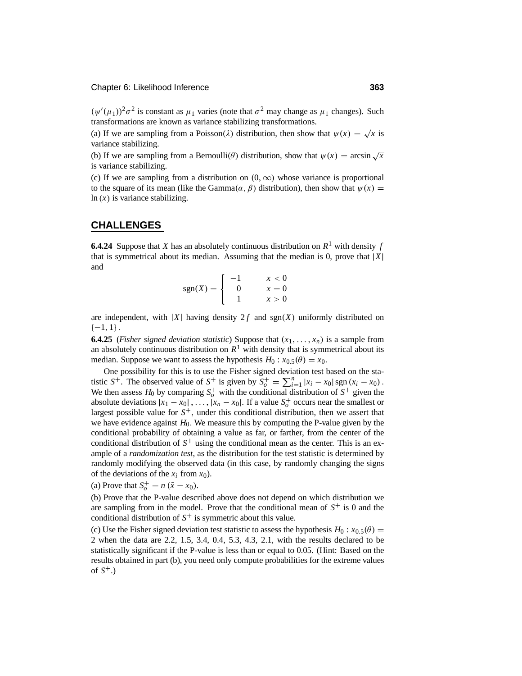$(\psi'(\mu_1))^2 \sigma^2$  is constant as  $\mu_1$  varies (note that  $\sigma^2$  may change as  $\mu_1$  changes). Such transformations are known as variance stabilizing transformations.

(a) If we are sampling from a Poisson( $\lambda$ ) distribution, then show that  $\psi(x) = \sqrt{x}$  is variance stabilizing.

(b) If we are sampling from a Bernoulli( $\theta$ ) distribution, show that  $\psi(x) = \arcsin \sqrt{x}$ is variance stabilizing.

(c) If we are sampling from a distribution on  $(0, \infty)$  whose variance is proportional to the square of its mean (like the Gamma $(\alpha, \beta)$  distribution), then show that  $\psi(x) =$  $ln(x)$  is variance stabilizing.

### **CHALLENGES**

**6.4.24** Suppose that *X* has an absolutely continuous distribution on  $R<sup>1</sup>$  with density *f* that is symmetrical about its median. Assuming that the median is 0, prove that <sup>|</sup>*X*<sup>|</sup> and

$$
sgn(X) = \begin{cases} -1 & x < 0\\ 0 & x = 0\\ 1 & x > 0 \end{cases}
$$

are independent, with |*X*| having density  $2f$  and sgn(*X*) uniformly distributed on  $\{-1, 1\}$ .

**6.4.25** (*Fisher signed deviation statistic*) Suppose that  $(x_1, \ldots, x_n)$  is a sample from an absolutely continuous distribution on  $R<sup>1</sup>$  with density that is symmetrical about its median. Suppose we want to assess the hypothesis  $H_0$ :  $x_{0.5}(\theta) = x_0$ .

One possibility for this is to use the Fisher signed deviation test based on the statistic  $S^+$ . The observed value of  $S^+$  is given by  $S_o^+ = \sum_{i=1}^n |x_i - x_0| \operatorname{sgn}(x_i - x_0)$ .<br>We then assess  $H_0$  by comparing  $S_o^+$  with the conditional distribution of  $S^+$  given the absolute deviations  $|x_1 - x_0|, \ldots, |x_n - x_0|$ . If a value  $S_0^+$  occurs near the smallest or largest possible value for *S*+, under this conditional distribution, then we assert that we have evidence against  $H_0$ . We measure this by computing the P-value given by the conditional probability of obtaining a value as far, or farther, from the center of the conditional distribution of  $S^+$  using the conditional mean as the center. This is an example of a *randomization test*, as the distribution for the test statistic is determined by randomly modifying the observed data (in this case, by randomly changing the signs of the deviations of the  $x_i$  from  $x_0$ ).

(a) Prove that  $S_0^+ = n(\bar{x} - x_0)$ .

(b) Prove that the P-value described above does not depend on which distribution we are sampling from in the model. Prove that the conditional mean of  $S^+$  is 0 and the conditional distribution of  $S^+$  is symmetric about this value.

(c) Use the Fisher signed deviation test statistic to assess the hypothesis  $H_0: x_{0.5}(\theta) =$ 2 when the data are 2.2, 1.5, 3.4, 0.4, 5.3, 4.3, 2.1, with the results declared to be statistically significant if the P-value is less than or equal to 0.05. (Hint: Based on the results obtained in part (b), you need only compute probabilities for the extreme values of  $S^+$ .)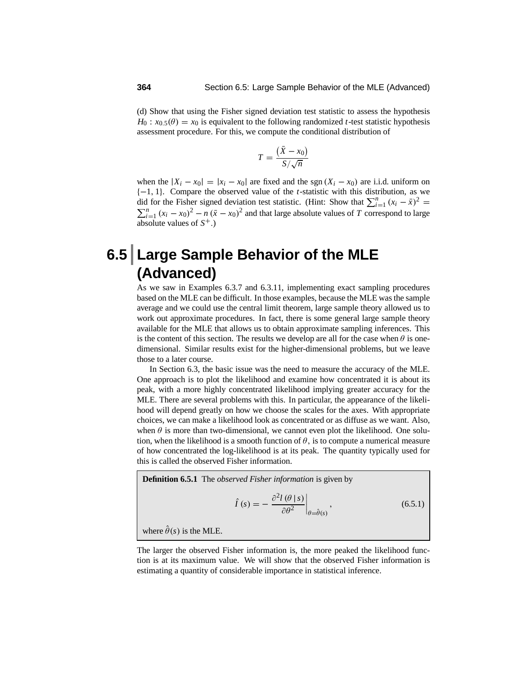(d) Show that using the Fisher signed deviation test statistic to assess the hypothesis  $H_0$ :  $x_{0.5}(\theta) = x_0$  is equivalent to the following randomized *t*-test statistic hypothesis assessment procedure. For this, we compute the conditional distribution of

$$
T = \frac{(\bar{X} - x_0)}{S/\sqrt{n}}
$$

when the  $|X_i - x_0| = |x_i - x_0|$  are fixed and the sgn  $(X_i - x_0)$  are i.i.d. uniform on {−1, <sup>1</sup>}. Compare the observed value of the *<sup>t</sup>*-statistic with this distribution, as we did for the Fisher signed deviation test statistic. (Hint: Show that  $\sum_{i=1}^{n} (x_i - \bar{x})^2 = \sum_{i=1}^{n} (x_i - x_0)^2 - n(\bar{x} - x_0)^2$  and that large absolute values of T correspond to large absolute values of *S*+.)

# **6.5 Large Sample Behavior of the MLE (Advanced)**

As we saw in Examples 6.3.7 and 6.3.11, implementing exact sampling procedures based on the MLE can be difficult. In those examples, because the MLE was the sample average and we could use the central limit theorem, large sample theory allowed us to work out approximate procedures. In fact, there is some general large sample theory available for the MLE that allows us to obtain approximate sampling inferences. This is the content of this section. The results we develop are all for the case when  $\theta$  is onedimensional. Similar results exist for the higher-dimensional problems, but we leave those to a later course.

In Section 6.3, the basic issue was the need to measure the accuracy of the MLE. One approach is to plot the likelihood and examine how concentrated it is about its peak, with a more highly concentrated likelihood implying greater accuracy for the MLE. There are several problems with this. In particular, the appearance of the likelihood will depend greatly on how we choose the scales for the axes. With appropriate choices, we can make a likelihood look as concentrated or as diffuse as we want. Also, when  $\theta$  is more than two-dimensional, we cannot even plot the likelihood. One solution, when the likelihood is a smooth function of  $\theta$ , is to compute a numerical measure of how concentrated the log-likelihood is at its peak. The quantity typically used for this is called the observed Fisher information.

**Definition 6.5.1** The *observed Fisher information* is given by  $\hat{I}(s) = -\frac{\partial^2 I(\theta \mid s)}{\partial \theta^2}$  $\Big|_{\theta = \hat{\theta}(s)}$  $(6.5.1)$ where  $\hat{\theta}(s)$  is the MLE.

The larger the observed Fisher information is, the more peaked the likelihood function is at its maximum value. We will show that the observed Fisher information is estimating a quantity of considerable importance in statistical inference.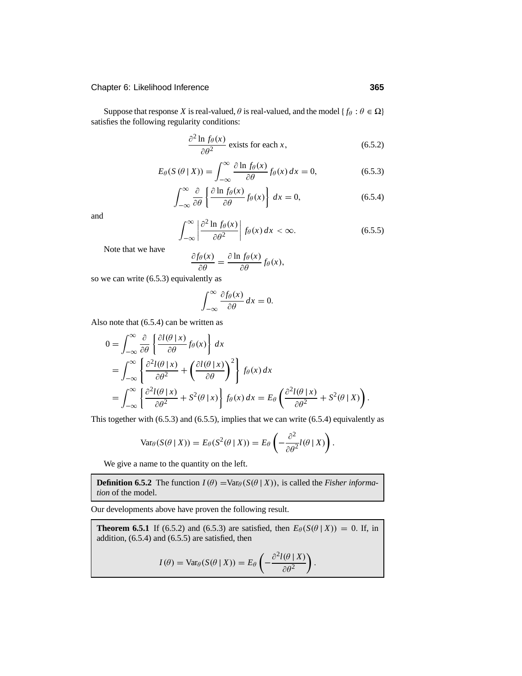### Chapter 6: Likelihood Inference **365**

Suppose that response *X* is real-valued,  $\theta$  is real-valued, and the model { $f_{\theta} : \theta \in \Omega$ } satisfies the following regularity conditions:

$$
\frac{\partial^2 \ln f_{\theta}(x)}{\partial \theta^2}
$$
 exists for each *x*, (6.5.2)

$$
E_{\theta}(S(\theta \mid X)) = \int_{-\infty}^{\infty} \frac{\partial \ln f_{\theta}(x)}{\partial \theta} f_{\theta}(x) dx = 0,
$$
 (6.5.3)

$$
\int_{-\infty}^{\infty} \frac{\partial}{\partial \theta} \left\{ \frac{\partial \ln f_{\theta}(x)}{\partial \theta} f_{\theta}(x) \right\} dx = 0, \tag{6.5.4}
$$

and

$$
\int_{-\infty}^{\infty} \left| \frac{\partial^2 \ln f_{\theta}(x)}{\partial \theta^2} \right| f_{\theta}(x) dx < \infty.
$$
 (6.5.5)

Note that we have

$$
\frac{\partial f_{\theta}(x)}{\partial \theta} = \frac{\partial \ln f_{\theta}(x)}{\partial \theta} f_{\theta}(x),
$$

so we can write (6.5.3) equivalently as

$$
\int_{-\infty}^{\infty} \frac{\partial f_{\theta}(x)}{\partial \theta} dx = 0.
$$

Also note that (6.5.4) can be written as

$$
0 = \int_{-\infty}^{\infty} \frac{\partial}{\partial \theta} \left\{ \frac{\partial l(\theta \mid x)}{\partial \theta} f_{\theta}(x) \right\} dx
$$
  
= 
$$
\int_{-\infty}^{\infty} \left\{ \frac{\partial^{2} l(\theta \mid x)}{\partial \theta^{2}} + \left( \frac{\partial l(\theta \mid x)}{\partial \theta} \right)^{2} \right\} f_{\theta}(x) dx
$$
  
= 
$$
\int_{-\infty}^{\infty} \left\{ \frac{\partial^{2} l(\theta \mid x)}{\partial \theta^{2}} + S^{2}(\theta \mid x) \right\} f_{\theta}(x) dx = E_{\theta} \left( \frac{\partial^{2} l(\theta \mid x)}{\partial \theta^{2}} + S^{2}(\theta \mid X) \right).
$$

This together with (6.5.3) and (6.5.5), implies that we can write (6.5.4) equivalently as

$$
\text{Var}_{\theta}(S(\theta \mid X)) = E_{\theta}(S^{2}(\theta \mid X)) = E_{\theta}\left(-\frac{\partial^{2}}{\partial \theta^{2}}l(\theta \mid X)\right).
$$

We give a name to the quantity on the left.

**Definition 6.5.2** The function  $I(\theta) = \text{Var}_{\theta}(S(\theta | X))$ , is called the *Fisher information* of the model.

Our developments above have proven the following result.

**Theorem 6.5.1** If (6.5.2) and (6.5.3) are satisfied, then  $E_{\theta}(S(\theta | X)) = 0$ . If, in addition, (6.5.4) and (6.5.5) are satisfied, then

$$
I(\theta) = \text{Var}_{\theta}(S(\theta \mid X)) = E_{\theta}\left(-\frac{\partial^2 I(\theta \mid X)}{\partial \theta^2}\right).
$$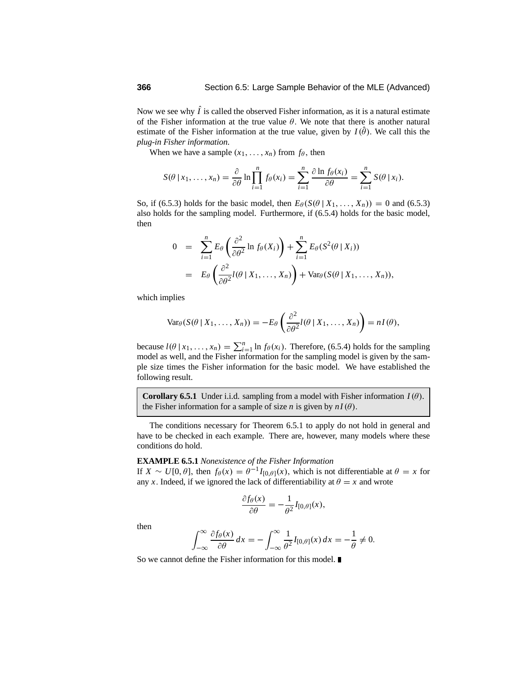Now we see why  $\hat{I}$  is called the observed Fisher information, as it is a natural estimate of the Fisher information at the true value  $\theta$ . We note that there is another natural estimate of the Fisher information at the true value, given by  $I(\hat{\theta})$ . We call this the *plug-in Fisher information*.

When we have a sample  $(x_1, \ldots, x_n)$  from  $f_\theta$ , then

$$
S(\theta \mid x_1, \ldots, x_n) = \frac{\partial}{\partial \theta} \ln \prod_{i=1}^n f_\theta(x_i) = \sum_{i=1}^n \frac{\partial \ln f_\theta(x_i)}{\partial \theta} = \sum_{i=1}^n S(\theta \mid x_i).
$$

So, if (6.5.3) holds for the basic model, then  $E_{\theta}(S(\theta | X_1, \ldots, X_n)) = 0$  and (6.5.3) also holds for the sampling model. Furthermore, if (6.5.4) holds for the basic model, then

$$
0 = \sum_{i=1}^{n} E_{\theta} \left( \frac{\partial^2}{\partial \theta^2} \ln f_{\theta}(X_i) \right) + \sum_{i=1}^{n} E_{\theta} (S^2(\theta \mid X_i))
$$
  
= 
$$
E_{\theta} \left( \frac{\partial^2}{\partial \theta^2} l(\theta \mid X_1, \dots, X_n) \right) + \text{Var}_{\theta} (S(\theta \mid X_1, \dots, X_n)),
$$

which implies

$$
\text{Var}_{\theta}(S(\theta \mid X_1, \ldots, X_n)) = -E_{\theta}\left(\frac{\partial^2}{\partial \theta^2} l(\theta \mid X_1, \ldots, X_n)\right) = nI(\theta),
$$

because  $l(\theta | x_1, ..., x_n) = \sum_{i=1}^n \ln f_\theta(x_i)$ . Therefore, (6.5.4) holds for the sampling<br>model as well, and the Fisher information for the sampling model is given by the same model as well, and the Fisher information for the sampling model is given by the sample size times the Fisher information for the basic model. We have established the following result.

**Corollary 6.5.1** Under i.i.d. sampling from a model with Fisher information  $I(\theta)$ . the Fisher information for a sample of size *n* is given by  $nI(\theta)$ .

The conditions necessary for Theorem 6.5.1 to apply do not hold in general and have to be checked in each example. There are, however, many models where these conditions do hold.

### **EXAMPLE 6.5.1** *Nonexistence of the Fisher Information*

If  $X \sim U[0, \theta]$ , then  $f_{\theta}(x) = \theta^{-1} I_{[0, \theta]}(x)$ , which is not differentiable at  $\theta = x$  for any *x*. Indeed, if we ignored the lack of differentiability at  $\theta = x$  and wrote

$$
\frac{\partial f_{\theta}(x)}{\partial \theta} = -\frac{1}{\theta^2} I_{[0,\theta]}(x),
$$

then

$$
\int_{-\infty}^{\infty} \frac{\partial f_{\theta}(x)}{\partial \theta} dx = -\int_{-\infty}^{\infty} \frac{1}{\theta^2} I_{[0,\theta]}(x) dx = -\frac{1}{\theta} \neq 0.
$$

So we cannot define the Fisher information for this model.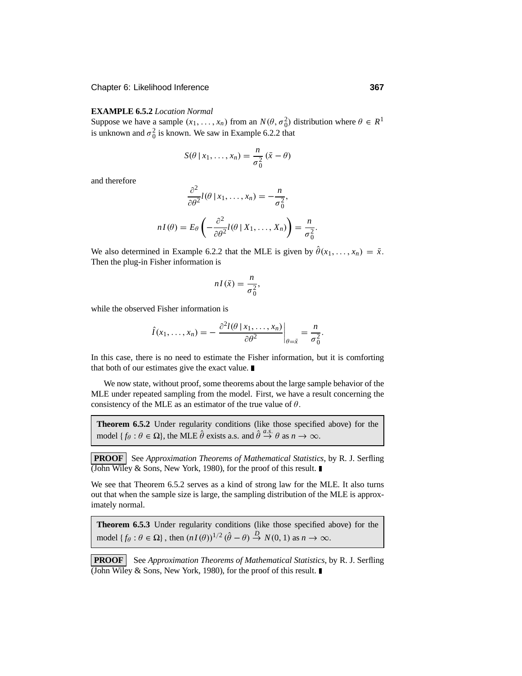Chapter 6: Likelihood Inference **367**

### **EXAMPLE 6.5.2** *Location Normal*

Suppose we have a sample  $(x_1, \ldots, x_n)$  from an  $N(\theta, \sigma_0^2)$  distribution where  $\theta \in R^1$ is unknown and  $\sigma_0^2$  is known. We saw in Example 6.2.2 that

$$
S(\theta \mid x_1, \ldots, x_n) = \frac{n}{\sigma_0^2} (\bar{x} - \theta)
$$

and therefore

$$
\frac{\partial^2}{\partial \theta^2} l(\theta \mid x_1, \dots, x_n) = -\frac{n}{\sigma_0^2},
$$
  

$$
nI(\theta) = E_\theta \left( -\frac{\partial^2}{\partial \theta^2} l(\theta \mid X_1, \dots, X_n) \right) = \frac{n}{\sigma_0^2}
$$

.

We also determined in Example 6.2.2 that the MLE is given by  $\hat{\theta}(x_1, \ldots, x_n) = \bar{x}$ . Then the plug-in Fisher information is

$$
nI(\bar{x}) = \frac{n}{\sigma_0^2},
$$

while the observed Fisher information is

$$
\hat{I}(x_1,\ldots,x_n)=-\left.\frac{\partial^2 I(\theta\,|\,x_1,\ldots,x_n)}{\partial\theta^2}\right|_{\theta=\bar{x}}=\frac{n}{\sigma_0^2}.
$$

In this case, there is no need to estimate the Fisher information, but it is comforting that both of our estimates give the exact value.

We now state, without proof, some theorems about the large sample behavior of the MLE under repeated sampling from the model. First, we have a result concerning the consistency of the MLE as an estimator of the true value of  $\theta$ .

**Theorem 6.5.2** Under regularity conditions (like those specified above) for the model  ${f_{\theta}: \theta \in \Omega}$ , the MLE  $\hat{\theta}$  exists a.s. and  $\hat{\theta} \stackrel{a.s.}{\rightarrow} \theta$  as  $n \rightarrow \infty$ .

**PROOF** See *Approximation Theorems of Mathematical Statistics*, by R. J. Serfling (John Wiley & Sons, New York, 1980), for the proof of this result.

We see that Theorem 6.5.2 serves as a kind of strong law for the MLE. It also turns out that when the sample size is large, the sampling distribution of the MLE is approximately normal.

**Theorem 6.5.3** Under regularity conditions (like those specified above) for the model { $f_{\theta}$  :  $\theta \in \Omega$ }, then  $(nI(\theta))^{1/2} (\hat{\theta} - \theta) \stackrel{D}{\rightarrow} N(0, 1)$  as  $n \rightarrow \infty$ .

**PROOF** See *Approximation Theorems of Mathematical Statistics*, by R. J. Serfling (John Wiley & Sons, New York, 1980), for the proof of this result.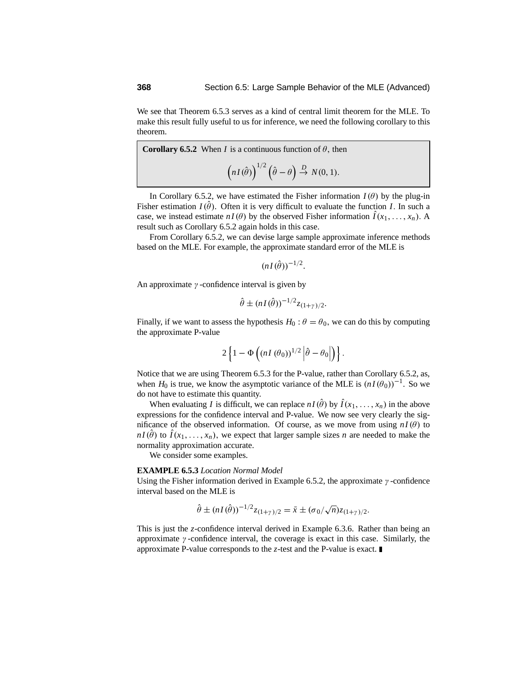We see that Theorem 6.5.3 serves as a kind of central limit theorem for the MLE. To make this result fully useful to us for inference, we need the following corollary to this theorem.

**Corollary 6.5.2** When *I* is a continuous function of 
$$
\theta
$$
, then  
\n
$$
\left(nI(\hat{\theta})\right)^{1/2} \left(\hat{\theta} - \theta\right) \stackrel{D}{\rightarrow} N(0, 1).
$$

In Corollary 6.5.2, we have estimated the Fisher information  $I(\theta)$  by the plug-in Fisher estimation  $I(\hat{\theta})$ . Often it is very difficult to evaluate the function *I*. In such a case, we instead estimate  $nI(\theta)$  by the observed Fisher information  $\hat{I}(x_1, \ldots, x_n)$ . A result such as Corollary 6.5.2 again holds in this case.

From Corollary 6.5.2, we can devise large sample approximate inference methods based on the MLE. For example, the approximate standard error of the MLE is

$$
(nI(\hat{\theta}))^{-1/2}.
$$

An approximate  $\gamma$ -confidence interval is given by

$$
\hat{\theta} \pm (nI(\hat{\theta}))^{-1/2} z_{(1+\gamma)/2}.
$$

Finally, if we want to assess the hypothesis  $H_0$ :  $\theta = \theta_0$ , we can do this by computing the approximate P-value

$$
2\left\{1-\Phi\left((nI(\theta_0))^{1/2}\left|\hat{\theta}-\theta_0\right|\right)\right\}.
$$

Notice that we are using Theorem 6.5.3 for the P-value, rather than Corollary 6.5.2, as, when *H*<sub>0</sub> is true, we know the asymptotic variance of the MLE is  $(nI(\theta_0))^{-1}$ . So we do not have to estimate this quantity.

When evaluating *I* is difficult, we can replace  $n I(\hat{\theta})$  by  $\hat{I}(x_1, \ldots, x_n)$  in the above expressions for the confidence interval and P-value. We now see very clearly the significance of the observed information. Of course, as we move from using  $nI(\theta)$  to  $nI(\hat{\theta})$  to  $\tilde{I}(x_1,...,x_n)$ , we expect that larger sample sizes *n* are needed to make the normality approximation accurate.

We consider some examples.

### **EXAMPLE 6.5.3** *Location Normal Model*

Using the Fisher information derived in Example 6.5.2, the approximate  $\gamma$ -confidence interval based on the MLE is

$$
\hat{\theta} \pm (nI(\hat{\theta}))^{-1/2} z_{(1+\gamma)/2} = \bar{x} \pm (\sigma_0/\sqrt{n}) z_{(1+\gamma)/2}.
$$

This is just the *z*-confidence interval derived in Example 6.3.6. Rather than being an approximate  $\gamma$ -confidence interval, the coverage is exact in this case. Similarly, the approximate P-value corresponds to the *z*-test and the P-value is exact.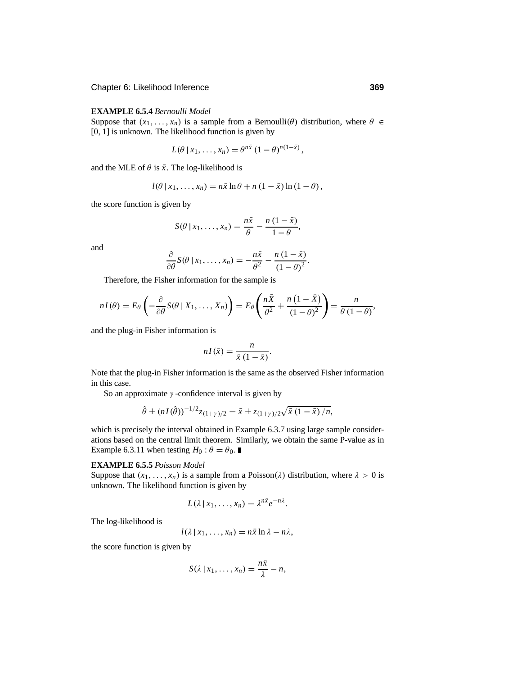Chapter 6: Likelihood Inference **369**

#### **EXAMPLE 6.5.4** *Bernoulli Model*

Suppose that  $(x_1, \ldots, x_n)$  is a sample from a Bernoulli( $\theta$ ) distribution, where  $\theta \in$  $[0, 1]$  is unknown. The likelihood function is given by

$$
L(\theta \mid x_1,\ldots,x_n)=\theta^{n\bar{x}}(1-\theta)^{n(1-\bar{x})},
$$

and the MLE of  $\theta$  is  $\bar{x}$ . The log-likelihood is

$$
l(\theta | x_1,\ldots,x_n)=n\bar{x}\ln\theta+n(1-\bar{x})\ln(1-\theta),
$$

the score function is given by

$$
S(\theta \mid x_1,\ldots,x_n) = \frac{n\bar{x}}{\theta} - \frac{n(1-\bar{x})}{1-\theta},
$$

and

$$
\frac{\partial}{\partial \theta} S(\theta \mid x_1, \ldots, x_n) = -\frac{n\bar{x}}{\theta^2} - \frac{n(1-\bar{x})}{(1-\theta)^2}.
$$

Therefore, the Fisher information for the sample is

$$
nI(\theta) = E_{\theta}\left(-\frac{\partial}{\partial \theta}S(\theta \mid X_1,\ldots,X_n)\right) = E_{\theta}\left(\frac{n\bar{X}}{\theta^2} + \frac{n(1-\bar{X})}{(1-\theta)^2}\right) = \frac{n}{\theta(1-\theta)},
$$

and the plug-in Fisher information is

$$
nI(\bar{x}) = \frac{n}{\bar{x}(1-\bar{x})}.
$$

Note that the plug-in Fisher information is the same as the observed Fisher information in this case.

So an approximate  $\gamma$ -confidence interval is given by

$$
\hat{\theta} \pm (nI(\hat{\theta}))^{-1/2} z_{(1+\gamma)/2} = \bar{x} \pm z_{(1+\gamma)/2} \sqrt{\bar{x}(1-\bar{x})/n},
$$

which is precisely the interval obtained in Example 6.3.7 using large sample considerations based on the central limit theorem. Similarly, we obtain the same P-value as in Example 6.3.11 when testing  $H_0: \theta = \theta_0$ .

#### **EXAMPLE 6.5.5** *Poisson Model*

Suppose that  $(x_1, \ldots, x_n)$  is a sample from a Poisson( $\lambda$ ) distribution, where  $\lambda > 0$  is unknown. The likelihood function is given by

$$
L(\lambda | x_1, \ldots, x_n) = \lambda^{n \bar{x}} e^{-n \lambda}.
$$

The log-likelihood is

$$
l(\lambda \mid x_1,\ldots,x_n)=n\bar{x}\ln\lambda-n\lambda,
$$

the score function is given by

$$
S(\lambda \mid x_1, \ldots, x_n) = \frac{n\bar{x}}{\lambda} - n,
$$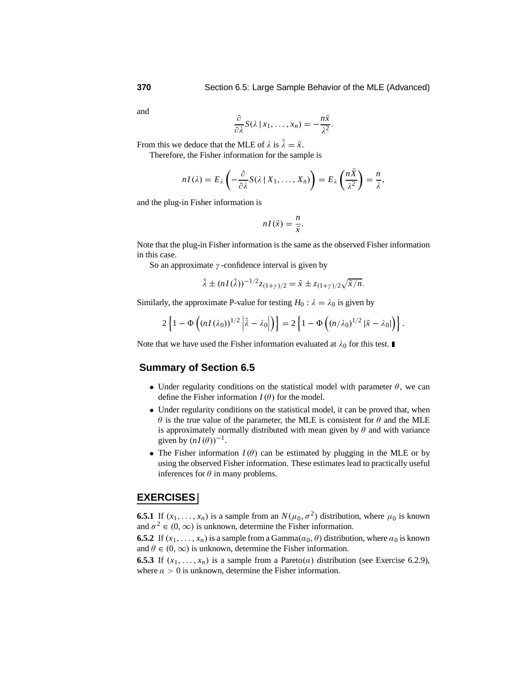and

$$
\frac{\partial}{\partial \lambda} S(\lambda \mid x_1, \ldots, x_n) = -\frac{n\bar{x}}{\lambda^2}.
$$

From this we deduce that the MLE of  $\lambda$  is  $\hat{\lambda} = \bar{x}$ .

Therefore, the Fisher information for the sample is

$$
nI(\lambda) = E_{\lambda}\left(-\frac{\partial}{\partial \lambda}S(\lambda \mid X_1,\ldots,X_n)\right) = E_{\lambda}\left(\frac{n\bar{X}}{\lambda^2}\right) = \frac{n}{\lambda},
$$

and the plug-in Fisher information is

$$
nI(\bar{x}) = \frac{n}{\bar{x}}.
$$

Note that the plug-in Fisher information is the same as the observed Fisher information in this case.

So an approximate  $\gamma$ -confidence interval is given by

$$
\hat{\lambda} \pm (nI(\hat{\lambda}))^{-1/2} z_{(1+\gamma)/2} = \bar{x} \pm z_{(1+\gamma)/2} \sqrt{\bar{x}/n}.
$$

Similarly, the approximate P-value for testing  $H_0$ :  $\lambda = \lambda_0$  is given by

$$
2\left\{1-\Phi\left((nI(\lambda_0))^{1/2}\left|\hat{\lambda}-\lambda_0\right|\right)\right\}=2\left\{1-\Phi\left((n/\lambda_0)^{1/2}\left|\bar{x}-\lambda_0\right|\right)\right\}.
$$

Note that we have used the Fisher information evaluated at  $\lambda_0$  for this test.

### **Summary of Section 6.5**

- Under regularity conditions on the statistical model with parameter  $\theta$ , we can define the Fisher information  $I(\theta)$  for the model.
- Under regularity conditions on the statistical model, it can be proved that, when  $\theta$  is the true value of the parameter, the MLE is consistent for  $\theta$  and the MLE is approximately normally distributed with mean given by  $\theta$  and with variance given by  $(nI(\theta))^{-1}$ .
- The Fisher information  $I(\theta)$  can be estimated by plugging in the MLE or by using the observed Fisher information. These estimates lead to practically useful inferences for  $\theta$  in many problems.

# **EXERCISES**

**6.5.1** If  $(x_1, \ldots, x_n)$  is a sample from an  $N(\mu_0, \sigma^2)$  distribution, where  $\mu_0$  is known and  $\sigma^2 \in (0, \infty)$  is unknown, determine the Fisher information.

**6.5.2** If  $(x_1, \ldots, x_n)$  is a sample from a Gamma $(\alpha_0, \theta)$  distribution, where  $\alpha_0$  is known and  $\theta \in (0, \infty)$  is unknown, determine the Fisher information.

**6.5.3** If  $(x_1, \ldots, x_n)$  is a sample from a Pareto( $\alpha$ ) distribution (see Exercise 6.2.9), where  $\alpha > 0$  is unknown, determine the Fisher information.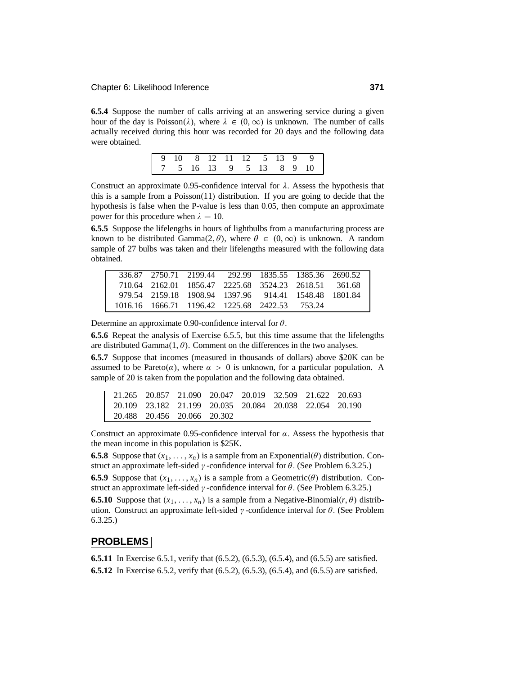**6.5.4** Suppose the number of calls arriving at an answering service during a given hour of the day is Poisson( $\lambda$ ), where  $\lambda \in (0, \infty)$  is unknown. The number of calls actually received during this hour was recorded for 20 days and the following data were obtained.

|  |  |  |  | 9 10 8 12 11 12 5 13 9 9<br>7 5 16 13 9 5 13 8 9 10 |
|--|--|--|--|-----------------------------------------------------|

Construct an approximate 0.95-confidence interval for  $\lambda$ . Assess the hypothesis that this is a sample from a Poisson(11) distribution. If you are going to decide that the hypothesis is false when the P-value is less than 0.05, then compute an approximate power for this procedure when  $\lambda = 10$ .

**6.5.5** Suppose the lifelengths in hours of lightbulbs from a manufacturing process are known to be distributed Gamma $(2, \theta)$ , where  $\theta \in (0, \infty)$  is unknown. A random sample of 27 bulbs was taken and their lifelengths measured with the following data obtained.

| 336.87 2750.71 2199.44 292.99 1835.55 1385.36 2690.52 |  |  |  |
|-------------------------------------------------------|--|--|--|
| 710.64 2162.01 1856.47 2225.68 3524.23 2618.51 361.68 |  |  |  |
| 979.54 2159.18 1908.94 1397.96 914.41 1548.48 1801.84 |  |  |  |
| 1016.16 1666.71 1196.42 1225.68 2422.53 753.24        |  |  |  |

Determine an approximate 0.90-confidence interval for  $\theta$ .

**6.5.6** Repeat the analysis of Exercise 6.5.5, but this time assume that the lifelengths are distributed Gamma $(1, \theta)$ . Comment on the differences in the two analyses.

**6.5.7** Suppose that incomes (measured in thousands of dollars) above \$20K can be assumed to be Pareto( $\alpha$ ), where  $\alpha > 0$  is unknown, for a particular population. A sample of 20 is taken from the population and the following data obtained.

| 21.265 20.857 21.090 20.047 20.019 32.509 21.622 20.693 |                                                         |  |  |  |
|---------------------------------------------------------|---------------------------------------------------------|--|--|--|
|                                                         | 20.109 23.182 21.199 20.035 20.084 20.038 22.054 20.190 |  |  |  |
| 20.488 20.456 20.066 20.302                             |                                                         |  |  |  |

Construct an approximate 0.95-confidence interval for  $\alpha$ . Assess the hypothesis that the mean income in this population is \$25K.

**6.5.8** Suppose that  $(x_1, \ldots, x_n)$  is a sample from an Exponential( $\theta$ ) distribution. Construct an approximate left-sided  $\gamma$ -confidence interval for  $\theta$ . (See Problem 6.3.25.)

**6.5.9** Suppose that  $(x_1, \ldots, x_n)$  is a sample from a Geometric( $\theta$ ) distribution. Construct an approximate left-sided  $\gamma$  -confidence interval for  $\theta$ . (See Problem 6.3.25.)

**6.5.10** Suppose that  $(x_1, \ldots, x_n)$  is a sample from a Negative-Binomial $(r, \theta)$  distribution. Construct an approximate left-sided  $\gamma$ -confidence interval for  $\theta$ . (See Problem 6.3.25.)

### **PROBLEMS**

**6.5.11** In Exercise 6.5.1, verify that (6.5.2), (6.5.3), (6.5.4), and (6.5.5) are satisfied. **6.5.12** In Exercise 6.5.2, verify that (6.5.2), (6.5.3), (6.5.4), and (6.5.5) are satisfied.